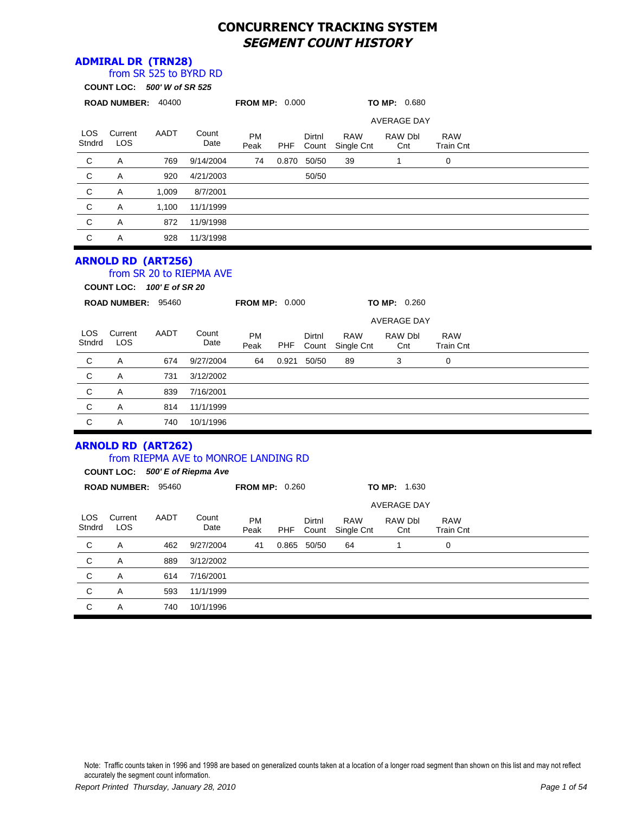# **CONCURRENCY TRACKING SYSTEM SEGMENT COUNT HISTORY**

### **ADMIRAL DR (TRN28)**

|                      | ADMINAL DR (IRRZO)          | from SR 525 to BYRD RD |                                                                         |                       |            |                 |                          |                                      |                                |  |
|----------------------|-----------------------------|------------------------|-------------------------------------------------------------------------|-----------------------|------------|-----------------|--------------------------|--------------------------------------|--------------------------------|--|
|                      | COUNT LOC: 500' W of SR 525 |                        |                                                                         |                       |            |                 |                          |                                      |                                |  |
|                      | ROAD NUMBER: 40400          |                        |                                                                         | <b>FROM MP: 0.000</b> |            |                 |                          | TO MP: 0.680                         |                                |  |
|                      |                             |                        |                                                                         |                       |            |                 |                          | <b>AVERAGE DAY</b>                   |                                |  |
| <b>LOS</b><br>Stndrd | Current<br><b>LOS</b>       | AADT                   | Count<br>Date                                                           | <b>PM</b><br>Peak     | <b>PHF</b> | Dirtnl<br>Count | <b>RAW</b><br>Single Cnt | RAW Dbl<br>Cnt                       | <b>RAW</b><br><b>Train Cnt</b> |  |
| $\mathbf C$          | Α                           | 769                    | 9/14/2004                                                               | 74                    | 0.870      | 50/50           | 39                       | 1                                    | 0                              |  |
| $\mathbf C$          | Α                           | 920                    | 4/21/2003                                                               |                       |            | 50/50           |                          |                                      |                                |  |
| $\mathbf C$          | Α                           | 1,009                  | 8/7/2001                                                                |                       |            |                 |                          |                                      |                                |  |
| $\mathsf{C}$         | Α                           | 1,100                  | 11/1/1999                                                               |                       |            |                 |                          |                                      |                                |  |
| $\mathsf C$          | Α                           | 872                    | 11/9/1998                                                               |                       |            |                 |                          |                                      |                                |  |
| $\mathsf C$          | Α                           | 928                    | 11/3/1998                                                               |                       |            |                 |                          |                                      |                                |  |
|                      |                             |                        |                                                                         |                       |            |                 |                          |                                      |                                |  |
|                      | COUNT LOC: 100' E of SR 20  |                        |                                                                         |                       |            |                 |                          |                                      |                                |  |
|                      | ROAD NUMBER: 95460          |                        |                                                                         | <b>FROM MP: 0.000</b> |            |                 |                          | <b>TO MP: 0.260</b>                  |                                |  |
| <b>LOS</b><br>Stndrd | Current<br><b>LOS</b>       | AADT                   | Count<br>Date                                                           | <b>PM</b><br>Peak     | <b>PHF</b> | Dirtnl<br>Count | <b>RAW</b><br>Single Cnt | <b>AVERAGE DAY</b><br>RAW Dbl<br>Cnt | <b>RAW</b><br><b>Train Cnt</b> |  |
| $\mathbf C$          | Α                           | 674                    | 9/27/2004                                                               | 64                    | 0.921      | 50/50           | 89                       | 3                                    | 0                              |  |
| $\mathbf C$          | Α                           | 731                    | 3/12/2002                                                               |                       |            |                 |                          |                                      |                                |  |
| C                    | A                           | 839                    | 7/16/2001                                                               |                       |            |                 |                          |                                      |                                |  |
| $\mathbf C$          | Α                           | 814                    | 11/1/1999                                                               |                       |            |                 |                          |                                      |                                |  |
| $\mathbf C$          | A                           | 740                    | 10/1/1996                                                               |                       |            |                 |                          |                                      |                                |  |
|                      | <b>ARNOLD RD (ART262)</b>   |                        | from RIEPMA AVE to MONROE LANDING RD<br>COUNT LOC: 500' E of Riepma Ave |                       |            |                 |                          |                                      |                                |  |
|                      | ROAD NUMBER: 95460          |                        |                                                                         | <b>FROM MP: 0.260</b> |            |                 |                          | TO MP: 1.630                         |                                |  |
|                      |                             |                        |                                                                         |                       |            |                 |                          | <b>AVERAGE DAY</b>                   |                                |  |

| LOS<br>Stndrd | Current<br>LOS | AADT | Count<br>Date | <b>PM</b><br>Peak | <b>PHF</b> | Dirtnl<br>Count | <b>RAW</b><br>Single Cnt | RAW Dbl<br>Cnt | <b>RAW</b><br><b>Train Cnt</b> |  |
|---------------|----------------|------|---------------|-------------------|------------|-----------------|--------------------------|----------------|--------------------------------|--|
| C             | A              | 462  | 9/27/2004     | 41                | 0.865      | 50/50           | 64                       |                | 0                              |  |
| C             | A              | 889  | 3/12/2002     |                   |            |                 |                          |                |                                |  |
| C             | A              | 614  | 7/16/2001     |                   |            |                 |                          |                |                                |  |
| C             | A              | 593  | 11/1/1999     |                   |            |                 |                          |                |                                |  |
| C             | A              | 740  | 10/1/1996     |                   |            |                 |                          |                |                                |  |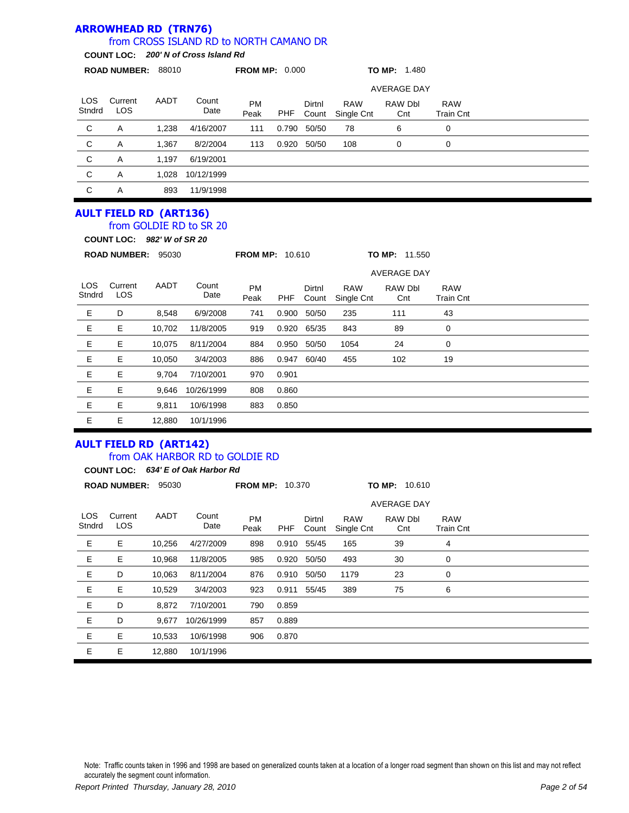#### LOS Stndrd Current LOS PM Peak Dirtnl Count RAW Single Cnt **ROAD NUMBER:** 88010 **FROM MP:** 0.000 **TO MP:** 1.480 **COUNT LOC:** *200' N of Cross Island Rd* from CROSS ISLAND RD to NORTH CAMANO DR AADT Count Date RAW Dbl **Cnt** RAW Train Cnt AVERAGE DAY PHF C A 1,238 4/16/2007 111 0.790 50/50 78 6 0 C A 1,367 8/2/2004 113 0.920 50/50 108 0 0 C A 1,197 6/19/2001 C A 1,028 10/12/1999 C A 893 11/9/1998 **AULT FIELD RD (ART136)** from GOLDIE RD to SR 20

**COUNT LOC:** *982' W of SR 20*

**ARROWHEAD RD (TRN76)**

|                      | <b>ROAD NUMBER:</b>   | 95030  |               | <b>FROM MP: 10.610</b> |       |                 |                          | <b>TO MP: 11.550</b> |                                |  |
|----------------------|-----------------------|--------|---------------|------------------------|-------|-----------------|--------------------------|----------------------|--------------------------------|--|
|                      |                       |        |               |                        |       |                 | <b>AVERAGE DAY</b>       |                      |                                |  |
| <b>LOS</b><br>Stndrd | Current<br><b>LOS</b> | AADT   | Count<br>Date | <b>PM</b><br>Peak      | PHF   | Dirtnl<br>Count | <b>RAW</b><br>Single Cnt | RAW Dbl<br>Cnt       | <b>RAW</b><br><b>Train Cnt</b> |  |
| Е                    | D                     | 8,548  | 6/9/2008      | 741                    | 0.900 | 50/50           | 235                      | 111                  | 43                             |  |
| Е                    | Е                     | 10,702 | 11/8/2005     | 919                    | 0.920 | 65/35           | 843                      | 89                   | 0                              |  |
| Е                    | Е                     | 10,075 | 8/11/2004     | 884                    | 0.950 | 50/50           | 1054                     | 24                   | 0                              |  |
| Е                    | E                     | 10.050 | 3/4/2003      | 886                    | 0.947 | 60/40           | 455                      | 102                  | 19                             |  |
| Е                    | Е                     | 9,704  | 7/10/2001     | 970                    | 0.901 |                 |                          |                      |                                |  |
| Е                    | Е                     | 9,646  | 10/26/1999    | 808                    | 0.860 |                 |                          |                      |                                |  |
| Е                    | Е                     | 9,811  | 10/6/1998     | 883                    | 0.850 |                 |                          |                      |                                |  |
| Е                    | Е                     | 12,880 | 10/1/1996     |                        |       |                 |                          |                      |                                |  |

### **AULT FIELD RD (ART142)** from OAK HARBOR RD to GOLDIE RD

**COUNT LOC:** *634' E of Oak Harbor Rd*

| <b>ROAD NUMBER:</b><br>95030 |                       |        | <b>FROM MP: 10.370</b> |                   |            |                 | TO MP: 10.610            |                |                                |  |  |
|------------------------------|-----------------------|--------|------------------------|-------------------|------------|-----------------|--------------------------|----------------|--------------------------------|--|--|
|                              | <b>AVERAGE DAY</b>    |        |                        |                   |            |                 |                          |                |                                |  |  |
| <b>LOS</b><br>Stndrd         | Current<br><b>LOS</b> | AADT   | Count<br>Date          | <b>PM</b><br>Peak | <b>PHF</b> | Dirtnl<br>Count | <b>RAW</b><br>Single Cnt | RAW Dbl<br>Cnt | <b>RAW</b><br><b>Train Cnt</b> |  |  |
| Е                            | Е                     | 10,256 | 4/27/2009              | 898               | 0.910      | 55/45           | 165                      | 39             | 4                              |  |  |
| Е                            | Е                     | 10,968 | 11/8/2005              | 985               | 0.920      | 50/50           | 493                      | 30             | 0                              |  |  |
| Е                            | D                     | 10,063 | 8/11/2004              | 876               | 0.910      | 50/50           | 1179                     | 23             | 0                              |  |  |
| Е                            | Е                     | 10,529 | 3/4/2003               | 923               | 0.911      | 55/45           | 389                      | 75             | 6                              |  |  |
| Е                            | D                     | 8,872  | 7/10/2001              | 790               | 0.859      |                 |                          |                |                                |  |  |
| Е                            | D                     | 9,677  | 10/26/1999             | 857               | 0.889      |                 |                          |                |                                |  |  |
| Е                            | Е                     | 10,533 | 10/6/1998              | 906               | 0.870      |                 |                          |                |                                |  |  |
| Е                            | Е                     | 12,880 | 10/1/1996              |                   |            |                 |                          |                |                                |  |  |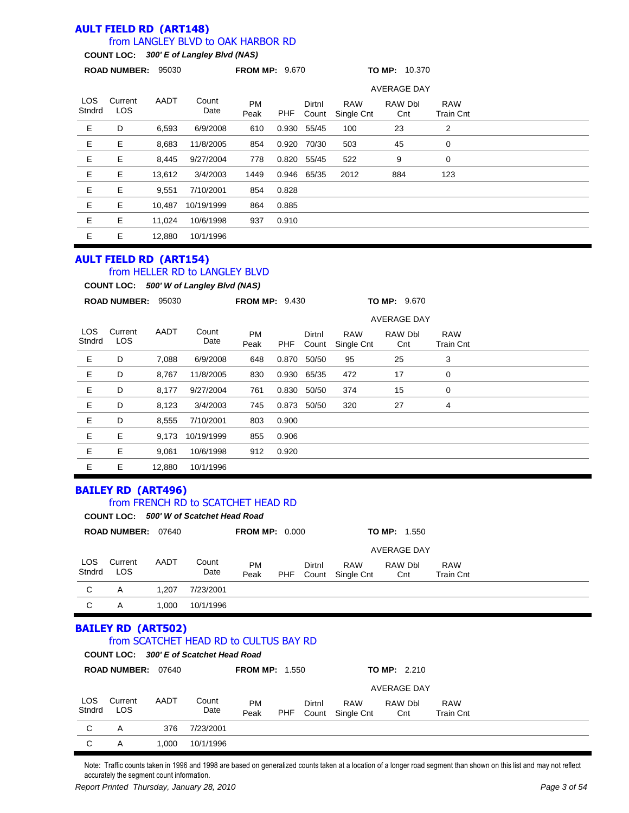#### **AULT FIELD RD (ART148)** from LANGLEY BLVD to OAK HARBOR RD

# **COUNT LOC:** *300' E of Langley Blvd (NAS)*

|                      | <b>ROAD NUMBER:</b>   |        |               | <b>FROM MP: 9.670</b> |       |                 |                          | <b>TO MP: 10.370</b> |                                |  |
|----------------------|-----------------------|--------|---------------|-----------------------|-------|-----------------|--------------------------|----------------------|--------------------------------|--|
|                      |                       |        |               |                       |       |                 |                          | <b>AVERAGE DAY</b>   |                                |  |
| <b>LOS</b><br>Stndrd | Current<br><b>LOS</b> | AADT   | Count<br>Date | <b>PM</b><br>Peak     | PHF   | Dirtnl<br>Count | <b>RAW</b><br>Single Cnt | RAW Dbl<br>Cnt       | <b>RAW</b><br><b>Train Cnt</b> |  |
| Е                    | D                     | 6,593  | 6/9/2008      | 610                   | 0.930 | 55/45           | 100                      | 23                   | 2                              |  |
| Е                    | Е                     | 8,683  | 11/8/2005     | 854                   | 0.920 | 70/30           | 503                      | 45                   | 0                              |  |
| Е                    | Е                     | 8,445  | 9/27/2004     | 778                   | 0.820 | 55/45           | 522                      | 9                    | 0                              |  |
| Е                    | Е                     | 13,612 | 3/4/2003      | 1449                  |       | 0.946 65/35     | 2012                     | 884                  | 123                            |  |
| E                    | Е                     | 9,551  | 7/10/2001     | 854                   | 0.828 |                 |                          |                      |                                |  |
| Е                    | Е                     | 10.487 | 10/19/1999    | 864                   | 0.885 |                 |                          |                      |                                |  |
| Е                    | Е                     | 11,024 | 10/6/1998     | 937                   | 0.910 |                 |                          |                      |                                |  |
| Е                    | Е                     | 12,880 | 10/1/1996     |                       |       |                 |                          |                      |                                |  |

## **AULT FIELD RD (ART154)**

# from HELLER RD to LANGLEY BLVD

**COUNT LOC:** *500' W of Langley Blvd (NAS)*

|                      | <b>ROAD NUMBER:</b>   | 95030  |               | <b>FROM MP: 9.430</b> |       |                 |                          | TO MP: 9.670   |                                |  |  |
|----------------------|-----------------------|--------|---------------|-----------------------|-------|-----------------|--------------------------|----------------|--------------------------------|--|--|
|                      |                       |        |               |                       |       |                 | <b>AVERAGE DAY</b>       |                |                                |  |  |
| <b>LOS</b><br>Stndrd | Current<br><b>LOS</b> | AADT   | Count<br>Date | <b>PM</b><br>Peak     | PHF   | Dirtnl<br>Count | <b>RAW</b><br>Single Cnt | RAW Dbl<br>Cnt | <b>RAW</b><br><b>Train Cnt</b> |  |  |
| Е                    | D                     | 7,088  | 6/9/2008      | 648                   | 0.870 | 50/50           | 95                       | 25             | 3                              |  |  |
| Е                    | D                     | 8,767  | 11/8/2005     | 830                   | 0.930 | 65/35           | 472                      | 17             | 0                              |  |  |
| Е                    | D                     | 8,177  | 9/27/2004     | 761                   | 0.830 | 50/50           | 374                      | 15             | 0                              |  |  |
| Е                    | D                     | 8,123  | 3/4/2003      | 745                   | 0.873 | 50/50           | 320                      | 27             | 4                              |  |  |
| Е                    | D                     | 8,555  | 7/10/2001     | 803                   | 0.900 |                 |                          |                |                                |  |  |
| Е                    | Е                     | 9,173  | 10/19/1999    | 855                   | 0.906 |                 |                          |                |                                |  |  |
| E                    | E                     | 9,061  | 10/6/1998     | 912                   | 0.920 |                 |                          |                |                                |  |  |
| E                    | Е                     | 12,880 | 10/1/1996     |                       |       |                 |                          |                |                                |  |  |

### **BAILEY RD (ART496)**

### from FRENCH RD to SCATCHET HEAD RD

|               | COUNT LOC: 500' W of Scatchet Head Road |       |               |                       |     |                 |                          |                     |                                |  |  |
|---------------|-----------------------------------------|-------|---------------|-----------------------|-----|-----------------|--------------------------|---------------------|--------------------------------|--|--|
|               | <b>ROAD NUMBER:</b>                     | 07640 |               | <b>FROM MP: 0.000</b> |     |                 |                          | <b>TO MP: 1.550</b> |                                |  |  |
|               |                                         |       |               |                       |     |                 |                          | <b>AVERAGE DAY</b>  |                                |  |  |
| LOS<br>Stndrd | Current<br><b>LOS</b>                   | AADT  | Count<br>Date | PM<br>Peak            | PHF | Dirtnl<br>Count | <b>RAW</b><br>Single Cnt | RAW Dbl<br>Cnt      | <b>RAW</b><br><b>Train Cnt</b> |  |  |
| C             | A                                       | 1.207 | 7/23/2001     |                       |     |                 |                          |                     |                                |  |  |
| C             | Α                                       | 1.000 | 10/1/1996     |                       |     |                 |                          |                     |                                |  |  |

# **BAILEY RD (ART502)**

#### **COUNT LOC:** *300' E of Scatchet Head Road* from SCATCHET HEAD RD to CULTUS BAY RD

|                      | <b>UUUNI LUU.</b> JUU LUI JUQIUIITI IITOO NUQU |       |               |                       |     |        |                                |                     |                                |  |
|----------------------|------------------------------------------------|-------|---------------|-----------------------|-----|--------|--------------------------------|---------------------|--------------------------------|--|
|                      | <b>ROAD NUMBER: 07640</b>                      |       |               | <b>FROM MP: 1.550</b> |     |        |                                | <b>TO MP: 2.210</b> |                                |  |
|                      |                                                |       | AVERAGE DAY   |                       |     |        |                                |                     |                                |  |
| <b>LOS</b><br>Stndrd | Current<br>LOS                                 | AADT  | Count<br>Date | <b>PM</b><br>Peak     | PHF | Dirtnl | <b>RAW</b><br>Count Single Cnt | RAW Dbl<br>Cnt      | <b>RAW</b><br><b>Train Cnt</b> |  |
| C                    | A                                              | 376   | 7/23/2001     |                       |     |        |                                |                     |                                |  |
| C                    | Α                                              | 1.000 | 10/1/1996     |                       |     |        |                                |                     |                                |  |

Note: Traffic counts taken in 1996 and 1998 are based on generalized counts taken at a location of a longer road segment than shown on this list and may not reflect accurately the segment count information.

*Report Printed Thursday, January 28, 2010 Page 3 of 54*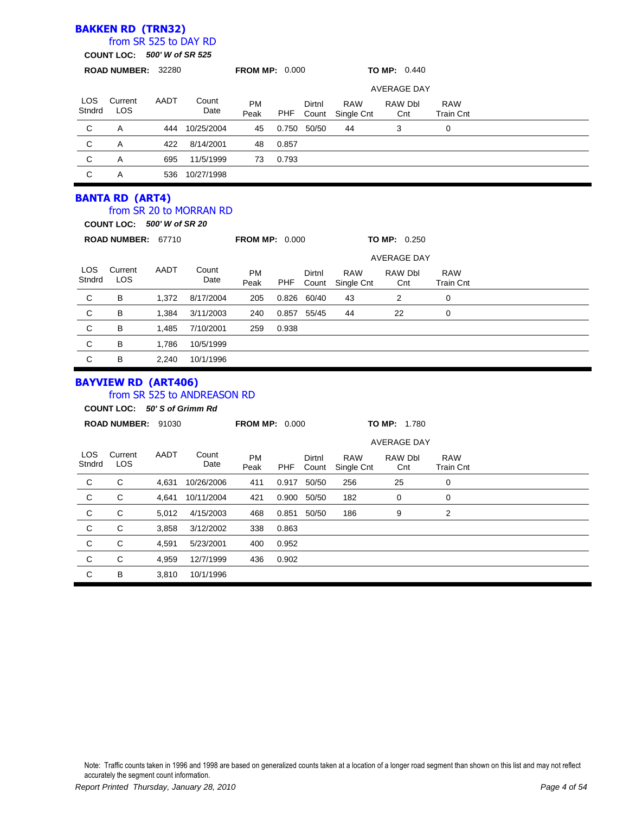### **BAKKEN RD (TRN32)**

#### **COUNT LOC:** *500' W of SR 525* from SR 525 to DAY RD

|                      | <b>ROAD NUMBER: 32280</b> |      |               | <b>FROM MP: 0.000</b> |            |                 |                          | <b>TO MP: 0.440</b> |                                |  |  |
|----------------------|---------------------------|------|---------------|-----------------------|------------|-----------------|--------------------------|---------------------|--------------------------------|--|--|
|                      |                           |      |               |                       |            |                 |                          | AVERAGE DAY         |                                |  |  |
| <b>LOS</b><br>Stndrd | Current<br><b>LOS</b>     | AADT | Count<br>Date | <b>PM</b><br>Peak     | <b>PHF</b> | Dirtnl<br>Count | <b>RAW</b><br>Single Cnt | RAW Dbl<br>Cnt      | <b>RAW</b><br><b>Train Cnt</b> |  |  |
| C                    | A                         | 444  | 10/25/2004    | 45                    | 0.750      | 50/50           | 44                       | 3                   | $\mathbf 0$                    |  |  |
| C                    | A                         | 422  | 8/14/2001     | 48                    | 0.857      |                 |                          |                     |                                |  |  |
| C                    | A                         | 695  | 11/5/1999     | 73                    | 0.793      |                 |                          |                     |                                |  |  |
| C                    | A                         | 536  | 10/27/1998    |                       |            |                 |                          |                     |                                |  |  |
|                      | <b>BANTA RD (ART4)</b>    |      |               |                       |            |                 |                          |                     |                                |  |  |

#### from SR 20 to MORRAN RD

**COUNT LOC:** *500' W of SR 20*

| <b>FROM MP: 0.000</b><br><b>ROAD NUMBER:</b><br>67710 |                       |       |               |                   |       |                 |                          | <b>TO MP: 0.250</b> |                         |  |
|-------------------------------------------------------|-----------------------|-------|---------------|-------------------|-------|-----------------|--------------------------|---------------------|-------------------------|--|
|                                                       |                       |       |               |                   |       |                 |                          | <b>AVERAGE DAY</b>  |                         |  |
| LOS.<br>Stndrd                                        | Current<br><b>LOS</b> | AADT  | Count<br>Date | <b>PM</b><br>Peak | PHF   | Dirtnl<br>Count | <b>RAW</b><br>Single Cnt | RAW Dbl<br>Cnt      | <b>RAW</b><br>Train Cnt |  |
| C                                                     | B                     | 1.372 | 8/17/2004     | 205               | 0.826 | 60/40           | 43                       | 2                   | 0                       |  |
| $\mathsf{C}$                                          | B                     | 1.384 | 3/11/2003     | 240               | 0.857 | 55/45           | 44                       | 22                  | 0                       |  |
| $\mathsf{C}$                                          | B                     | 1,485 | 7/10/2001     | 259               | 0.938 |                 |                          |                     |                         |  |
| $\mathsf{C}$                                          | B                     | 1,786 | 10/5/1999     |                   |       |                 |                          |                     |                         |  |
| C                                                     | B                     | 2,240 | 10/1/1996     |                   |       |                 |                          |                     |                         |  |

### **BAYVIEW RD (ART406)**

### from SR 525 to ANDREASON RD

**COUNT LOC:** *50' S of Grimm Rd*

|                | <b>ROAD NUMBER: 91030</b> |       |               | <b>FROM MP: 0.000</b> |            |                 |                          | <b>TO MP: 1.780</b> |                                |  |  |  |
|----------------|---------------------------|-------|---------------|-----------------------|------------|-----------------|--------------------------|---------------------|--------------------------------|--|--|--|
|                |                           |       |               | <b>AVERAGE DAY</b>    |            |                 |                          |                     |                                |  |  |  |
| LOS.<br>Stndrd | Current<br><b>LOS</b>     | AADT  | Count<br>Date | <b>PM</b><br>Peak     | <b>PHF</b> | Dirtnl<br>Count | <b>RAW</b><br>Single Cnt | RAW Dbl<br>Cnt      | <b>RAW</b><br><b>Train Cnt</b> |  |  |  |
| C              | C                         | 4,631 | 10/26/2006    | 411                   | 0.917      | 50/50           | 256                      | 25                  | 0                              |  |  |  |
| C              | C                         | 4,641 | 10/11/2004    | 421                   | 0.900      | 50/50           | 182                      | 0                   | 0                              |  |  |  |
| $\mathsf{C}$   | C                         | 5,012 | 4/15/2003     | 468                   | 0.851      | 50/50           | 186                      | 9                   | 2                              |  |  |  |
| C              | C                         | 3,858 | 3/12/2002     | 338                   | 0.863      |                 |                          |                     |                                |  |  |  |
| C              | C                         | 4,591 | 5/23/2001     | 400                   | 0.952      |                 |                          |                     |                                |  |  |  |
| C              | C                         | 4,959 | 12/7/1999     | 436                   | 0.902      |                 |                          |                     |                                |  |  |  |
| C              | B                         | 3,810 | 10/1/1996     |                       |            |                 |                          |                     |                                |  |  |  |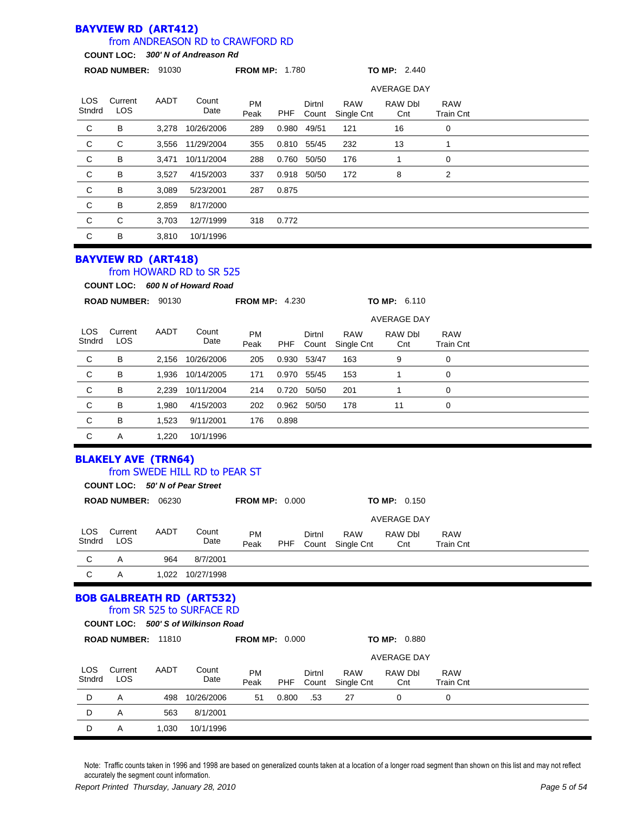#### **BAYVIEW RD (ART412)** from ANDREASON RD to CRAWFORD RD

**COUNT LOC:** *300' N of Andreason Rd*

|                | ROAD NUMBER: 91030 |       |                  | <b>FROM MP: 1.780</b> |            |                 |                          | TO MP: 2.440       |                                |  |
|----------------|--------------------|-------|------------------|-----------------------|------------|-----------------|--------------------------|--------------------|--------------------------------|--|
|                |                    |       |                  |                       |            |                 |                          | <b>AVERAGE DAY</b> |                                |  |
| LOS.<br>Stndrd | Current<br>LOS.    | AADT  | Count<br>Date    | <b>PM</b><br>Peak     | <b>PHF</b> | Dirtnl<br>Count | <b>RAW</b><br>Single Cnt | RAW Dbl<br>Cnt     | <b>RAW</b><br><b>Train Cnt</b> |  |
| C              | B                  | 3.278 | 10/26/2006       | 289                   | 0.980      | 49/51           | 121                      | 16                 | 0                              |  |
| C              | C                  |       | 3,556 11/29/2004 | 355                   |            | 0.810 55/45     | 232                      | 13                 |                                |  |
| C              | B                  | 3,471 | 10/11/2004       | 288                   | 0.760      | 50/50           | 176                      |                    | 0                              |  |
| C              | В                  | 3,527 | 4/15/2003        | 337                   | 0.918      | 50/50           | 172                      | 8                  | 2                              |  |
| C              | B                  | 3,089 | 5/23/2001        | 287                   | 0.875      |                 |                          |                    |                                |  |
| C              | B                  | 2,859 | 8/17/2000        |                       |            |                 |                          |                    |                                |  |
| C              | C                  | 3,703 | 12/7/1999        | 318                   | 0.772      |                 |                          |                    |                                |  |
| C              | B                  | 3,810 | 10/1/1996        |                       |            |                 |                          |                    |                                |  |
|                |                    |       |                  |                       |            |                 |                          |                    |                                |  |

# **BAYVIEW RD (ART418)**

## from HOWARD RD to SR 525

**COUNT LOC:** *600 N of Howard Road*

|                      | <b>ROAD NUMBER:</b>   | 90130 |               | <b>FROM MP: 4.230</b> |            |                 |                          | TO MP: 6.110       |                                |  |  |
|----------------------|-----------------------|-------|---------------|-----------------------|------------|-----------------|--------------------------|--------------------|--------------------------------|--|--|
|                      |                       |       |               |                       |            |                 |                          | <b>AVERAGE DAY</b> |                                |  |  |
| <b>LOS</b><br>Stndrd | Current<br><b>LOS</b> | AADT  | Count<br>Date | <b>PM</b><br>Peak     | <b>PHF</b> | Dirtnl<br>Count | <b>RAW</b><br>Single Cnt | RAW Dbl<br>Cnt     | <b>RAW</b><br><b>Train Cnt</b> |  |  |
| C                    | В                     | 2.156 | 10/26/2006    | 205                   | 0.930      | 53/47           | 163                      | 9                  | 0                              |  |  |
| C                    | В                     | 1.936 | 10/14/2005    | 171                   |            | 0.970 55/45     | 153                      |                    | 0                              |  |  |
| C                    | В                     | 2,239 | 10/11/2004    | 214                   | 0.720      | 50/50           | 201                      |                    | 0                              |  |  |
| C                    | В                     | 1.980 | 4/15/2003     | 202                   | 0.962      | 50/50           | 178                      | 11                 | 0                              |  |  |
| C                    | В                     | 1,523 | 9/11/2001     | 176                   | 0.898      |                 |                          |                    |                                |  |  |
| C                    | A                     | 1,220 | 10/1/1996     |                       |            |                 |                          |                    |                                |  |  |

### **BLAKELY AVE (TRN64)** from SWEDE HILL RD to PEAR ST

|                      | COUNT LOC: 50' N of Pear Street |       |               |                       |     |                 |                          |                       |                                |  |  |
|----------------------|---------------------------------|-------|---------------|-----------------------|-----|-----------------|--------------------------|-----------------------|--------------------------------|--|--|
|                      | <b>ROAD NUMBER:</b><br>06230    |       |               | <b>FROM MP: 0.000</b> |     |                 |                          | <b>TO MP:</b> $0.150$ |                                |  |  |
|                      |                                 |       |               |                       |     |                 |                          | AVERAGE DAY           |                                |  |  |
| <b>LOS</b><br>Stndrd | Current<br>LOS                  | AADT  | Count<br>Date | PM<br>Peak            | PHF | Dirtnl<br>Count | <b>RAW</b><br>Single Cnt | RAW Dbl<br>Cnt        | <b>RAW</b><br><b>Train Cnt</b> |  |  |
| C                    | A                               | 964   | 8/7/2001      |                       |     |                 |                          |                       |                                |  |  |
| C                    | A                               | 1.022 | 10/27/1998    |                       |     |                 |                          |                       |                                |  |  |

#### **BOB GALBREATH RD (ART532)** from SR 525 to SURFACE RD

| 500'S of Wilkinson Road<br><b>COUNT LOC:</b> |                           |       |               |                       |            |                 |                          |                     |                         |  |  |  |  |
|----------------------------------------------|---------------------------|-------|---------------|-----------------------|------------|-----------------|--------------------------|---------------------|-------------------------|--|--|--|--|
|                                              | <b>ROAD NUMBER: 11810</b> |       |               | <b>FROM MP: 0.000</b> |            |                 |                          | <b>TO MP: 0.880</b> |                         |  |  |  |  |
| AVERAGE DAY                                  |                           |       |               |                       |            |                 |                          |                     |                         |  |  |  |  |
| <b>LOS</b><br>Stndrd                         | Current<br><b>LOS</b>     | AADT  | Count<br>Date | <b>PM</b><br>Peak     | <b>PHF</b> | Dirtnl<br>Count | <b>RAW</b><br>Single Cnt | RAW Dbl<br>Cnt      | <b>RAW</b><br>Train Cnt |  |  |  |  |
| D                                            | A                         | 498   | 10/26/2006    | 51                    | 0.800      | .53             | 27                       | 0                   | 0                       |  |  |  |  |
| D                                            | A                         | 563   | 8/1/2001      |                       |            |                 |                          |                     |                         |  |  |  |  |
| D                                            | A                         | 1.030 | 10/1/1996     |                       |            |                 |                          |                     |                         |  |  |  |  |
|                                              |                           |       |               |                       |            |                 |                          |                     |                         |  |  |  |  |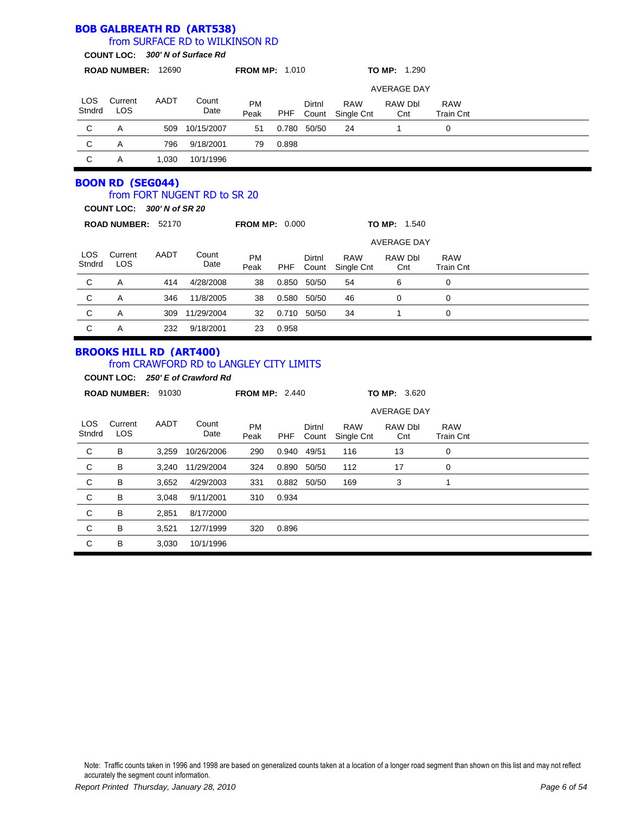|                      |                                                                             |       | <b>BOB GALBREATH RD (ART538)</b>                                            |                       |            |                 |                                |                     |                                |  |
|----------------------|-----------------------------------------------------------------------------|-------|-----------------------------------------------------------------------------|-----------------------|------------|-----------------|--------------------------------|---------------------|--------------------------------|--|
|                      |                                                                             |       | from SURFACE RD to WILKINSON RD<br>COUNT LOC: 300' N of Surface Rd          |                       |            |                 |                                |                     |                                |  |
|                      |                                                                             |       |                                                                             |                       |            |                 |                                |                     |                                |  |
|                      | ROAD NUMBER: 12690                                                          |       |                                                                             | <b>FROM MP: 1.010</b> |            |                 |                                | TO MP: 1.290        |                                |  |
|                      |                                                                             |       |                                                                             |                       |            |                 |                                | <b>AVERAGE DAY</b>  |                                |  |
| LOS.<br>Stndrd       | Current<br><b>LOS</b>                                                       | AADT  | Count<br>Date                                                               | <b>PM</b><br>Peak     | PHF        | Dirtnl          | <b>RAW</b><br>Count Single Cnt | RAW Dbl<br>Cnt      | <b>RAW</b><br><b>Train Cnt</b> |  |
| C                    | A                                                                           | 509   | 10/15/2007                                                                  | 51                    |            | 0.780 50/50     | 24                             | $\mathbf{1}$        | $\mathbf 0$                    |  |
| C                    | A                                                                           | 796   | 9/18/2001                                                                   | 79                    | 0.898      |                 |                                |                     |                                |  |
| C                    | A                                                                           | 1,030 | 10/1/1996                                                                   |                       |            |                 |                                |                     |                                |  |
|                      | <b>BOON RD (SEG044)</b><br>COUNT LOC: 300' N of SR 20<br>ROAD NUMBER: 52170 |       | from FORT NUGENT RD to SR 20                                                | <b>FROM MP: 0.000</b> |            |                 |                                | <b>TO MP: 1.540</b> |                                |  |
|                      |                                                                             |       |                                                                             |                       |            |                 |                                | <b>AVERAGE DAY</b>  |                                |  |
| <b>LOS</b><br>Stndrd | Current<br><b>LOS</b>                                                       | AADT  | Count<br>Date                                                               | PM<br>Peak            | <b>PHF</b> | Dirtnl<br>Count | <b>RAW</b><br>Single Cnt       | RAW Dbl<br>Cnt      | <b>RAW</b><br><b>Train Cnt</b> |  |
| С                    | A                                                                           | 414   | 4/28/2008                                                                   | 38                    |            | 0.850 50/50     | 54                             | 6                   | $\mathbf 0$                    |  |
| C                    | A                                                                           | 346   | 11/8/2005                                                                   | 38                    | 0.580      | 50/50           | 46                             | $\Omega$            | $\mathbf 0$                    |  |
| C                    | A                                                                           | 309   | 11/29/2004                                                                  | 32                    |            | 0.710 50/50     | 34                             | $\mathbf{1}$        | $\mathbf 0$                    |  |
| C                    | A                                                                           | 232   | 9/18/2001                                                                   | 23                    | 0.958      |                 |                                |                     |                                |  |
|                      | <b>BROOKS HILL RD (ART400)</b>                                              |       | from CRAWFORD RD to LANGLEY CITY LIMITS<br>COUNT LOC: 250' E of Crawford Rd |                       |            |                 |                                |                     |                                |  |
|                      | ROAD NUMBER: 91030                                                          |       |                                                                             | <b>FROM MP: 2.440</b> |            |                 |                                | <b>TO MP: 3.620</b> |                                |  |
|                      |                                                                             |       |                                                                             |                       |            |                 |                                | <b>AVERAGE DAY</b>  |                                |  |
| <b>LOS</b><br>Stndrd | Current<br><b>LOS</b>                                                       | AADT  | Count<br>Date                                                               | PM<br>Peak            | <b>PHF</b> | Dirtnl<br>Count | <b>RAW</b><br>Single Cnt       | RAW Dbl<br>Cnt      | <b>RAW</b><br><b>Train Cnt</b> |  |
| С                    | B                                                                           | 3,259 | 10/26/2006                                                                  | 290                   |            | 0.940 49/51     | 116                            | 13                  | $\mathbf 0$                    |  |
| С                    | B                                                                           | 3,240 | 11/29/2004                                                                  | 324                   |            | 0.890 50/50     | 112                            | 17                  | 0                              |  |
| C                    | B                                                                           | 3,652 | 4/29/2003                                                                   | 331                   |            | 0.882 50/50     | 169                            | 3                   | $\mathbf{1}$                   |  |
| С                    | B                                                                           | 3,048 | 9/11/2001                                                                   | 310                   | 0.934      |                 |                                |                     |                                |  |
| С                    | B                                                                           | 2,851 | 8/17/2000                                                                   |                       |            |                 |                                |                     |                                |  |
| С                    | B                                                                           | 3,521 | 12/7/1999                                                                   | 320                   | 0.896      |                 |                                |                     |                                |  |
| C                    | B                                                                           | 3.030 | 10/1/1996                                                                   |                       |            |                 |                                |                     |                                |  |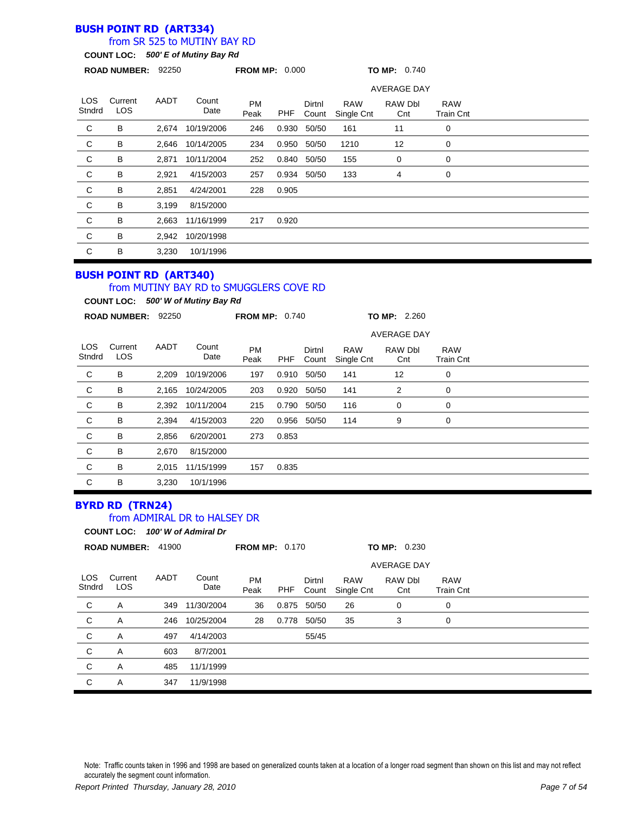### **BUSH POINT RD (ART334)**

### from SR 525 to MUTINY BAY RD

**COUNT LOC:** *500' E of Mutiny Bay Rd*

|                      | ROAD NUMBER: 92250    |       |               | <b>FROM MP: 0.000</b> |            |                 |                          | TO MP: 0.740       |                         |  |
|----------------------|-----------------------|-------|---------------|-----------------------|------------|-----------------|--------------------------|--------------------|-------------------------|--|
|                      |                       |       |               |                       |            |                 |                          | <b>AVERAGE DAY</b> |                         |  |
| <b>LOS</b><br>Stndrd | Current<br><b>LOS</b> | AADT  | Count<br>Date | <b>PM</b><br>Peak     | <b>PHF</b> | Dirtnl<br>Count | <b>RAW</b><br>Single Cnt | RAW Dbl<br>Cnt     | <b>RAW</b><br>Train Cnt |  |
| C                    | B                     | 2.674 | 10/19/2006    | 246                   | 0.930      | 50/50           | 161                      | 11                 | 0                       |  |
| C                    | B                     | 2.646 | 10/14/2005    | 234                   | 0.950      | 50/50           | 1210                     | 12                 | 0                       |  |
| $\mathsf{C}$         | B                     | 2,871 | 10/11/2004    | 252                   |            | 0.840 50/50     | 155                      | 0                  | 0                       |  |
| ${\rm C}$            | B                     | 2,921 | 4/15/2003     | 257                   | 0.934      | 50/50           | 133                      | 4                  | 0                       |  |
| $\mathsf C$          | B                     | 2,851 | 4/24/2001     | 228                   | 0.905      |                 |                          |                    |                         |  |
| C                    | B                     | 3,199 | 8/15/2000     |                       |            |                 |                          |                    |                         |  |
| C                    | B                     | 2,663 | 11/16/1999    | 217                   | 0.920      |                 |                          |                    |                         |  |
| C                    | B                     | 2,942 | 10/20/1998    |                       |            |                 |                          |                    |                         |  |
| C                    | B                     | 3,230 | 10/1/1996     |                       |            |                 |                          |                    |                         |  |

### **BUSH POINT RD (ART340)**

#### from MUTINY BAY RD to SMUGGLERS COVE RD

**COUNT LOC:** *500' W of Mutiny Bay Rd*

|                | <b>ROAD NUMBER:</b>   | 92250 |               | <b>FROM MP: 0.740</b> |            |                 |                          | <b>TO MP: 2.260</b> |                                |  |
|----------------|-----------------------|-------|---------------|-----------------------|------------|-----------------|--------------------------|---------------------|--------------------------------|--|
|                |                       |       |               |                       |            |                 |                          | <b>AVERAGE DAY</b>  |                                |  |
| LOS.<br>Stndrd | Current<br><b>LOS</b> | AADT  | Count<br>Date | <b>PM</b><br>Peak     | <b>PHF</b> | Dirtnl<br>Count | <b>RAW</b><br>Single Cnt | RAW Dbl<br>Cnt      | <b>RAW</b><br><b>Train Cnt</b> |  |
| C              | В                     | 2,209 | 10/19/2006    | 197                   | 0.910      | 50/50           | 141                      | 12                  | 0                              |  |
| C              | В                     | 2,165 | 10/24/2005    | 203                   | 0.920      | 50/50           | 141                      | 2                   | 0                              |  |
| C              | В                     | 2,392 | 10/11/2004    | 215                   | 0.790      | 50/50           | 116                      | 0                   | 0                              |  |
| C              | В                     | 2,394 | 4/15/2003     | 220                   | 0.956      | 50/50           | 114                      | 9                   | 0                              |  |
| C              | B                     | 2,856 | 6/20/2001     | 273                   | 0.853      |                 |                          |                     |                                |  |
| C              | В                     | 2,670 | 8/15/2000     |                       |            |                 |                          |                     |                                |  |
| C              | В                     | 2,015 | 11/15/1999    | 157                   | 0.835      |                 |                          |                     |                                |  |
| C              | В                     | 3,230 | 10/1/1996     |                       |            |                 |                          |                     |                                |  |

# **BYRD RD (TRN24)**

#### from ADMIRAL DR to HALSEY DR

**COUNT LOC:** *100' W of Admiral Dr*

|                | <b>ROAD NUMBER:</b>   | 41900 |               | <b>FROM MP: 0.170</b> |       |                 |                          | <b>TO MP: 0.230</b>   |                                |  |  |
|----------------|-----------------------|-------|---------------|-----------------------|-------|-----------------|--------------------------|-----------------------|--------------------------------|--|--|
|                |                       |       |               |                       |       |                 |                          |                       |                                |  |  |
| LOS.<br>Stndrd | Current<br><b>LOS</b> | AADT  | Count<br>Date | <b>PM</b><br>Peak     | PHF   | Dirtnl<br>Count | <b>RAW</b><br>Single Cnt | <b>RAW Dbl</b><br>Cnt | <b>RAW</b><br><b>Train Cnt</b> |  |  |
| C              | Α                     | 349   | 11/30/2004    | 36                    | 0.875 | 50/50           | 26                       | 0                     | 0                              |  |  |
| C              | Α                     | 246   | 10/25/2004    | 28                    | 0.778 | 50/50           | 35                       | 3                     | 0                              |  |  |
| C              | Α                     | 497   | 4/14/2003     |                       |       | 55/45           |                          |                       |                                |  |  |
| C              | Α                     | 603   | 8/7/2001      |                       |       |                 |                          |                       |                                |  |  |
| C              | A                     | 485   | 11/1/1999     |                       |       |                 |                          |                       |                                |  |  |
| C              | A                     | 347   | 11/9/1998     |                       |       |                 |                          |                       |                                |  |  |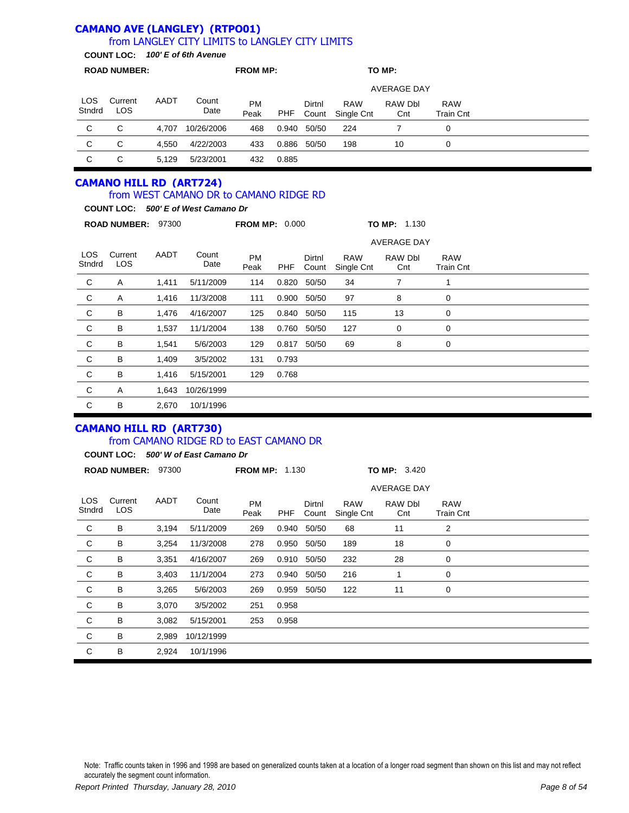#### **CAMANO AVE (LANGLEY) (RTPO01)** from LANGLEY CITY LIMITS to LANGLEY CITY LIMITS

**COUNT LOC:** *100' E of 6th Avenue*

|               | <b>ROAD NUMBER:</b>   |       |               | <b>FROM MP:</b>   |       |                 |                          | TO MP:         |                                |  |  |
|---------------|-----------------------|-------|---------------|-------------------|-------|-----------------|--------------------------|----------------|--------------------------------|--|--|
|               | <b>AVERAGE DAY</b>    |       |               |                   |       |                 |                          |                |                                |  |  |
| LOS<br>Stndrd | Current<br><b>LOS</b> | AADT  | Count<br>Date | <b>PM</b><br>Peak | PHF   | Dirtnl<br>Count | <b>RAW</b><br>Single Cnt | RAW Dbl<br>Cnt | <b>RAW</b><br><b>Train Cnt</b> |  |  |
| C             | C                     | 4.707 | 10/26/2006    | 468               | 0.940 | 50/50           | 224                      |                | 0                              |  |  |
| C             | C                     | 4.550 | 4/22/2003     | 433               | 0.886 | 50/50           | 198                      | 10             | 0                              |  |  |
| C             | С                     | 5.129 | 5/23/2001     | 432               | 0.885 |                 |                          |                |                                |  |  |

### **CAMANO HILL RD (ART724)**

### from WEST CAMANO DR to CAMANO RIDGE RD

**COUNT LOC:** *500' E of West Camano Dr*

|                      | <b>ROAD NUMBER:</b>   | 97300 |               | <b>FROM MP: 0.000</b> |            |                 |                          | <b>TO MP: 1.130</b> |                         |  |  |
|----------------------|-----------------------|-------|---------------|-----------------------|------------|-----------------|--------------------------|---------------------|-------------------------|--|--|
|                      |                       |       |               |                       |            |                 |                          | <b>AVERAGE DAY</b>  |                         |  |  |
| <b>LOS</b><br>Stndrd | Current<br><b>LOS</b> | AADT  | Count<br>Date | <b>PM</b><br>Peak     | <b>PHF</b> | Dirtnl<br>Count | <b>RAW</b><br>Single Cnt | RAW Dbl<br>Cnt      | <b>RAW</b><br>Train Cnt |  |  |
| C                    | Α                     | 1,411 | 5/11/2009     | 114                   | 0.820      | 50/50           | 34                       | 7                   | 1                       |  |  |
| C                    | Α                     | 1,416 | 11/3/2008     | 111                   | 0.900      | 50/50           | 97                       | 8                   | 0                       |  |  |
| C                    | В                     | 1,476 | 4/16/2007     | 125                   | 0.840      | 50/50           | 115                      | 13                  | 0                       |  |  |
| C                    | В                     | 1,537 | 11/1/2004     | 138                   | 0.760      | 50/50           | 127                      | 0                   | 0                       |  |  |
| C                    | В                     | 1,541 | 5/6/2003      | 129                   | 0.817      | 50/50           | 69                       | 8                   | 0                       |  |  |
| C                    | В                     | 1,409 | 3/5/2002      | 131                   | 0.793      |                 |                          |                     |                         |  |  |
| C                    | В                     | 1,416 | 5/15/2001     | 129                   | 0.768      |                 |                          |                     |                         |  |  |
| C                    | A                     | 1,643 | 10/26/1999    |                       |            |                 |                          |                     |                         |  |  |
| C                    | В                     | 2,670 | 10/1/1996     |                       |            |                 |                          |                     |                         |  |  |

# **CAMANO HILL RD (ART730)**

### from CAMANO RIDGE RD to EAST CAMANO DR

**COUNT LOC:** *500' W of East Camano Dr*

|                      | <b>ROAD NUMBER:</b> | 97300 |               | <b>FROM MP: 1.130</b> |            |                 |                          | TO MP: 3.420       |                                |  |
|----------------------|---------------------|-------|---------------|-----------------------|------------|-----------------|--------------------------|--------------------|--------------------------------|--|
|                      |                     |       |               |                       |            |                 |                          | <b>AVERAGE DAY</b> |                                |  |
| <b>LOS</b><br>Stndrd | Current<br>LOS.     | AADT  | Count<br>Date | <b>PM</b><br>Peak     | <b>PHF</b> | Dirtnl<br>Count | <b>RAW</b><br>Single Cnt | RAW Dbl<br>Cnt     | <b>RAW</b><br><b>Train Cnt</b> |  |
| C                    | В                   | 3,194 | 5/11/2009     | 269                   | 0.940      | 50/50           | 68                       | 11                 | 2                              |  |
| C                    | В                   | 3,254 | 11/3/2008     | 278                   | 0.950      | 50/50           | 189                      | 18                 | 0                              |  |
| C                    | В                   | 3,351 | 4/16/2007     | 269                   | 0.910      | 50/50           | 232                      | 28                 | 0                              |  |
| C                    | В                   | 3,403 | 11/1/2004     | 273                   | 0.940      | 50/50           | 216                      |                    | 0                              |  |
| C                    | В                   | 3,265 | 5/6/2003      | 269                   | 0.959      | 50/50           | 122                      | 11                 | 0                              |  |
| C                    | В                   | 3,070 | 3/5/2002      | 251                   | 0.958      |                 |                          |                    |                                |  |
| С                    | В                   | 3,082 | 5/15/2001     | 253                   | 0.958      |                 |                          |                    |                                |  |
| С                    | В                   | 2,989 | 10/12/1999    |                       |            |                 |                          |                    |                                |  |
| C                    | В                   | 2,924 | 10/1/1996     |                       |            |                 |                          |                    |                                |  |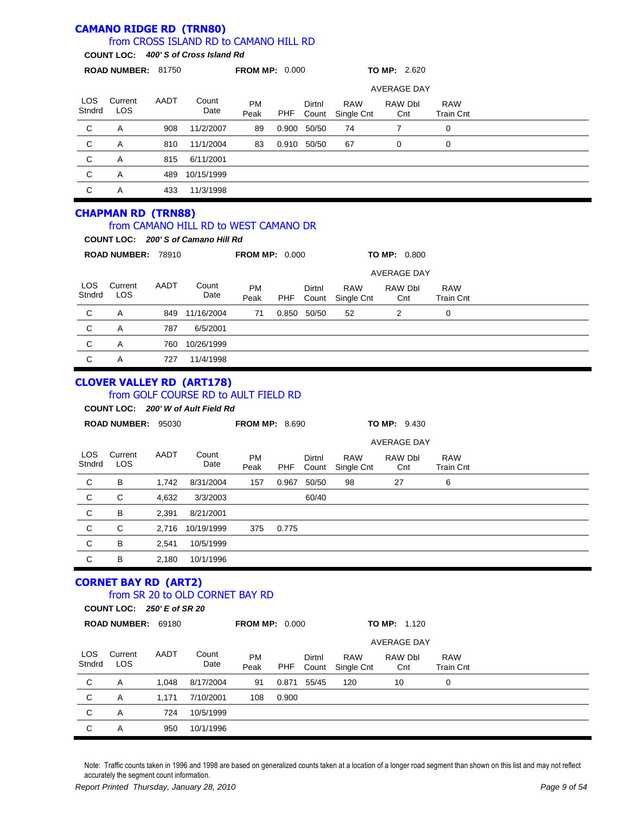#### **CAMANO RIDGE RD (TRN80)** LOS Stndrd Current LOS PM Peak Dirtnl Count RAW Single Cnt **ROAD NUMBER:** 81750 **FROM MP:** 0.000 **TO MP:** 2.620 **COUNT LOC:** *400' S of Cross Island Rd* from CROSS ISLAND RD to CAMANO HILL RD AADT Count Date RAW Dbl **Cnt** RAW Train Cnt AVERAGE DAY PHF C A 908 11/2/2007 89 0.900 50/50 74 7 0 C A 810 11/1/2004 83 0.910 50/50 67 0 0 C A 815 6/11/2001 C A 489 10/15/1999 C A 433 11/3/1998 **CHAPMAN RD (TRN88)** LOS **Stndrd Current** LOS PM Peak Dirtnl Count RAW Single Cnt **ROAD NUMBER:** 78910 **FROM MP:** 0.000 **TO MP:** 0.800 **COUNT LOC:** *200' S of Camano Hill Rd* from CAMANO HILL RD to WEST CAMANO DR AADT Count Date RAW Dbl **Cnt** RAW Train Cnt AVERAGE DAY PHF C A 849 11/16/2004 71 0.850 50/50 52 2 0 C A 787 6/5/2001 C A 760 10/26/1999 C A 727 11/4/1998 **CLOVER VALLEY RD (ART178)** LOS **Stndrd Current** LOS PM Peak Dirtnl Count RAW Single Cnt **ROAD NUMBER:** 95030 **FROM MP:** 8.690 **TO MP:** 9.430 **COUNT LOC:** *200' W of Ault Field Rd* from GOLF COURSE RD to AULT FIELD RD AADT Count Date RAW Dbl Cnt RAW Train Cnt AVERAGE DAY PHF C B 1,742 8/31/2004 157 0.967 50/50 98 27 6 C C 4,632 3/3/2003 60/40 C B 2,391 8/21/2001 C C 2,716 10/19/1999 375 0.775 C B 2,541 10/5/1999 C B 2,180 10/1/1996 **CORNET BAY RD (ART2)** LOS **Stndrd** Current LOS PM Peak Dirtnl Count RAW Single Cnt **ROAD NUMBER:** 69180 **FROM MP:** 0.000 **TO MP:** 1.120 **COUNT LOC:** *250' E of SR 20* from SR 20 to OLD CORNET BAY RD AADT Count Date RAW Dbl **Cnt** RAW Train Cnt AVERAGE DAY PHF C A 1,048 8/17/2004 91 0.871 55/45 120 10 0 C A 1,171 7/10/2001 108 0.900 C A 724 10/5/1999

Note: Traffic counts taken in 1996 and 1998 are based on generalized counts taken at a location of a longer road segment than shown on this list and may not reflect accurately the segment count information.

C A 950 10/1/1996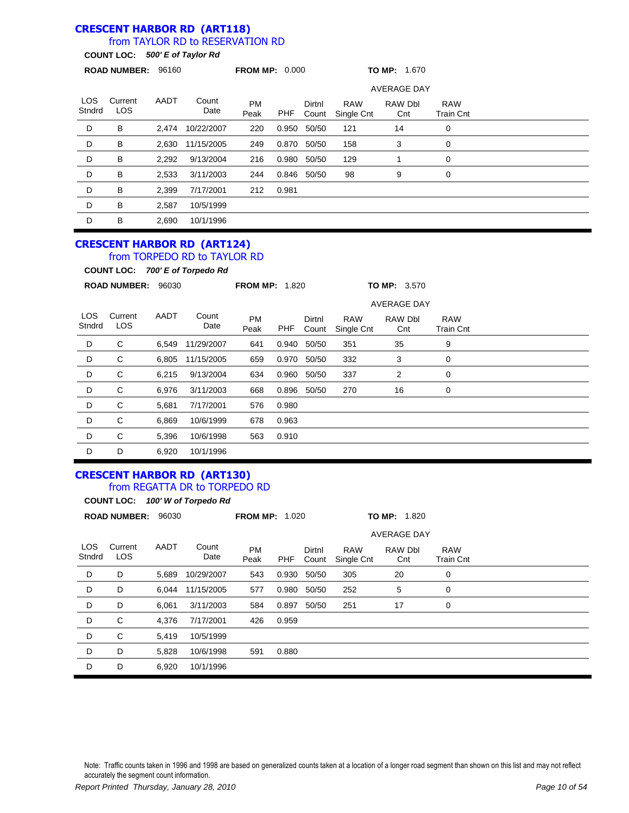#### **CRESCENT HARBOR RD (ART118)** from TAYLOR RD to RESERVATION RD

## **COUNT LOC:** *500' E of Taylor Rd*

|                | <b>ROAD NUMBER:</b>   | 96160 |               | <b>FROM MP: 0.000</b> |       |                    |                          | TO MP: 1.670   |                                |  |
|----------------|-----------------------|-------|---------------|-----------------------|-------|--------------------|--------------------------|----------------|--------------------------------|--|
|                |                       |       |               |                       |       | <b>AVERAGE DAY</b> |                          |                |                                |  |
| LOS.<br>Stndrd | Current<br><b>LOS</b> | AADT  | Count<br>Date | <b>PM</b><br>Peak     | PHF   | Dirtnl<br>Count    | <b>RAW</b><br>Single Cnt | RAW Dbl<br>Cnt | <b>RAW</b><br><b>Train Cnt</b> |  |
| D              | В                     | 2,474 | 10/22/2007    | 220                   | 0.950 | 50/50              | 121                      | 14             | 0                              |  |
| D              | В                     | 2,630 | 11/15/2005    | 249                   | 0.870 | 50/50              | 158                      | 3              | 0                              |  |
| D              | В                     | 2,292 | 9/13/2004     | 216                   | 0.980 | 50/50              | 129                      |                | 0                              |  |
| D              | B                     | 2,533 | 3/11/2003     | 244                   | 0.846 | 50/50              | 98                       | 9              | 0                              |  |
| D              | B                     | 2,399 | 7/17/2001     | 212                   | 0.981 |                    |                          |                |                                |  |
| D              | B                     | 2,587 | 10/5/1999     |                       |       |                    |                          |                |                                |  |
| D              | B                     | 2,690 | 10/1/1996     |                       |       |                    |                          |                |                                |  |

#### **CRESCENT HARBOR RD (ART124)** from TORPEDO RD to TAYLOR RD

**COUNT LOC:** *700' E of Torpedo Rd*

|                      | <b>ROAD NUMBER:</b>   | 96030 |               | <b>FROM MP: 1.820</b> |       |                 |                          | <b>TO MP: 3.570</b> |                                |  |  |
|----------------------|-----------------------|-------|---------------|-----------------------|-------|-----------------|--------------------------|---------------------|--------------------------------|--|--|
|                      |                       |       |               |                       |       |                 |                          |                     |                                |  |  |
| <b>LOS</b><br>Stndrd | Current<br><b>LOS</b> | AADT  | Count<br>Date | <b>PM</b><br>Peak     | PHF   | Dirtnl<br>Count | <b>RAW</b><br>Single Cnt | RAW Dbl<br>Cnt      | <b>RAW</b><br><b>Train Cnt</b> |  |  |
| D                    | C                     | 6,549 | 11/29/2007    | 641                   | 0.940 | 50/50           | 351                      | 35                  | 9                              |  |  |
| D                    | C                     | 6,805 | 11/15/2005    | 659                   | 0.970 | 50/50           | 332                      | 3                   | 0                              |  |  |
| D                    | C                     | 6,215 | 9/13/2004     | 634                   | 0.960 | 50/50           | 337                      | 2                   | 0                              |  |  |
| D                    | C                     | 6,976 | 3/11/2003     | 668                   | 0.896 | 50/50           | 270                      | 16                  | 0                              |  |  |
| D                    | C                     | 5,681 | 7/17/2001     | 576                   | 0.980 |                 |                          |                     |                                |  |  |
| D                    | C                     | 6,869 | 10/6/1999     | 678                   | 0.963 |                 |                          |                     |                                |  |  |
| D                    | C                     | 5,396 | 10/6/1998     | 563                   | 0.910 |                 |                          |                     |                                |  |  |
| D                    | D                     | 6,920 | 10/1/1996     |                       |       |                 |                          |                     |                                |  |  |

# **CRESCENT HARBOR RD (ART130)**

#### from REGATTA DR to TORPEDO RD

LOS Stndrd Current LOS PM Peak Dirtnl Count RAW Single Cnt **ROAD NUMBER:** 96030 **FROM MP:** 1.020 **TO MP:** 1.820 **COUNT LOC:** *100' W of Torpedo Rd* AADT Count Date RAW Dbl Cnt RAW Train Cnt AVERAGE DAY PHF D D 5,689 10/29/2007 543 0.930 50/50 305 20 0 D D 6,044 11/15/2005 577 0.980 50/50 252 5 0 D D 6,061 3/11/2003 584 0.897 50/50 251 17 0 D C 4,376 7/17/2001 426 0.959 D C 5,419 10/5/1999 D D 5,828 10/6/1998 591 0.880 D D 6,920 10/1/1996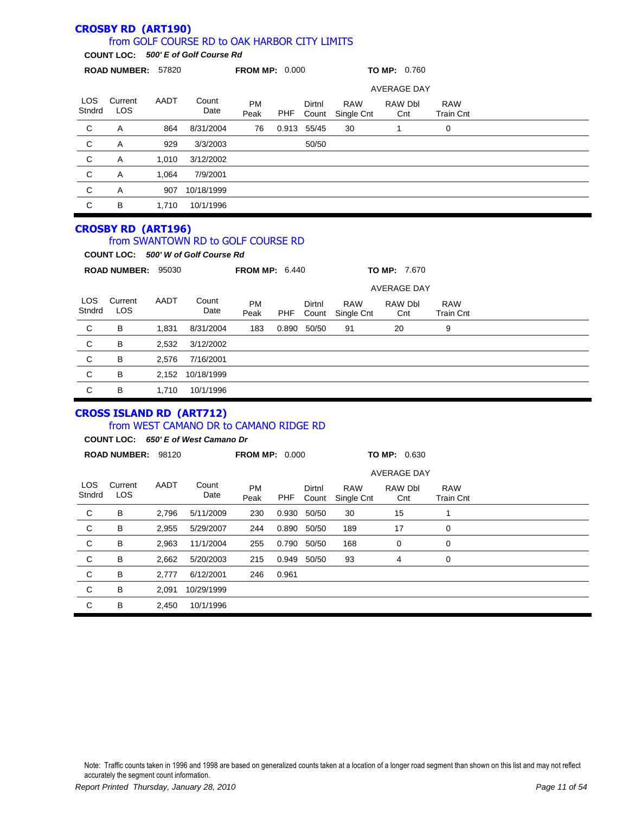|                | <b>CROSBY RD (ART190)</b> |       | from GOLF COURSE RD to OAK HARBOR CITY LIMITS                                                                    |                       |            |                 |                          |                     |                                |  |
|----------------|---------------------------|-------|------------------------------------------------------------------------------------------------------------------|-----------------------|------------|-----------------|--------------------------|---------------------|--------------------------------|--|
|                |                           |       | COUNT LOC: 500' E of Golf Course Rd                                                                              |                       |            |                 |                          |                     |                                |  |
|                | ROAD NUMBER: 57820        |       |                                                                                                                  | <b>FROM MP: 0.000</b> |            |                 |                          | <b>TO MP: 0.760</b> |                                |  |
|                |                           |       |                                                                                                                  |                       |            |                 |                          | <b>AVERAGE DAY</b>  |                                |  |
| LOS.<br>Stndrd | Current<br>LOS            | AADT  | Count<br>Date                                                                                                    | <b>PM</b><br>Peak     | PHF        | Dirtnl<br>Count | <b>RAW</b><br>Single Cnt | RAW Dbl<br>Cnt      | <b>RAW</b><br><b>Train Cnt</b> |  |
| C              | Α                         | 864   | 8/31/2004                                                                                                        | 76                    |            | 0.913 55/45     | 30                       | $\mathbf{1}$        | $\mathbf 0$                    |  |
| C              | Α                         | 929   | 3/3/2003                                                                                                         |                       |            | 50/50           |                          |                     |                                |  |
| C              | Α                         | 1,010 | 3/12/2002                                                                                                        |                       |            |                 |                          |                     |                                |  |
| C              | Α                         | 1,064 | 7/9/2001                                                                                                         |                       |            |                 |                          |                     |                                |  |
| C              | A                         | 907   | 10/18/1999                                                                                                       |                       |            |                 |                          |                     |                                |  |
| $\mathbf C$    | B                         | 1,710 | 10/1/1996                                                                                                        |                       |            |                 |                          |                     |                                |  |
|                | ROAD NUMBER: 95030        |       | from SWANTOWN RD to GOLF COURSE RD<br>COUNT LOC: 500' W of Golf Course Rd                                        | <b>FROM MP: 6.440</b> |            |                 |                          | <b>TO MP: 7.670</b> |                                |  |
|                |                           |       |                                                                                                                  |                       |            |                 |                          | <b>AVERAGE DAY</b>  |                                |  |
| LOS.<br>Stndrd | Current<br><b>LOS</b>     | AADT  | Count<br>Date                                                                                                    | <b>PM</b><br>Peak     | PHF        | Dirtnl<br>Count | <b>RAW</b><br>Single Cnt | RAW Dbl<br>Cnt      | <b>RAW</b><br><b>Train Cnt</b> |  |
| C              | B                         | 1,831 | 8/31/2004                                                                                                        | 183                   |            | 0.890 50/50     | 91                       | 20                  | 9                              |  |
| C              | B                         | 2,532 | 3/12/2002                                                                                                        |                       |            |                 |                          |                     |                                |  |
| C              | B                         | 2,576 | 7/16/2001                                                                                                        |                       |            |                 |                          |                     |                                |  |
| C              | B                         | 2,152 | 10/18/1999                                                                                                       |                       |            |                 |                          |                     |                                |  |
| C              | B                         | 1,710 | 10/1/1996                                                                                                        |                       |            |                 |                          |                     |                                |  |
|                | ROAD NUMBER: 98120        |       | <b>CROSS ISLAND RD (ART712)</b><br>from WEST CAMANO DR to CAMANO RIDGE RD<br>COUNT LOC: 650' E of West Camano Dr | <b>FROM MP: 0.000</b> |            |                 |                          | <b>TO MP: 0.630</b> |                                |  |
|                |                           |       |                                                                                                                  |                       |            |                 |                          | <b>AVERAGE DAY</b>  |                                |  |
| LOS<br>Stndrd  | Current AADT<br>LOS       |       | Count<br>Date                                                                                                    | PM<br>Peak            | <b>PHF</b> | Dirtnl<br>Count | <b>RAW</b><br>Single Cnt | RAW Dbl<br>Cnt      | <b>RAW</b><br><b>Train Cnt</b> |  |
| $\mathsf C$    | B                         | 2,796 | 5/11/2009                                                                                                        | 230                   | 0.930      | 50/50           | 30                       | 15                  | $\mathbf{1}$                   |  |
| $\mathbf C$    | В                         | 2,955 | 5/29/2007                                                                                                        | 244                   | 0.890      | 50/50           | 189                      | 17                  | 0                              |  |
| С              | В                         | 2,963 | 11/1/2004                                                                                                        | 255                   | 0.790      | 50/50           | 168                      | 0                   | $\pmb{0}$                      |  |
| $\mathsf C$    | B                         | 2,662 | 5/20/2003                                                                                                        | 215                   |            | 0.949 50/50     | 93                       | $\overline{4}$      | $\pmb{0}$                      |  |

Note: Traffic counts taken in 1996 and 1998 are based on generalized counts taken at a location of a longer road segment than shown on this list and may not reflect accurately the segment count information.

C B 2,777 6/12/2001 246 0.961

C B 2,091 10/29/1999 C B 2,450 10/1/1996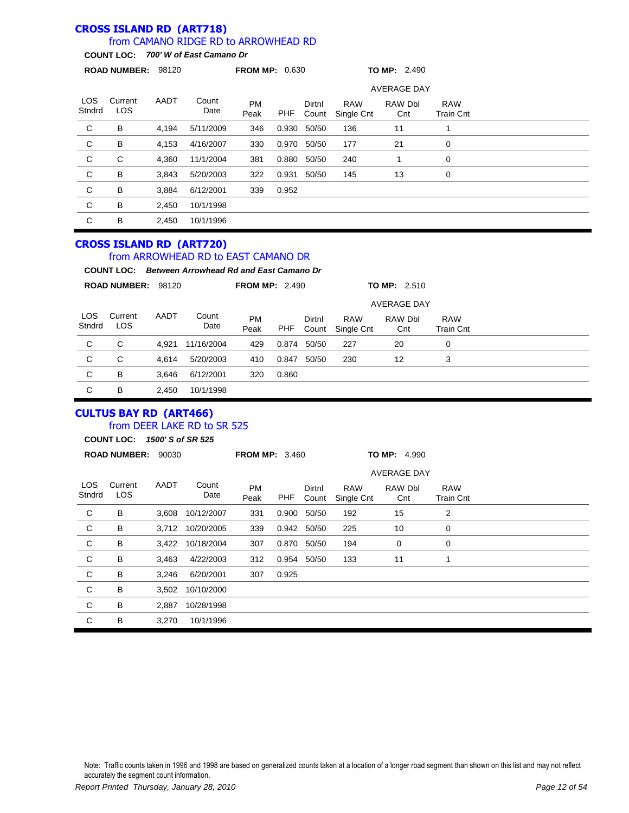#### **CROSS ISLAND RD (ART718)** from CAMANO RIDGE RD to ARROWHEAD RD

**COUNT LOC:** *700' W of East Camano Dr*

|                      | ROAD NUMBER: 98120 |             |                                                                                                                                     | <b>FROM MP: 0.630</b> |       |                 |                          | <b>TO MP: 2.490</b> |                                |
|----------------------|--------------------|-------------|-------------------------------------------------------------------------------------------------------------------------------------|-----------------------|-------|-----------------|--------------------------|---------------------|--------------------------------|
|                      |                    |             |                                                                                                                                     |                       |       |                 |                          | <b>AVERAGE DAY</b>  |                                |
| <b>LOS</b><br>Stndrd | Current<br>LOS     | <b>AADT</b> | Count<br>Date                                                                                                                       | <b>PM</b><br>Peak     | PHF   | Dirtnl<br>Count | <b>RAW</b><br>Single Cnt | RAW Dbl<br>Cnt      | <b>RAW</b><br><b>Train Cnt</b> |
| C                    | B                  | 4,194       | 5/11/2009                                                                                                                           | 346                   | 0.930 | 50/50           | 136                      | 11                  | $\mathbf{1}$                   |
| C                    | B                  | 4,153       | 4/16/2007                                                                                                                           | 330                   | 0.970 | 50/50           | 177                      | 21                  | 0                              |
| C                    | C                  | 4.360       | 11/1/2004                                                                                                                           | 381                   | 0.880 | 50/50           | 240                      | 1                   | $\mathbf 0$                    |
| $\mathsf{C}$         | B                  | 3,843       | 5/20/2003                                                                                                                           | 322                   | 0.931 | 50/50           | 145                      | 13                  | 0                              |
| $\mathbf C$          | B                  | 3,884       | 6/12/2001                                                                                                                           | 339                   | 0.952 |                 |                          |                     |                                |
| $\mathbf C$          | B                  | 2,450       | 10/1/1998                                                                                                                           |                       |       |                 |                          |                     |                                |
| $\mathsf C$          | B                  | 2,450       | 10/1/1996                                                                                                                           |                       |       |                 |                          |                     |                                |
|                      |                    |             |                                                                                                                                     |                       |       |                 |                          |                     |                                |
|                      |                    |             | <b>CROSS ISLAND RD (ART720)</b><br>from ARROWHEAD RD to EAST CAMANO DR<br><b>COUNT LOC:</b> Between Arrowhead Rd and East Camano Dr |                       |       |                 |                          |                     |                                |
|                      | ROAD NUMBER: 98120 |             |                                                                                                                                     | <b>FROM MP: 2.490</b> |       |                 |                          | TO MP: 2.510        |                                |
|                      |                    |             |                                                                                                                                     |                       |       |                 |                          | <b>AVERAGE DAY</b>  |                                |
| <b>LOS</b><br>Stndrd | Current<br>LOS     | <b>AADT</b> | Count<br>Date                                                                                                                       | <b>PM</b><br>Peak     | PHF   | Dirtnl<br>Count | <b>RAW</b><br>Single Cnt | RAW Dbl<br>Cnt      | <b>RAW</b><br><b>Train Cnt</b> |
| C                    | C                  | 4,921       | 11/16/2004                                                                                                                          | 429                   | 0.874 | 50/50           | 227                      | 20                  | 0                              |
| C                    | C                  | 4,614       | 5/20/2003                                                                                                                           | 410                   | 0.847 | 50/50           | 230                      | 12                  | 3                              |
| C                    | в                  | 3.646       | 6/12/2001                                                                                                                           | 320                   | 0.860 |                 |                          |                     |                                |

### **CULTUS BAY RD (ART466)** from DEER LAKE RD to SR 525

**COUNT LOC:** *1500' S of SR 525*

|                | <b>ROAD NUMBER:</b> | 90030 |                  | <b>FROM MP: 3.460</b> |       |                 |                          | TO MP: 4.990       |                                |  |  |
|----------------|---------------------|-------|------------------|-----------------------|-------|-----------------|--------------------------|--------------------|--------------------------------|--|--|
|                |                     |       |                  |                       |       |                 |                          | <b>AVERAGE DAY</b> |                                |  |  |
| LOS.<br>Stndrd | Current<br>LOS.     | AADT  | Count<br>Date    | <b>PM</b><br>Peak     | PHF   | Dirtnl<br>Count | <b>RAW</b><br>Single Cnt | RAW Dbl<br>Cnt     | <b>RAW</b><br><b>Train Cnt</b> |  |  |
| C              | B                   | 3.608 | 10/12/2007       | 331                   | 0.900 | 50/50           | 192                      | 15                 | 2                              |  |  |
| C              | B                   |       | 3,712 10/20/2005 | 339                   |       | 0.942 50/50     | 225                      | 10                 | 0                              |  |  |
| $\mathbf C$    | B                   | 3,422 | 10/18/2004       | 307                   | 0.870 | 50/50           | 194                      | 0                  | 0                              |  |  |
| $\mathsf{C}$   | B                   | 3,463 | 4/22/2003        | 312                   |       | 0.954 50/50     | 133                      | 11                 | 1                              |  |  |
| C              | B                   | 3,246 | 6/20/2001        | 307                   | 0.925 |                 |                          |                    |                                |  |  |
| C              | B                   | 3,502 | 10/10/2000       |                       |       |                 |                          |                    |                                |  |  |
| C              | В                   | 2,887 | 10/28/1998       |                       |       |                 |                          |                    |                                |  |  |
| C              | B                   | 3,270 | 10/1/1996        |                       |       |                 |                          |                    |                                |  |  |
|                |                     |       |                  |                       |       |                 |                          |                    |                                |  |  |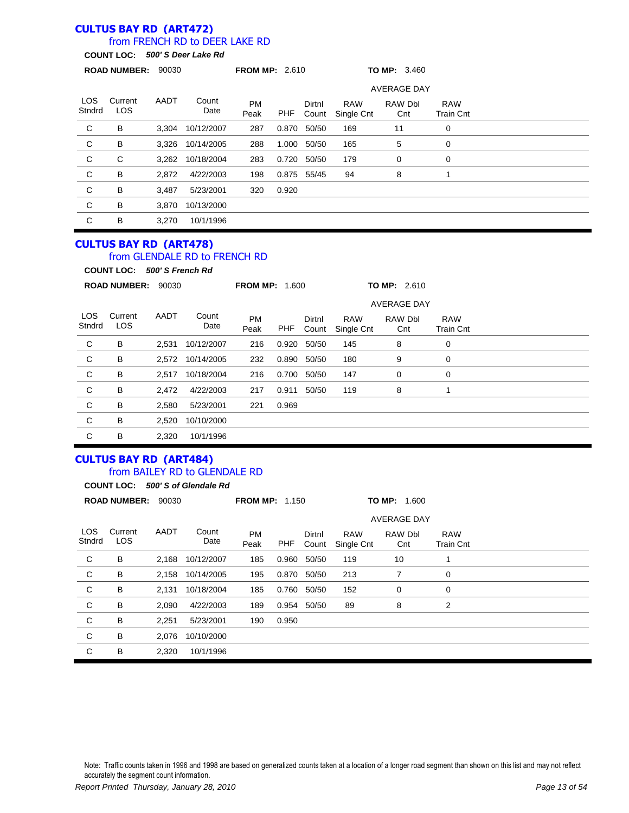#### **CULTUS BAY RD (ART472)** from FRENCH RD to DEER LAKE RD

# **COUNT LOC:** *500' S Deer Lake Rd*

|                      | <b>ROAD NUMBER:</b> | 90030 |               | <b>FROM MP: 2.610</b> |       |                 |                          |                    |                         |  |  |
|----------------------|---------------------|-------|---------------|-----------------------|-------|-----------------|--------------------------|--------------------|-------------------------|--|--|
|                      |                     |       |               |                       |       |                 |                          | <b>AVERAGE DAY</b> |                         |  |  |
| <b>LOS</b><br>Stndrd | Current<br>LOS      | AADT  | Count<br>Date | <b>PM</b><br>Peak     | PHF   | Dirtnl<br>Count | <b>RAW</b><br>Single Cnt | RAW Dbl<br>Cnt     | <b>RAW</b><br>Train Cnt |  |  |
| C                    | B                   | 3,304 | 10/12/2007    | 287                   | 0.870 | 50/50           | 169                      | 11                 | 0                       |  |  |
| C                    | B                   | 3,326 | 10/14/2005    | 288                   | 1.000 | 50/50           | 165                      | 5                  | 0                       |  |  |
| $\mathbf C$          | C                   | 3,262 | 10/18/2004    | 283                   | 0.720 | 50/50           | 179                      | 0                  | 0                       |  |  |
| C                    | B                   | 2,872 | 4/22/2003     | 198                   | 0.875 | 55/45           | 94                       | 8                  |                         |  |  |
| C                    | B                   | 3,487 | 5/23/2001     | 320                   | 0.920 |                 |                          |                    |                         |  |  |
| C                    | B                   | 3,870 | 10/13/2000    |                       |       |                 |                          |                    |                         |  |  |
| C                    | B                   | 3,270 | 10/1/1996     |                       |       |                 |                          |                    |                         |  |  |

#### **CULTUS BAY RD (ART478)** from GLENDALE RD to FRENCH RD

**COUNT LOC:** *500' S French Rd*

|                | <b>ROAD NUMBER:</b> | 90030 |                  | <b>FROM MP: 1.600</b> |            |                 |                          | TO MP: 2.610       |                                |  |
|----------------|---------------------|-------|------------------|-----------------------|------------|-----------------|--------------------------|--------------------|--------------------------------|--|
|                |                     |       |                  |                       |            |                 |                          | <b>AVERAGE DAY</b> |                                |  |
| LOS.<br>Stndrd | Current<br>LOS.     | AADT  | Count<br>Date    | <b>PM</b><br>Peak     | <b>PHF</b> | Dirtnl<br>Count | <b>RAW</b><br>Single Cnt | RAW Dbl<br>Cnt     | <b>RAW</b><br><b>Train Cnt</b> |  |
| C              | B                   | 2,531 | 10/12/2007       | 216                   | 0.920      | 50/50           | 145                      | 8                  | 0                              |  |
| C              | B                   |       | 2.572 10/14/2005 | 232                   | 0.890      | 50/50           | 180                      | 9                  | 0                              |  |
| C              | B                   | 2,517 | 10/18/2004       | 216                   | 0.700      | 50/50           | 147                      | 0                  | 0                              |  |
| C              | B                   | 2.472 | 4/22/2003        | 217                   | 0.911      | 50/50           | 119                      | 8                  |                                |  |
| C              | B                   | 2,580 | 5/23/2001        | 221                   | 0.969      |                 |                          |                    |                                |  |
| C              | B                   | 2,520 | 10/10/2000       |                       |            |                 |                          |                    |                                |  |
| C              | B                   | 2,320 | 10/1/1996        |                       |            |                 |                          |                    |                                |  |

#### **CULTUS BAY RD (ART484)** from BAILEY RD to GLENDALE RD

|                      |                       |       | COUNT LOC: 500' S of Glendale Rd |                       |       |                 |                          |                    |                                |  |
|----------------------|-----------------------|-------|----------------------------------|-----------------------|-------|-----------------|--------------------------|--------------------|--------------------------------|--|
|                      | <b>ROAD NUMBER:</b>   | 90030 |                                  | <b>FROM MP: 1.150</b> |       |                 |                          | TO MP: 1.600       |                                |  |
|                      |                       |       |                                  |                       |       |                 |                          | <b>AVERAGE DAY</b> |                                |  |
| <b>LOS</b><br>Stndrd | Current<br><b>LOS</b> | AADT  | Count<br>Date                    | <b>PM</b><br>Peak     | PHF   | Dirtnl<br>Count | <b>RAW</b><br>Single Cnt | RAW Dbl<br>Cnt     | <b>RAW</b><br><b>Train Cnt</b> |  |
| C                    | B                     | 2,168 | 10/12/2007                       | 185                   | 0.960 | 50/50           | 119                      | 10                 | 1                              |  |
| C                    | B                     | 2,158 | 10/14/2005                       | 195                   | 0.870 | 50/50           | 213                      | 7                  | 0                              |  |
| C                    | B                     | 2,131 | 10/18/2004                       | 185                   | 0.760 | 50/50           | 152                      | 0                  | 0                              |  |
| C                    | B                     | 2,090 | 4/22/2003                        | 189                   | 0.954 | 50/50           | 89                       | 8                  | 2                              |  |
| C                    | B                     | 2,251 | 5/23/2001                        | 190                   | 0.950 |                 |                          |                    |                                |  |
| C                    | B                     | 2,076 | 10/10/2000                       |                       |       |                 |                          |                    |                                |  |
| C                    | B                     | 2,320 | 10/1/1996                        |                       |       |                 |                          |                    |                                |  |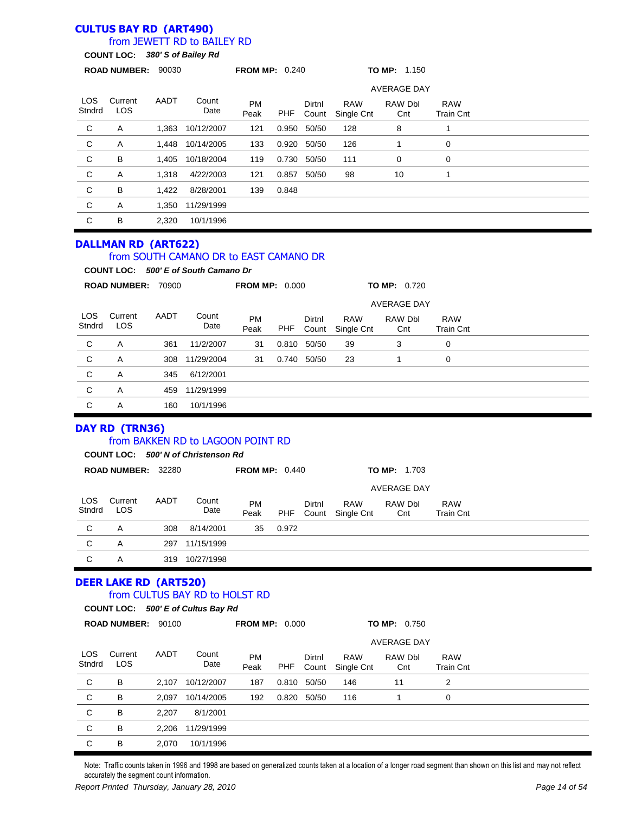### **CULTUS BAY RD (ART490)**

### from JEWETT RD to BAILEY RD

**COUNT LOC:** *380' S of Bailey Rd*

|                      | ROAD NUMBER: 90030                                 |       |                                                                                | <b>FROM MP: 0.240</b> |            |                 |                          | <b>TO MP: 1.150</b>                  |                                |  |
|----------------------|----------------------------------------------------|-------|--------------------------------------------------------------------------------|-----------------------|------------|-----------------|--------------------------|--------------------------------------|--------------------------------|--|
|                      | <b>AVERAGE DAY</b>                                 |       |                                                                                |                       |            |                 |                          |                                      |                                |  |
| <b>LOS</b><br>Stndrd | Current<br>LOS                                     | AADT  | Count<br>Date                                                                  | PM<br>Peak            | <b>PHF</b> | Dirtnl<br>Count | <b>RAW</b><br>Single Cnt | RAW Dbl<br>Cnt                       | <b>RAW</b><br><b>Train Cnt</b> |  |
| $\mathsf C$          | A                                                  | 1,363 | 10/12/2007                                                                     | 121                   | 0.950      | 50/50           | 128                      | 8                                    | 1                              |  |
| $\mathsf C$          | Α                                                  | 1,448 | 10/14/2005                                                                     | 133                   | 0.920      | 50/50           | 126                      | 1                                    | $\mathbf 0$                    |  |
| $\mathsf C$          | в                                                  | 1,405 | 10/18/2004                                                                     | 119                   | 0.730      | 50/50           | 111                      | 0                                    | $\mathbf 0$                    |  |
| $\mathbf C$          | Α                                                  | 1,318 | 4/22/2003                                                                      | 121                   | 0.857      | 50/50           | 98                       | 10                                   | 1                              |  |
| $\mathsf C$          | B                                                  | 1,422 | 8/28/2001                                                                      | 139                   | 0.848      |                 |                          |                                      |                                |  |
| $\mathsf C$          | Α                                                  | 1,350 | 11/29/1999                                                                     |                       |            |                 |                          |                                      |                                |  |
| $\mathsf C$          | В                                                  | 2,320 | 10/1/1996                                                                      |                       |            |                 |                          |                                      |                                |  |
|                      | <b>DALLMAN RD (ART622)</b>                         |       | from SOUTH CAMANO DR to EAST CAMANO DR<br>COUNT LOC: 500' E of South Camano Dr |                       |            |                 |                          |                                      |                                |  |
|                      | ROAD NUMBER: 70900                                 |       |                                                                                | <b>FROM MP: 0.000</b> |            |                 |                          | TO MP: 0.720                         |                                |  |
|                      |                                                    |       |                                                                                |                       |            |                 |                          | AVERAGE DAY                          |                                |  |
| <b>LOS</b><br>Stndrd | Current<br>LOS                                     | AADT  | Count<br>Date                                                                  | PM<br>Peak            | <b>PHF</b> | Dirtnl<br>Count | <b>RAW</b><br>Single Cnt | RAW Dbl<br>Cnt                       | <b>RAW</b><br><b>Train Cnt</b> |  |
| $\mathsf C$          | Α                                                  | 361   | 11/2/2007                                                                      | 31                    | 0.810      | 50/50           | 39                       | 3                                    | 0                              |  |
| C                    | Α                                                  | 308   | 11/29/2004                                                                     | 31                    |            | 0.740 50/50     | 23                       | 1                                    | 0                              |  |
| $\mathsf C$          | Α                                                  | 345   | 6/12/2001                                                                      |                       |            |                 |                          |                                      |                                |  |
| C                    | Α                                                  | 459   | 11/29/1999                                                                     |                       |            |                 |                          |                                      |                                |  |
| $\mathsf C$          | Α                                                  | 160   | 10/1/1996                                                                      |                       |            |                 |                          |                                      |                                |  |
|                      | DAY RD (TRN36)                                     |       | from BAKKEN RD to LAGOON POINT RD<br>COUNT LOC: 500' N of Christenson Rd       |                       |            |                 |                          |                                      |                                |  |
|                      | ROAD NUMBER: 32280                                 |       |                                                                                | <b>FROM MP: 0.440</b> |            |                 |                          | <b>TO MP: 1.703</b>                  |                                |  |
|                      |                                                    |       |                                                                                |                       |            |                 |                          | <b>AVERAGE DAY</b>                   |                                |  |
| LOS<br>Stndrd        | Current<br>LOS                                     | AADT  | Count<br>Date                                                                  | PM<br>Peak            | PHF        | Dirtnl<br>Count | <b>RAW</b><br>Single Cnt | RAW Dbl<br>Cnt                       | <b>RAW</b><br><b>Train Cnt</b> |  |
| C                    | Α                                                  | 308   | 8/14/2001                                                                      | 35                    | 0.972      |                 |                          |                                      |                                |  |
| C                    | Α                                                  | 297   | 11/15/1999                                                                     |                       |            |                 |                          |                                      |                                |  |
| C                    | Α                                                  |       | 319 10/27/1998                                                                 |                       |            |                 |                          |                                      |                                |  |
|                      | <b>DEER LAKE RD (ART520)</b><br>ROAD NUMBER: 90100 |       | from CULTUS BAY RD to HOLST RD<br>COUNT LOC: 500' E of Cultus Bay Rd           | <b>FROM MP: 0.000</b> |            |                 |                          | TO MP: 0.750                         |                                |  |
|                      |                                                    |       |                                                                                |                       |            |                 |                          |                                      |                                |  |
| <b>LOS</b><br>Stndrd | Current<br><b>LOS</b>                              | AADT  | Count<br>Date                                                                  | PM<br>Peak            | <b>PHF</b> | Dirtnl<br>Count | <b>RAW</b><br>Single Cnt | <b>AVERAGE DAY</b><br>RAW Dbl<br>Cnt | <b>RAW</b><br><b>Train Cnt</b> |  |
| C                    | В                                                  | 2,107 | 10/12/2007                                                                     | 187                   | 0.810      | 50/50           | 146                      | 11                                   | 2                              |  |
| C                    | В                                                  | 2,097 | 10/14/2005                                                                     | 192                   | 0.820      | 50/50           | 116                      | 1                                    | 0                              |  |
| C                    | B                                                  | 2,207 | 8/1/2001                                                                       |                       |            |                 |                          |                                      |                                |  |
| C                    | В                                                  | 2,206 | 11/29/1999                                                                     |                       |            |                 |                          |                                      |                                |  |
|                      |                                                    |       |                                                                                |                       |            |                 |                          |                                      |                                |  |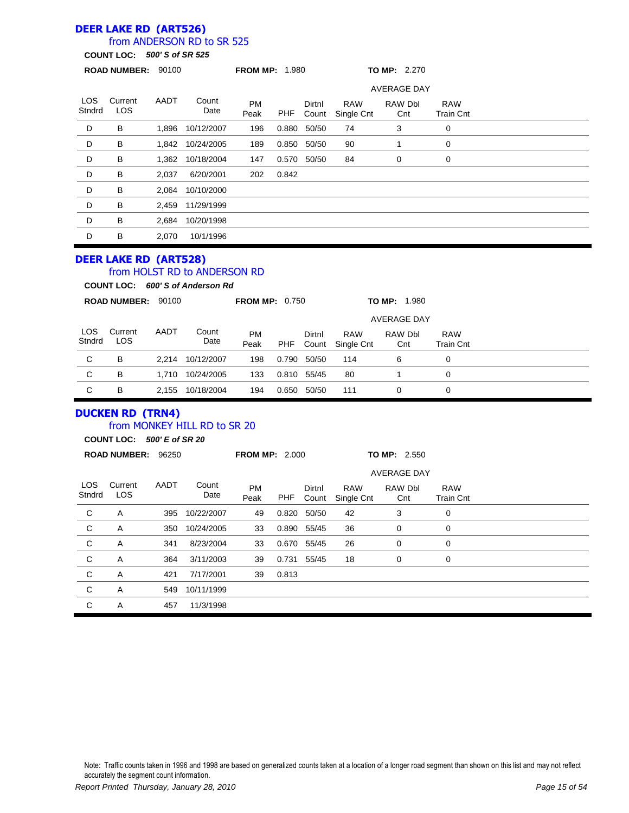### **DEER LAKE RD (ART526)**

### from ANDERSON RD to SR 525

**COUNT LOC:** *500' S of SR 525*

|                | <b>ROAD NUMBER:</b>   | 90100 |                  | <b>FROM MP: 1.980</b> |            |                 |                          | TO MP: 2.270       |                                |  |
|----------------|-----------------------|-------|------------------|-----------------------|------------|-----------------|--------------------------|--------------------|--------------------------------|--|
|                |                       |       |                  |                       |            |                 |                          | <b>AVERAGE DAY</b> |                                |  |
| LOS.<br>Stndrd | Current<br><b>LOS</b> | AADT  | Count<br>Date    | <b>PM</b><br>Peak     | <b>PHF</b> | Dirtnl<br>Count | <b>RAW</b><br>Single Cnt | RAW Dbl<br>Cnt     | <b>RAW</b><br><b>Train Cnt</b> |  |
| D              | В                     | 1,896 | 10/12/2007       | 196                   | 0.880      | 50/50           | 74                       | 3                  | 0                              |  |
| D              | B                     |       | 1,842 10/24/2005 | 189                   | 0.850      | 50/50           | 90                       |                    | 0                              |  |
| D              | B                     | 1,362 | 10/18/2004       | 147                   | 0.570      | 50/50           | 84                       | 0                  | 0                              |  |
| D              | B                     | 2,037 | 6/20/2001        | 202                   | 0.842      |                 |                          |                    |                                |  |
| D              | B                     | 2,064 | 10/10/2000       |                       |            |                 |                          |                    |                                |  |
| D              | B                     | 2,459 | 11/29/1999       |                       |            |                 |                          |                    |                                |  |
| D              | B                     | 2,684 | 10/20/1998       |                       |            |                 |                          |                    |                                |  |
| D              | B                     | 2,070 | 10/1/1996        |                       |            |                 |                          |                    |                                |  |
|                |                       |       |                  |                       |            |                 |                          |                    |                                |  |

# **DEER LAKE RD (ART528)**

# from HOLST RD to ANDERSON RD

**COUNT LOC:** *600' S of Anderson Rd*

|               | <b>ROAD NUMBER:</b> | 90100 |               | <b>FROM MP: 0.750</b> |            |                 |                          | TO MP:<br>1.980    |                                |  |
|---------------|---------------------|-------|---------------|-----------------------|------------|-----------------|--------------------------|--------------------|--------------------------------|--|
|               |                     |       |               |                       |            |                 |                          | <b>AVERAGE DAY</b> |                                |  |
| LOS<br>Stndrd | Current<br>LOS      | AADT  | Count<br>Date | <b>PM</b><br>Peak     | <b>PHF</b> | Dirtnl<br>Count | <b>RAW</b><br>Single Cnt | RAW Dbl<br>Cnt     | <b>RAW</b><br><b>Train Cnt</b> |  |
| C             | В                   | 2.214 | 10/12/2007    | 198                   | 0.790      | 50/50           | 114                      | 6                  | 0                              |  |
| C             | В                   | 1.710 | 10/24/2005    | 133                   | 0.810      | 55/45           | 80                       |                    | 0                              |  |
| C             | в                   | 2.155 | 10/18/2004    | 194                   | 0.650      | 50/50           | 111                      | 0                  | 0                              |  |

# **DUCKEN RD (TRN4)**

### from MONKEY HILL RD to SR 20

**COUNT LOC:** *500' E of SR 20*

| <b>AVERAGE DAY</b>                                                                                                                                                                              |  |
|-------------------------------------------------------------------------------------------------------------------------------------------------------------------------------------------------|--|
|                                                                                                                                                                                                 |  |
| LOS.<br>Current<br>AADT<br>Count<br><b>PM</b><br>Dirtnl<br><b>RAW</b><br>RAW Dbl<br><b>RAW</b><br><b>LOS</b><br>Stndrd<br>Date<br>PHF<br>Peak<br>Single Cnt<br>Count<br>Cnt<br><b>Train Cnt</b> |  |
| C<br>10/22/2007<br>50/50<br>42<br>A<br>49<br>0.820<br>3<br>0<br>395                                                                                                                             |  |
| C<br>36<br>10/24/2005<br>55/45<br>0<br>350<br>33<br>0.890<br>0<br>Α                                                                                                                             |  |
| $\mathsf{C}$<br>26<br>8/23/2004<br>0.670 55/45<br>0<br>341<br>33<br>A<br>0                                                                                                                      |  |
| C<br>3/11/2003<br>55/45<br>18<br>364<br>39<br>0.731<br>0<br>A<br>0                                                                                                                              |  |
| C<br>7/17/2001<br>0.813<br>421<br>39<br>A                                                                                                                                                       |  |
| C<br>A<br>10/11/1999<br>549                                                                                                                                                                     |  |
| C<br>457<br>11/3/1998<br>A                                                                                                                                                                      |  |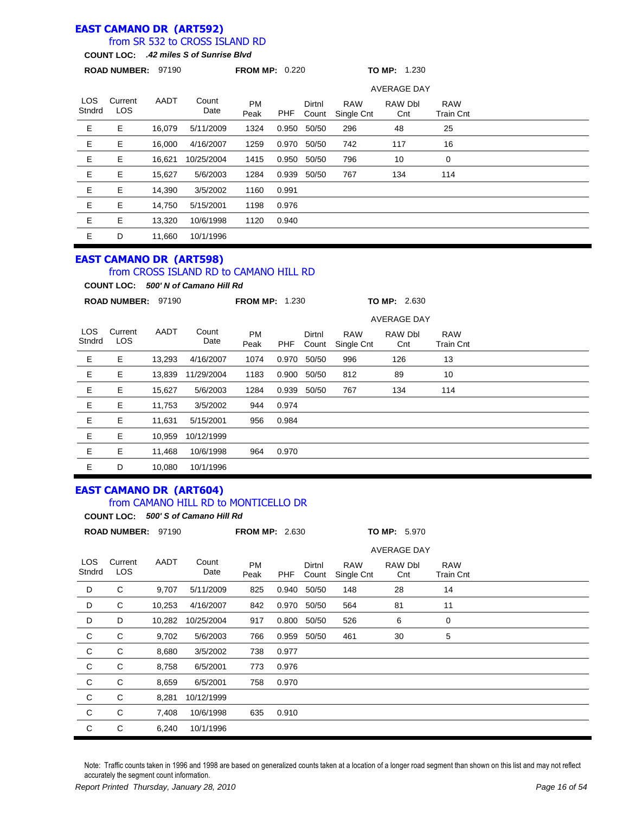### **EAST CAMANO DR (ART592)**

### from SR 532 to CROSS ISLAND RD

**COUNT LOC:** *.42 miles S of Sunrise Blvd*

|                | <b>ROAD NUMBER:</b> | 97190  |               | <b>FROM MP: 0.220</b> |       |                 |                          | TO MP: 1.230       |                                |  |
|----------------|---------------------|--------|---------------|-----------------------|-------|-----------------|--------------------------|--------------------|--------------------------------|--|
|                |                     |        |               |                       |       |                 |                          | <b>AVERAGE DAY</b> |                                |  |
| LOS.<br>Stndrd | Current<br>LOS.     | AADT   | Count<br>Date | <b>PM</b><br>Peak     | PHF   | Dirtnl<br>Count | <b>RAW</b><br>Single Cnt | RAW Dbl<br>Cnt     | <b>RAW</b><br><b>Train Cnt</b> |  |
| Е              | Е                   | 16,079 | 5/11/2009     | 1324                  | 0.950 | 50/50           | 296                      | 48                 | 25                             |  |
| Е              | Е                   | 16.000 | 4/16/2007     | 1259                  | 0.970 | 50/50           | 742                      | 117                | 16                             |  |
| Ε              | Е                   | 16,621 | 10/25/2004    | 1415                  | 0.950 | 50/50           | 796                      | 10                 | 0                              |  |
| Е              | Е                   | 15,627 | 5/6/2003      | 1284                  | 0.939 | 50/50           | 767                      | 134                | 114                            |  |
| Е              | Е                   | 14,390 | 3/5/2002      | 1160                  | 0.991 |                 |                          |                    |                                |  |
| Е              | Е                   | 14,750 | 5/15/2001     | 1198                  | 0.976 |                 |                          |                    |                                |  |
| Е              | Е                   | 13,320 | 10/6/1998     | 1120                  | 0.940 |                 |                          |                    |                                |  |
| E              | D                   | 11,660 | 10/1/1996     |                       |       |                 |                          |                    |                                |  |

### **EAST CAMANO DR (ART598)**

### from CROSS ISLAND RD to CAMANO HILL RD

**COUNT LOC:** *500' N of Camano Hill Rd*

|                | <b>ROAD NUMBER:</b> | 97190  |               | <b>FROM MP: 1.230</b> |       |                 |                          | TO MP: 2.630       |                                |  |
|----------------|---------------------|--------|---------------|-----------------------|-------|-----------------|--------------------------|--------------------|--------------------------------|--|
|                |                     |        |               |                       |       |                 |                          | <b>AVERAGE DAY</b> |                                |  |
| LOS.<br>Stndrd | Current<br>LOS.     | AADT   | Count<br>Date | <b>PM</b><br>Peak     | PHF   | Dirtnl<br>Count | <b>RAW</b><br>Single Cnt | RAW Dbl<br>Cnt     | <b>RAW</b><br><b>Train Cnt</b> |  |
| Ε              | Е                   | 13,293 | 4/16/2007     | 1074                  | 0.970 | 50/50           | 996                      | 126                | 13                             |  |
| Е              | Е                   | 13,839 | 11/29/2004    | 1183                  | 0.900 | 50/50           | 812                      | 89                 | 10                             |  |
| Е              | Е                   | 15,627 | 5/6/2003      | 1284                  | 0.939 | 50/50           | 767                      | 134                | 114                            |  |
| Ε              | Е                   | 11,753 | 3/5/2002      | 944                   | 0.974 |                 |                          |                    |                                |  |
| Е              | Е                   | 11,631 | 5/15/2001     | 956                   | 0.984 |                 |                          |                    |                                |  |
| Е              | E                   | 10,959 | 10/12/1999    |                       |       |                 |                          |                    |                                |  |
| Е              | Е                   | 11,468 | 10/6/1998     | 964                   | 0.970 |                 |                          |                    |                                |  |
| Е              | D                   | 10,080 | 10/1/1996     |                       |       |                 |                          |                    |                                |  |

#### **EAST CAMANO DR (ART604)** from CAMANO HILL RD to MONTICELLO DR

|                | <b>COUNT LOC:</b>     |        | 500' S of Camano Hill Rd |                       |       |                 |                          |                     |                                |  |  |
|----------------|-----------------------|--------|--------------------------|-----------------------|-------|-----------------|--------------------------|---------------------|--------------------------------|--|--|
|                | ROAD NUMBER: 97190    |        |                          | <b>FROM MP: 2.630</b> |       |                 |                          | <b>TO MP: 5.970</b> |                                |  |  |
|                |                       |        |                          |                       |       |                 |                          | AVERAGE DAY         |                                |  |  |
| LOS.<br>Stndrd | Current<br><b>LOS</b> | AADT   | Count<br>Date            | <b>PM</b><br>Peak     | PHF   | Dirtnl<br>Count | <b>RAW</b><br>Single Cnt | RAW Dbl<br>Cnt      | <b>RAW</b><br><b>Train Cnt</b> |  |  |
| D              | C                     | 9,707  | 5/11/2009                | 825                   | 0.940 | 50/50           | 148                      | 28                  | 14                             |  |  |
| D              | C                     | 10,253 | 4/16/2007                | 842                   | 0.970 | 50/50           | 564                      | 81                  | 11                             |  |  |
| D              | D                     | 10,282 | 10/25/2004               | 917                   | 0.800 | 50/50           | 526                      | 6                   | 0                              |  |  |
| C              | C                     | 9,702  | 5/6/2003                 | 766                   | 0.959 | 50/50           | 461                      | 30                  | 5                              |  |  |
| $\mathbf C$    | C                     | 8,680  | 3/5/2002                 | 738                   | 0.977 |                 |                          |                     |                                |  |  |
| $\mathsf{C}$   | C                     | 8,758  | 6/5/2001                 | 773                   | 0.976 |                 |                          |                     |                                |  |  |
| C              | C                     | 8,659  | 6/5/2001                 | 758                   | 0.970 |                 |                          |                     |                                |  |  |
| C              | C                     | 8,281  | 10/12/1999               |                       |       |                 |                          |                     |                                |  |  |
| C              | C                     | 7,408  | 10/6/1998                | 635                   | 0.910 |                 |                          |                     |                                |  |  |
| C              | С                     | 6,240  | 10/1/1996                |                       |       |                 |                          |                     |                                |  |  |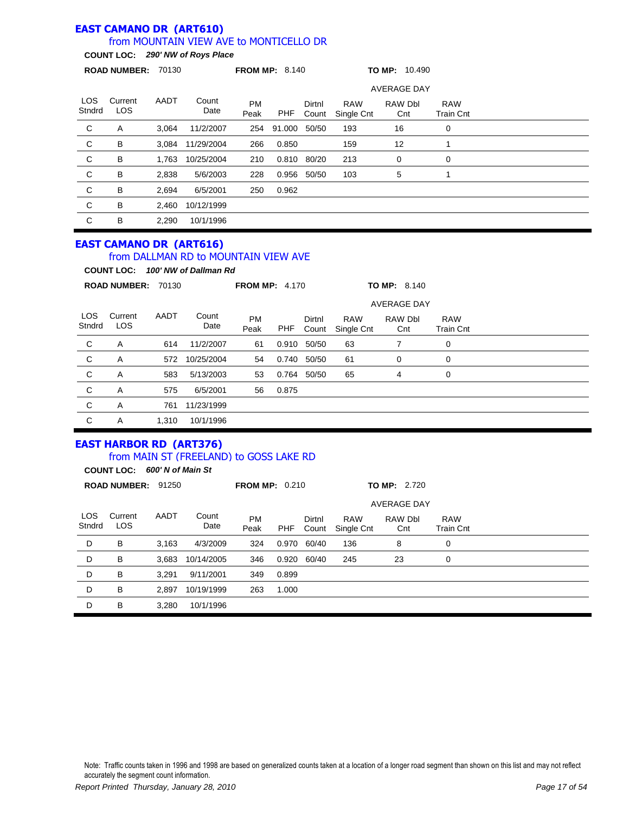#### **EAST CAMANO DR (ART610)** from MOUNTAIN VIEW AVE to MONTICELLO DR

**COUNT LOC:** *290' NW of Roys Place*

|                | <b>ROAD NUMBER: 70130</b>      |       |               | <b>FROM MP: 8.140</b> |        |                 |                          | TO MP: 10.490      |                                |  |  |
|----------------|--------------------------------|-------|---------------|-----------------------|--------|-----------------|--------------------------|--------------------|--------------------------------|--|--|
|                |                                |       |               |                       |        |                 |                          | <b>AVERAGE DAY</b> |                                |  |  |
| LOS.<br>Stndrd | Current<br>LOS.                | AADT  | Count<br>Date | <b>PM</b><br>Peak     | PHF    | Dirtnl<br>Count | <b>RAW</b><br>Single Cnt | RAW Dbl<br>Cnt     | <b>RAW</b><br><b>Train Cnt</b> |  |  |
| C              | Α                              | 3,064 | 11/2/2007     | 254                   | 91.000 | 50/50           | 193                      | 16                 | 0                              |  |  |
| C              | B                              | 3,084 | 11/29/2004    | 266                   | 0.850  |                 | 159                      | 12                 | 1                              |  |  |
| C              | В                              | 1.763 | 10/25/2004    | 210                   |        | 0.810 80/20     | 213                      | 0                  | 0                              |  |  |
| C              | B                              | 2,838 | 5/6/2003      | 228                   | 0.956  | 50/50           | 103                      | 5                  | 1                              |  |  |
| C              | B                              | 2,694 | 6/5/2001      | 250                   | 0.962  |                 |                          |                    |                                |  |  |
| C              | B                              | 2,460 | 10/12/1999    |                       |        |                 |                          |                    |                                |  |  |
| C              | B                              | 2.290 | 10/1/1996     |                       |        |                 |                          |                    |                                |  |  |
|                | <b>EACT CAMANO DD /ADTC1C)</b> |       |               |                       |        |                 |                          |                    |                                |  |  |

#### **EAST CAMANO DR (ART616)**

#### from DALLMAN RD to MOUNTAIN VIEW AVE

**COUNT LOC:** *100' NW of Dallman Rd*

|                | <b>ROAD NUMBER:</b>   | 70130 |               | <b>FROM MP: 4.170</b> |       |                 |                          | <b>TO MP: 8.140</b> |                                |  |
|----------------|-----------------------|-------|---------------|-----------------------|-------|-----------------|--------------------------|---------------------|--------------------------------|--|
|                |                       |       |               |                       |       |                 |                          | <b>AVERAGE DAY</b>  |                                |  |
| LOS.<br>Stndrd | Current<br><b>LOS</b> | AADT  | Count<br>Date | <b>PM</b><br>Peak     | PHF   | Dirtnl<br>Count | <b>RAW</b><br>Single Cnt | RAW Dbl<br>Cnt      | <b>RAW</b><br><b>Train Cnt</b> |  |
| C              | A                     | 614   | 11/2/2007     | 61                    | 0.910 | 50/50           | 63                       |                     | 0                              |  |
| C              | A                     | 572   | 10/25/2004    | 54                    | 0.740 | 50/50           | 61                       | 0                   | 0                              |  |
| C              | A                     | 583   | 5/13/2003     | 53                    | 0.764 | 50/50           | 65                       | 4                   | 0                              |  |
| C              | Α                     | 575   | 6/5/2001      | 56                    | 0.875 |                 |                          |                     |                                |  |
| C              | A                     | 761   | 11/23/1999    |                       |       |                 |                          |                     |                                |  |
| С              | Α                     | 1,310 | 10/1/1996     |                       |       |                 |                          |                     |                                |  |

# **EAST HARBOR RD (ART376)**

#### from MAIN ST (FREELAND) to GOSS LAKE RD

LOS Stndrd Current LOS PM Peak Dirtnl Count RAW Single Cnt **ROAD NUMBER:** 91250 **FROM MP:** 0.210 **TO MP:** 2.720 **COUNT LOC:** *600' N of Main St* AADT Count Date RAW Dbl Cnt RAW Train Cnt AVERAGE DAY PHF D B 3,163 4/3/2009 324 0.970 60/40 136 8 0 D B 3,683 10/14/2005 346 0.920 60/40 245 23 0 D B 3,291 9/11/2001 349 0.899 D B 2,897 10/19/1999 263 1.000 D B 3,280 10/1/1996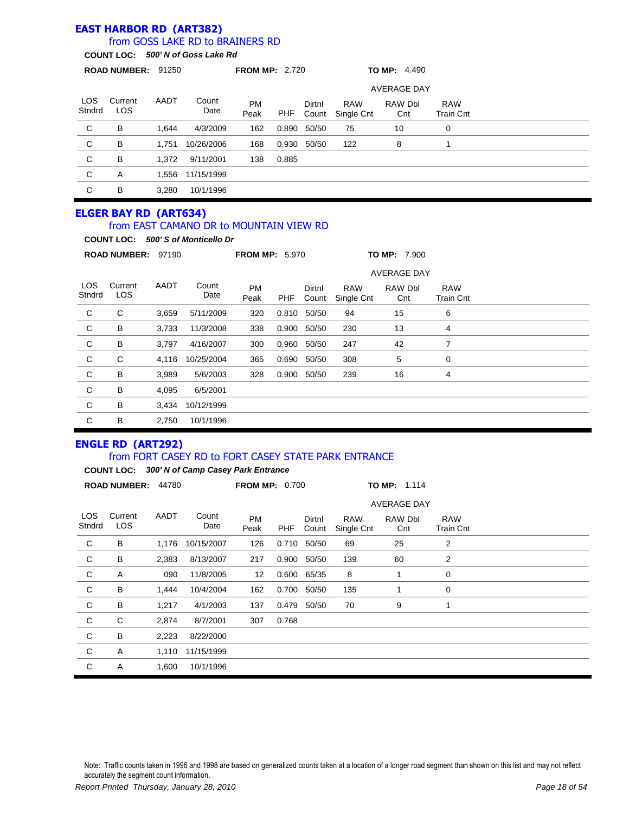# **EAST HARBOR RD (ART382)**

### from GOSS LAKE RD to BRAINERS RD

**COUNT LOC:** *500' N of Goss Lake Rd*

|                      | <b>ROAD NUMBER:</b>   | 91250 |               | <b>FROM MP: 2.720</b> |       |                 |                          | <b>TO MP:</b> $4.490$ |                         |  |  |
|----------------------|-----------------------|-------|---------------|-----------------------|-------|-----------------|--------------------------|-----------------------|-------------------------|--|--|
|                      |                       |       |               |                       |       |                 |                          | <b>AVERAGE DAY</b>    |                         |  |  |
| <b>LOS</b><br>Stndrd | Current<br><b>LOS</b> | AADT  | Count<br>Date | <b>PM</b><br>Peak     | PHF   | Dirtnl<br>Count | <b>RAW</b><br>Single Cnt | RAW Dbl<br>Cnt        | <b>RAW</b><br>Train Cnt |  |  |
| C                    | B                     | 1.644 | 4/3/2009      | 162                   | 0.890 | 50/50           | 75                       | 10                    | 0                       |  |  |
| ${\bf C}$            | B                     | 1.751 | 10/26/2006    | 168                   | 0.930 | 50/50           | 122                      | 8                     |                         |  |  |
| C                    | B                     | 1,372 | 9/11/2001     | 138                   | 0.885 |                 |                          |                       |                         |  |  |
| C                    | A                     | 1,556 | 11/15/1999    |                       |       |                 |                          |                       |                         |  |  |
| C                    | B                     | 3,280 | 10/1/1996     |                       |       |                 |                          |                       |                         |  |  |

# **ELGER BAY RD (ART634)** from EAST CAMANO DR to MOUNTAIN VIEW RD

|                | <b>COUNT LOC:</b>     |       | 500' S of Monticello Dr |                       |            |                 |                          |                     |                                |  |
|----------------|-----------------------|-------|-------------------------|-----------------------|------------|-----------------|--------------------------|---------------------|--------------------------------|--|
|                | <b>ROAD NUMBER:</b>   | 97190 |                         | <b>FROM MP: 5.970</b> |            |                 |                          | <b>TO MP: 7.900</b> |                                |  |
|                |                       |       |                         |                       |            |                 |                          | <b>AVERAGE DAY</b>  |                                |  |
| LOS.<br>Stndrd | Current<br><b>LOS</b> | AADT  | Count<br>Date           | <b>PM</b><br>Peak     | <b>PHF</b> | Dirtnl<br>Count | <b>RAW</b><br>Single Cnt | RAW Dbl<br>Cnt      | <b>RAW</b><br><b>Train Cnt</b> |  |
| $\mathbf C$    | C                     | 3,659 | 5/11/2009               | 320                   |            | 0.810 50/50     | 94                       | 15                  | 6                              |  |
| $\mathbf C$    | В                     | 3,733 | 11/3/2008               | 338                   | 0.900      | 50/50           | 230                      | 13                  | 4                              |  |
| $\mathbf C$    | B                     | 3,797 | 4/16/2007               | 300                   | 0.960      | 50/50           | 247                      | 42                  | 7                              |  |
| $\mathbf C$    | С                     | 4,116 | 10/25/2004              | 365                   | 0.690      | 50/50           | 308                      | 5                   | 0                              |  |
| C <sub>1</sub> | B                     | 3,989 | 5/6/2003                | 328                   | 0.900      | 50/50           | 239                      | 16                  | 4                              |  |
| C              | B                     | 4,095 | 6/5/2001                |                       |            |                 |                          |                     |                                |  |
| C              | B                     | 3.434 | 10/12/1999              |                       |            |                 |                          |                     |                                |  |
| C              | в                     | 2.750 | 10/1/1996               |                       |            |                 |                          |                     |                                |  |

### **ENGLE RD (ART292)**

#### from FORT CASEY RD to FORT CASEY STATE PARK ENTRANCE

|                      | <b>COUNT LOC:</b>     |       | 300' N of Camp Casey Park Entrance |                       |            |                 |                          |                    |                                |  |  |
|----------------------|-----------------------|-------|------------------------------------|-----------------------|------------|-----------------|--------------------------|--------------------|--------------------------------|--|--|
|                      | <b>ROAD NUMBER:</b>   | 44780 |                                    | <b>FROM MP: 0.700</b> |            |                 |                          | TO MP: 1.114       |                                |  |  |
|                      |                       |       |                                    |                       |            |                 |                          | <b>AVERAGE DAY</b> |                                |  |  |
| <b>LOS</b><br>Stndrd | Current<br><b>LOS</b> | AADT  | Count<br>Date                      | <b>PM</b><br>Peak     | <b>PHF</b> | Dirtnl<br>Count | <b>RAW</b><br>Single Cnt | RAW Dbl<br>Cnt     | <b>RAW</b><br><b>Train Cnt</b> |  |  |
| C                    | В                     | 1,176 | 10/15/2007                         | 126                   | 0.710      | 50/50           | 69                       | 25                 | 2                              |  |  |
| C                    | В                     | 2,383 | 8/13/2007                          | 217                   | 0.900      | 50/50           | 139                      | 60                 | 2                              |  |  |
| С                    | Α                     | 090   | 11/8/2005                          | 12                    | 0.600      | 65/35           | 8                        |                    | 0                              |  |  |
| C                    | В                     | 1,444 | 10/4/2004                          | 162                   | 0.700      | 50/50           | 135                      |                    | 0                              |  |  |
| C                    | В                     | 1,217 | 4/1/2003                           | 137                   | 0.479      | 50/50           | 70                       | 9                  | 1                              |  |  |
| C                    | C                     | 2,874 | 8/7/2001                           | 307                   | 0.768      |                 |                          |                    |                                |  |  |
| C                    | В                     | 2,223 | 8/22/2000                          |                       |            |                 |                          |                    |                                |  |  |
| C                    | Α                     | 1,110 | 11/15/1999                         |                       |            |                 |                          |                    |                                |  |  |
| C                    | Α                     | 1,600 | 10/1/1996                          |                       |            |                 |                          |                    |                                |  |  |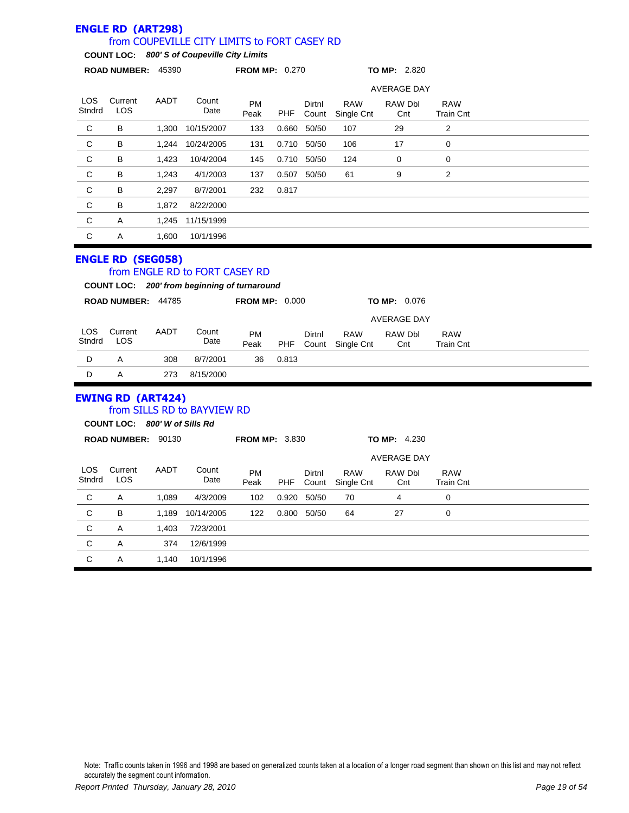|                      | <b>ENGLE RD (ART298)</b>                                  |       |                                                                                             |                       |            |             |                                |                     |                                |  |
|----------------------|-----------------------------------------------------------|-------|---------------------------------------------------------------------------------------------|-----------------------|------------|-------------|--------------------------------|---------------------|--------------------------------|--|
|                      |                                                           |       | from COUPEVILLE CITY LIMITS to FORT CASEY RD<br>COUNT LOC: 800' S of Coupeville City Limits |                       |            |             |                                |                     |                                |  |
|                      | ROAD NUMBER: 45390                                        |       |                                                                                             | <b>FROM MP: 0.270</b> |            |             |                                | <b>TO MP: 2.820</b> |                                |  |
|                      |                                                           |       |                                                                                             |                       |            |             |                                | <b>AVERAGE DAY</b>  |                                |  |
| <b>LOS</b>           | Current                                                   | AADT  | Count                                                                                       | <b>PM</b>             |            | Dirtnl      | <b>RAW</b>                     | RAW Dbl             | <b>RAW</b>                     |  |
| Stndrd               | <b>LOS</b>                                                |       | Date                                                                                        | Peak                  | <b>PHF</b> | Count       | Single Cnt                     | Cnt                 | <b>Train Cnt</b>               |  |
| C                    | B                                                         | 1,300 | 10/15/2007                                                                                  | 133                   | 0.660      | 50/50       | 107                            | 29                  | 2                              |  |
| C                    | в                                                         | 1,244 | 10/24/2005                                                                                  | 131                   |            | 0.710 50/50 | 106                            | 17                  | 0                              |  |
| C                    | в                                                         | 1,423 | 10/4/2004                                                                                   | 145                   |            | 0.710 50/50 | 124                            | 0                   | 0                              |  |
| C                    | B                                                         | 1,243 | 4/1/2003                                                                                    | 137                   |            | 0.507 50/50 | 61                             | 9                   | 2                              |  |
| C                    | в                                                         | 2,297 | 8/7/2001                                                                                    | 232                   | 0.817      |             |                                |                     |                                |  |
| C                    | в                                                         | 1,872 | 8/22/2000                                                                                   |                       |            |             |                                |                     |                                |  |
| С                    | Α                                                         | 1,245 | 11/15/1999                                                                                  |                       |            |             |                                |                     |                                |  |
| C                    | Α                                                         | 1,600 | 10/1/1996                                                                                   |                       |            |             |                                |                     |                                |  |
|                      | ROAD NUMBER: 44785                                        |       |                                                                                             | <b>FROM MP: 0.000</b> |            |             |                                | <b>TO MP: 0.076</b> |                                |  |
|                      |                                                           |       |                                                                                             |                       |            |             |                                | <b>AVERAGE DAY</b>  |                                |  |
| LOS.                 | Current                                                   | AADT  | Count                                                                                       | <b>PM</b>             |            | Dirtnl      | <b>RAW</b>                     | RAW Dbl             | <b>RAW</b>                     |  |
| Stndrd               | <b>LOS</b>                                                |       | Date                                                                                        | Peak                  | PHF        | Count       | Single Cnt                     | Cnt                 | <b>Train Cnt</b>               |  |
| D                    | Α                                                         | 308   | 8/7/2001                                                                                    | 36                    | 0.813      |             |                                |                     |                                |  |
| D                    | A                                                         | 273   | 8/15/2000                                                                                   |                       |            |             |                                |                     |                                |  |
|                      | <b>EWING RD (ART424)</b><br>COUNT LOC: 800' W of Sills Rd |       | from SILLS RD to BAYVIEW RD                                                                 |                       |            |             |                                |                     |                                |  |
|                      | ROAD NUMBER: 90130                                        |       |                                                                                             | <b>FROM MP: 3.830</b> |            |             |                                | <b>TO MP: 4.230</b> |                                |  |
|                      |                                                           |       |                                                                                             |                       |            |             |                                | <b>AVERAGE DAY</b>  |                                |  |
| <b>LOS</b><br>Stndrd | Current<br>LOS                                            | AADT  | Count<br>Date                                                                               | <b>PM</b><br>Peak     | PHF        | Dirtnl      | <b>RAW</b><br>Count Single Cnt | RAW Dbl<br>Cnt      | <b>RAW</b><br><b>Train Cnt</b> |  |
| С                    | A                                                         | 1,089 | 4/3/2009                                                                                    | 102                   | 0.920      | 50/50       | 70                             | 4                   | $\pmb{0}$                      |  |
| $\mathsf C$          | B                                                         | 1,189 | 10/14/2005                                                                                  | 122                   | 0.800      | 50/50       | 64                             | 27                  | $\pmb{0}$                      |  |
| $\mathsf C$          | A                                                         | 1,403 | 7/23/2001                                                                                   |                       |            |             |                                |                     |                                |  |
| $\mathsf C$          | Α                                                         | 374   | 12/6/1999                                                                                   |                       |            |             |                                |                     |                                |  |
| $\mathsf C$          | $\mathsf A$                                               | 1,140 | 10/1/1996                                                                                   |                       |            |             |                                |                     |                                |  |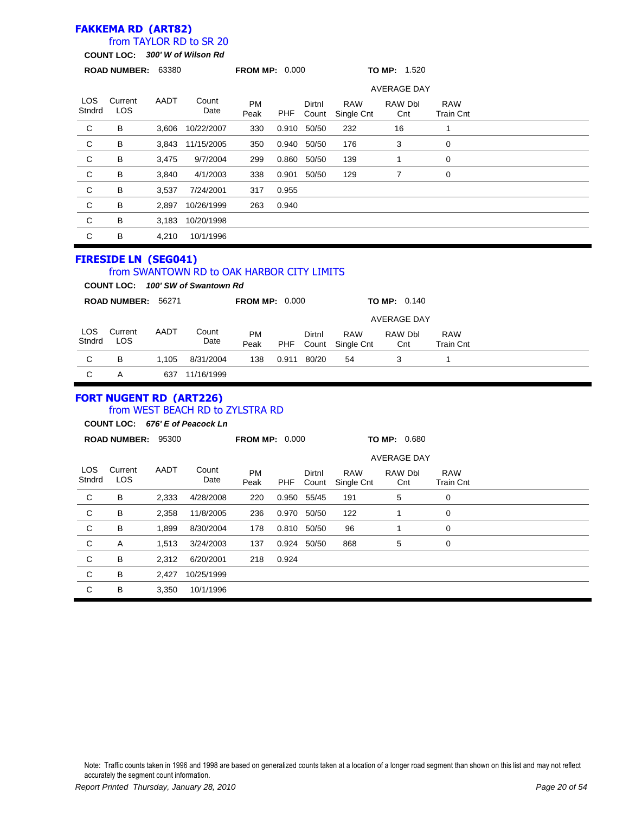### **FAKKEMA RD (ART82)**

### from TAYLOR RD to SR 20

**COUNT LOC:** *300' W of Wilson Rd*

|                      |                                |       | COUNT LOC: 300' W of Wilson Rd                                                  |                       |            |                 |                          |                     |                                |
|----------------------|--------------------------------|-------|---------------------------------------------------------------------------------|-----------------------|------------|-----------------|--------------------------|---------------------|--------------------------------|
|                      | ROAD NUMBER: 63380             |       |                                                                                 | <b>FROM MP: 0.000</b> |            |                 |                          | <b>TO MP: 1.520</b> |                                |
|                      |                                |       |                                                                                 |                       |            |                 |                          | <b>AVERAGE DAY</b>  |                                |
| <b>LOS</b><br>Stndrd | Current<br>LOS                 | AADT  | Count<br>Date                                                                   | <b>PM</b><br>Peak     | PHF        | Dirtnl<br>Count | <b>RAW</b><br>Single Cnt | RAW Dbl<br>Cnt      | <b>RAW</b><br><b>Train Cnt</b> |
| C                    | В                              | 3,606 | 10/22/2007                                                                      | 330                   | 0.910      | 50/50           | 232                      | 16                  | 1                              |
| $\mathsf C$          | B                              | 3,843 | 11/15/2005                                                                      | 350                   | 0.940      | 50/50           | 176                      | 3                   | 0                              |
| $\mathsf C$          | В                              | 3,475 | 9/7/2004                                                                        | 299                   | 0.860      | 50/50           | 139                      | $\mathbf{1}$        | 0                              |
| $\mathsf C$          | В                              | 3,840 | 4/1/2003                                                                        | 338                   | 0.901      | 50/50           | 129                      | $\overline{7}$      | 0                              |
| $\mathsf C$          | В                              | 3,537 | 7/24/2001                                                                       | 317                   | 0.955      |                 |                          |                     |                                |
| $\mathsf C$          | B                              | 2,897 | 10/26/1999                                                                      | 263                   | 0.940      |                 |                          |                     |                                |
| $\mathsf C$          | В                              | 3,183 | 10/20/1998                                                                      |                       |            |                 |                          |                     |                                |
| $\mathsf C$          | в                              | 4,210 | 10/1/1996                                                                       |                       |            |                 |                          |                     |                                |
|                      | <b>FIRESIDE LN (SEG041)</b>    |       | from SWANTOWN RD to OAK HARBOR CITY LIMITS<br>COUNT LOC: 100' SW of Swantown Rd |                       |            |                 |                          |                     |                                |
|                      | ROAD NUMBER: 56271             |       |                                                                                 | <b>FROM MP: 0.000</b> |            |                 |                          | TO MP: 0.140        |                                |
|                      |                                |       |                                                                                 |                       |            |                 |                          | <b>AVERAGE DAY</b>  |                                |
| <b>LOS</b><br>Stndrd | Current<br><b>LOS</b>          | AADT  | Count<br>Date                                                                   | <b>PM</b><br>Peak     | <b>PHF</b> | Dirtnl<br>Count | <b>RAW</b><br>Single Cnt | RAW Dbl<br>Cnt      | <b>RAW</b><br><b>Train Cnt</b> |
| C                    | В                              | 1,105 | 8/31/2004                                                                       | 138                   | 0.911      | 80/20           | 54                       | 3                   | 1                              |
| C                    | Α                              |       | 637 11/16/1999                                                                  |                       |            |                 |                          |                     |                                |
|                      | <b>FORT NUGENT RD (ART226)</b> |       | from WEST BEACH RD to ZYLSTRA RD<br>COUNT LOC: 676' E of Peacock Ln             |                       |            |                 |                          |                     |                                |
|                      | ROAD NUMBER: 95300             |       |                                                                                 | <b>FROM MP: 0.000</b> |            |                 |                          | <b>TO MP: 0.680</b> |                                |
|                      |                                |       |                                                                                 |                       |            |                 |                          | <b>AVERAGE DAY</b>  |                                |
| <b>LOS</b><br>Stndrd | Current<br><b>LOS</b>          | AADT  | Count<br>Date                                                                   | <b>PM</b><br>Peak     | <b>PHF</b> | Dirtnl<br>Count | <b>RAW</b><br>Single Cnt | RAW Dbl<br>Cnt      | <b>RAW</b><br><b>Train Cnt</b> |
| C                    | В                              | 2,333 | 4/28/2008                                                                       | 220                   | 0.950      | 55/45           | 191                      | 5                   | 0                              |
| С                    | В                              | 2,358 | 11/8/2005                                                                       | 236                   |            | 0.970 50/50     | 122                      | $\mathbf{1}$        | 0                              |
| С                    | В                              | 1,899 | 8/30/2004                                                                       | 178                   |            | 0.810 50/50     | 96                       | $\mathbf{1}$        | 0                              |
| $\mathsf C$          | A                              | 1,513 | 3/24/2003                                                                       | 137                   |            | 0.924 50/50     | 868                      | $\,$ 5 $\,$         | $\mathbf 0$                    |
| $\mathsf C$          | В                              | 2,312 | 6/20/2001                                                                       | 218                   | 0.924      |                 |                          |                     |                                |
| $\mathsf C$          | В                              | 2,427 | 10/25/1999                                                                      |                       |            |                 |                          |                     |                                |
| $\mathsf C$          | B                              | 3,350 | 10/1/1996                                                                       |                       |            |                 |                          |                     |                                |
|                      |                                |       |                                                                                 |                       |            |                 |                          |                     |                                |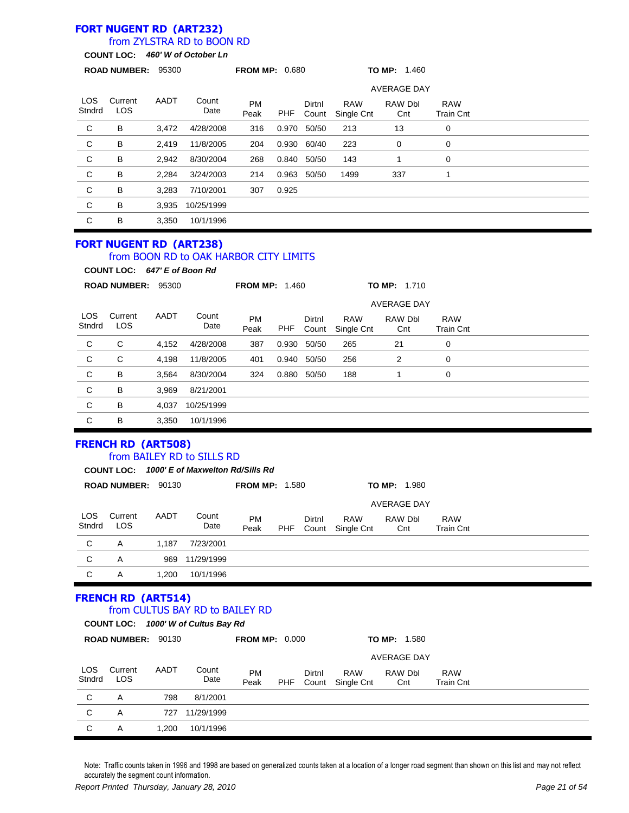# **FORT NUGENT RD (ART232)**

### from ZYLSTRA RD to BOON RD

**COUNT LOC:** *460' W of October Ln*

|                      |                                                                |       | <b>COUNTLOG.</b> Two is of october Lin                                    |                       |            |                 |                                |                     |                                |  |
|----------------------|----------------------------------------------------------------|-------|---------------------------------------------------------------------------|-----------------------|------------|-----------------|--------------------------------|---------------------|--------------------------------|--|
|                      | ROAD NUMBER: 95300                                             |       |                                                                           | <b>FROM MP: 0.680</b> |            |                 |                                | <b>TO MP: 1.460</b> |                                |  |
|                      |                                                                |       |                                                                           |                       |            |                 |                                | AVERAGE DAY         |                                |  |
| <b>LOS</b><br>Stndrd | Current<br>LOS                                                 | AADT  | Count<br>Date                                                             | <b>PM</b><br>Peak     | PHF        | Dirtnl<br>Count | <b>RAW</b><br>Single Cnt       | RAW Dbl<br>Cnt      | <b>RAW</b><br><b>Train Cnt</b> |  |
| C                    | В                                                              | 3,472 | 4/28/2008                                                                 | 316                   | 0.970      | 50/50           | 213                            | 13                  | 0                              |  |
| C                    | B                                                              | 2,419 | 11/8/2005                                                                 | 204                   | 0.930      | 60/40           | 223                            | 0                   | 0                              |  |
| $\mathsf C$          | В                                                              | 2,942 | 8/30/2004                                                                 | 268                   |            | 0.840 50/50     | 143                            | $\mathbf{1}$        | 0                              |  |
| C                    | В                                                              | 2,284 | 3/24/2003                                                                 | 214                   |            | 0.963 50/50     | 1499                           | 337                 | 1                              |  |
| C                    | В                                                              | 3,283 | 7/10/2001                                                                 | 307                   | 0.925      |                 |                                |                     |                                |  |
| C                    | B                                                              | 3,935 | 10/25/1999                                                                |                       |            |                 |                                |                     |                                |  |
| $\mathsf C$          | B                                                              | 3,350 | 10/1/1996                                                                 |                       |            |                 |                                |                     |                                |  |
|                      | <b>FORT NUGENT RD (ART238)</b><br>COUNT LOC: 647' E of Boon Rd |       | from BOON RD to OAK HARBOR CITY LIMITS                                    |                       |            |                 |                                |                     |                                |  |
|                      | ROAD NUMBER: 95300                                             |       |                                                                           | <b>FROM MP: 1.460</b> |            |                 |                                | <b>TO MP: 1.710</b> |                                |  |
|                      |                                                                |       |                                                                           |                       |            |                 |                                | AVERAGE DAY         |                                |  |
| <b>LOS</b><br>Stndrd | Current<br>LOS                                                 | AADT  | Count<br>Date                                                             | <b>PM</b><br>Peak     | <b>PHF</b> | Dirtnl<br>Count | <b>RAW</b><br>Single Cnt       | RAW Dbl<br>Cnt      | <b>RAW</b><br><b>Train Cnt</b> |  |
| C                    | C                                                              | 4,152 | 4/28/2008                                                                 | 387                   |            | 0.930 50/50     | 265                            | 21                  | $\mathbf 0$                    |  |
| C                    | C                                                              | 4,198 | 11/8/2005                                                                 | 401                   |            | 0.940 50/50     | 256                            | 2                   | 0                              |  |
| C                    | В                                                              | 3,564 | 8/30/2004                                                                 | 324                   |            | 0.880 50/50     | 188                            | $\mathbf{1}$        | 0                              |  |
| $\mathsf C$          | B                                                              | 3,969 | 8/21/2001                                                                 |                       |            |                 |                                |                     |                                |  |
| $\mathsf C$          | В                                                              | 4,037 | 10/25/1999                                                                |                       |            |                 |                                |                     |                                |  |
| $\mathsf C$          | B                                                              | 3,350 | 10/1/1996                                                                 |                       |            |                 |                                |                     |                                |  |
|                      | <b>FRENCH RD (ART508)</b>                                      |       | from BAILEY RD to SILLS RD<br>COUNT LOC: 1000' E of Maxwelton Rd/Sills Rd |                       |            |                 |                                |                     |                                |  |
|                      | ROAD NUMBER: 90130                                             |       |                                                                           | <b>FROM MP: 1.580</b> |            |                 |                                | TO MP: 1.980        |                                |  |
|                      |                                                                |       |                                                                           |                       |            |                 |                                | AVERAGE DAY         |                                |  |
| Stndrd               | LOS Current AADT<br>LOS                                        |       | Count<br>Date                                                             | <b>PM</b><br>Peak     | PHF        | Dirtnl          | <b>RAW</b><br>Count Single Cnt | RAW Dbl<br>Cnt      | <b>RAW</b><br><b>Train Cnt</b> |  |
| $\mathsf C$          | Α                                                              | 1,187 | 7/23/2001                                                                 |                       |            |                 |                                |                     |                                |  |
| $\mathsf C$          | A                                                              | 969   | 11/29/1999                                                                |                       |            |                 |                                |                     |                                |  |
| $\mathsf C$          | Α                                                              | 1,200 | 10/1/1996                                                                 |                       |            |                 |                                |                     |                                |  |
|                      | <b>FRENCH RD (ART514)</b>                                      |       | from CULTUS BAY RD to BAILEY RD<br>COUNT LOC: 1000' W of Cultus Bay Rd    |                       |            |                 |                                |                     |                                |  |
|                      | ROAD NUMBER: 90130                                             |       |                                                                           | <b>FROM MP: 0.000</b> |            |                 |                                | TO MP: 1.580        |                                |  |
|                      |                                                                |       |                                                                           |                       |            |                 |                                | <b>AVERAGE DAY</b>  |                                |  |
| LOS<br>Stndrd        | Current<br>LOS                                                 | AADT  | Count<br>Date                                                             | PM<br>Peak            | PHF        | Dirtnl<br>Count | <b>RAW</b><br>Single Cnt       | RAW Dbl<br>Cnt      | <b>RAW</b><br><b>Train Cnt</b> |  |
| $\mathsf C$          | Α                                                              | 798   | 8/1/2001                                                                  |                       |            |                 |                                |                     |                                |  |
| $\mathsf C$          | A                                                              | 727   | 11/29/1999                                                                |                       |            |                 |                                |                     |                                |  |
| $\mathbf C$          | A                                                              | 1,200 | 10/1/1996                                                                 |                       |            |                 |                                |                     |                                |  |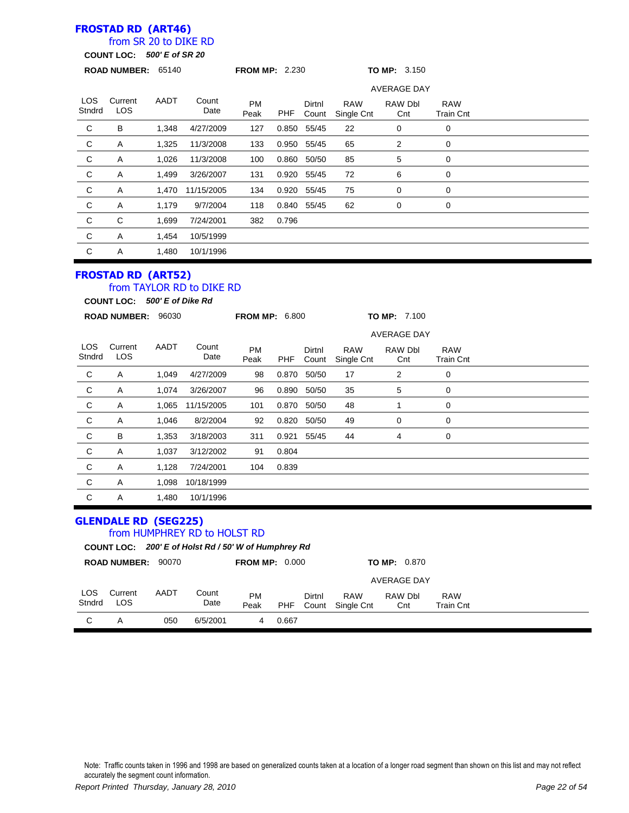### **FROSTAD RD (ART46)**

### from SR 20 to DIKE RD

**COUNT LOC:** *500' E of SR 20*

|                | <b>ROAD NUMBER:</b>   | 65140 |               | <b>FROM MP: 2.230</b> |            |                 |                          | <b>TO MP: 3.150</b> |                                |  |
|----------------|-----------------------|-------|---------------|-----------------------|------------|-----------------|--------------------------|---------------------|--------------------------------|--|
|                |                       |       |               |                       |            |                 |                          | <b>AVERAGE DAY</b>  |                                |  |
| LOS.<br>Stndrd | Current<br><b>LOS</b> | AADT  | Count<br>Date | <b>PM</b><br>Peak     | <b>PHF</b> | Dirtnl<br>Count | <b>RAW</b><br>Single Cnt | RAW Dbl<br>Cnt      | <b>RAW</b><br><b>Train Cnt</b> |  |
| $\mathbf C$    | B                     | 1,348 | 4/27/2009     | 127                   |            | 0.850 55/45     | 22                       | 0                   | 0                              |  |
| $\mathbf{C}$   | Α                     | 1,325 | 11/3/2008     | 133                   |            | 0.950 55/45     | 65                       | 2                   | 0                              |  |
| $\mathbf C$    | Α                     | 1,026 | 11/3/2008     | 100                   | 0.860      | 50/50           | 85                       | 5                   | 0                              |  |
| $\mathbf{C}$   | Α                     | 1,499 | 3/26/2007     | 131                   |            | 0.920 55/45     | 72                       | 6                   | 0                              |  |
| $\mathbf C$    | Α                     | 1,470 | 11/15/2005    | 134                   |            | 0.920 55/45     | 75                       | 0                   | 0                              |  |
| C              | A                     | 1,179 | 9/7/2004      | 118                   |            | 0.840 55/45     | 62                       | 0                   | 0                              |  |
| $\mathbf{C}$   | C                     | 1,699 | 7/24/2001     | 382                   | 0.796      |                 |                          |                     |                                |  |
| $\mathbf C$    | Α                     | 1,454 | 10/5/1999     |                       |            |                 |                          |                     |                                |  |
| C              | Α                     | 1,480 | 10/1/1996     |                       |            |                 |                          |                     |                                |  |
|                |                       |       |               |                       |            |                 |                          |                     |                                |  |

### **FROSTAD RD (ART52)**

### from TAYLOR RD to DIKE RD

**COUNT LOC:** *500' E of Dike Rd*

|                | 96030<br><b>ROAD NUMBER:</b> |       |               | <b>FROM MP: 6.800</b> |            |                 |                          | TO MP: 7.100       |                         |  |
|----------------|------------------------------|-------|---------------|-----------------------|------------|-----------------|--------------------------|--------------------|-------------------------|--|
|                |                              |       |               |                       |            |                 |                          | <b>AVERAGE DAY</b> |                         |  |
| LOS.<br>Stndrd | Current<br><b>LOS</b>        | AADT  | Count<br>Date | <b>PM</b><br>Peak     | <b>PHF</b> | Dirtnl<br>Count | <b>RAW</b><br>Single Cnt | RAW Dbl<br>Cnt     | <b>RAW</b><br>Train Cnt |  |
| C              | A                            | 1,049 | 4/27/2009     | 98                    | 0.870      | 50/50           | 17                       | 2                  | 0                       |  |
| C              | A                            | 1,074 | 3/26/2007     | 96                    | 0.890      | 50/50           | 35                       | 5                  | 0                       |  |
| $\mathsf{C}$   | Α                            | 1,065 | 11/15/2005    | 101                   | 0.870      | 50/50           | 48                       |                    | $\mathbf 0$             |  |
| $\mathsf{C}$   | Α                            | 1,046 | 8/2/2004      | 92                    | 0.820      | 50/50           | 49                       | 0                  | 0                       |  |
| $\mathsf{C}$   | B                            | 1,353 | 3/18/2003     | 311                   | 0.921      | 55/45           | 44                       | 4                  | 0                       |  |
| $\mathsf{C}$   | Α                            | 1,037 | 3/12/2002     | 91                    | 0.804      |                 |                          |                    |                         |  |
| C              | A                            | 1,128 | 7/24/2001     | 104                   | 0.839      |                 |                          |                    |                         |  |
| C              | A                            | 1,098 | 10/18/1999    |                       |            |                 |                          |                    |                         |  |
| C              | Α                            | 1,480 | 10/1/1996     |                       |            |                 |                          |                    |                         |  |

### **GLENDALE RD (SEG225)**

#### from HUMPHREY RD to HOLST RD

**COUNT LOC:** *200' E of Holst Rd / 50' W of Humphrey Rd*

|                    | 90070<br><b>ROAD NUMBER:</b> |      |               | <b>FROM MP: 0.000</b> |            |                 |                          | <b>TO MP: 0.870</b> |                         |  |  |
|--------------------|------------------------------|------|---------------|-----------------------|------------|-----------------|--------------------------|---------------------|-------------------------|--|--|
| <b>AVERAGE DAY</b> |                              |      |               |                       |            |                 |                          |                     |                         |  |  |
| LOS<br>Stndrd      | Current<br>LOS               | AADT | Count<br>Date | PM<br>Peak            | <b>PHF</b> | Dirtnl<br>Count | <b>RAW</b><br>Single Cnt | RAW Dbl<br>Cnt      | <b>RAW</b><br>Train Cnt |  |  |
| С                  | Α                            | 050  | 6/5/2001      | 4                     | 0.667      |                 |                          |                     |                         |  |  |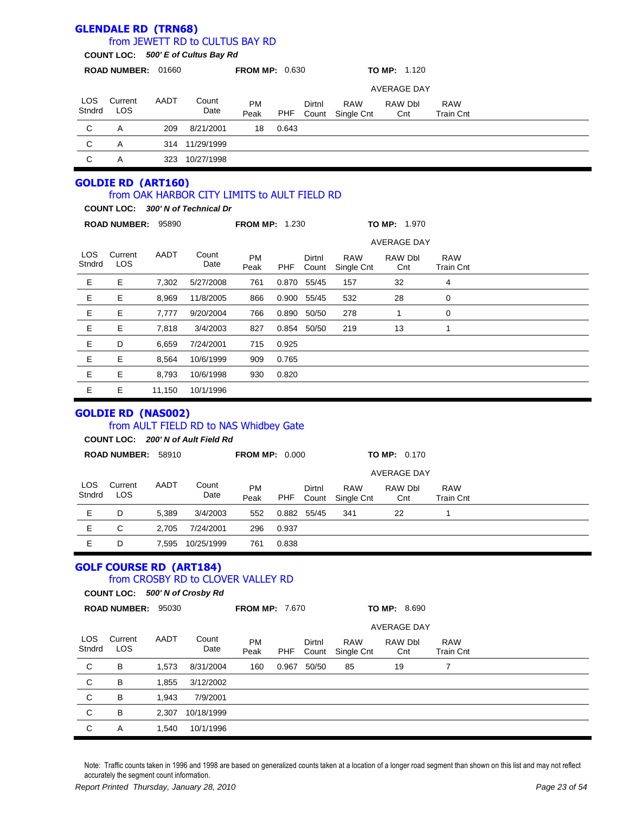|                      | <b>GLENDALE RD (TRN68)</b>     |        | from JEWETT RD to CULTUS BAY RD                                              |                       |       |                 |                          |                     |                                |  |
|----------------------|--------------------------------|--------|------------------------------------------------------------------------------|-----------------------|-------|-----------------|--------------------------|---------------------|--------------------------------|--|
|                      |                                |        | COUNT LOC: 500' E of Cultus Bay Rd                                           |                       |       |                 |                          |                     |                                |  |
|                      | ROAD NUMBER: 01660             |        |                                                                              | <b>FROM MP: 0.630</b> |       |                 |                          | <b>TO MP: 1.120</b> |                                |  |
|                      |                                |        |                                                                              |                       |       |                 |                          | <b>AVERAGE DAY</b>  |                                |  |
| <b>LOS</b>           | Current                        | AADT   | Count                                                                        | PM                    |       | Dirtnl          | <b>RAW</b>               | RAW Dbl             | <b>RAW</b>                     |  |
| Stndrd               | <b>LOS</b>                     |        | Date                                                                         | Peak                  | PHF   | Count           | Single Cnt               | Cnt                 | <b>Train Cnt</b>               |  |
| C                    | A                              | 209    | 8/21/2001                                                                    | 18                    | 0.643 |                 |                          |                     |                                |  |
| C                    | Α                              |        | 314 11/29/1999                                                               |                       |       |                 |                          |                     |                                |  |
| C                    | Α                              |        | 323 10/27/1998                                                               |                       |       |                 |                          |                     |                                |  |
|                      | <b>GOLDIE RD (ART160)</b>      |        |                                                                              |                       |       |                 |                          |                     |                                |  |
|                      |                                |        | from OAK HARBOR CITY LIMITS to AULT FIELD RD                                 |                       |       |                 |                          |                     |                                |  |
|                      |                                |        | COUNT LOC: 300' N of Technical Dr                                            |                       |       |                 |                          |                     |                                |  |
|                      | ROAD NUMBER: 95890             |        |                                                                              | <b>FROM MP: 1.230</b> |       |                 |                          | <b>TO MP: 1.970</b> |                                |  |
|                      |                                |        |                                                                              |                       |       |                 |                          | <b>AVERAGE DAY</b>  |                                |  |
| <b>LOS</b><br>Stndrd | Current<br>LOS                 | AADT   | Count<br>Date                                                                | PM<br>Peak            | PHF   | Dirtnl<br>Count | <b>RAW</b><br>Single Cnt | RAW Dbl<br>Cnt      | <b>RAW</b><br><b>Train Cnt</b> |  |
| Е                    | Е                              | 7,302  | 5/27/2008                                                                    | 761                   |       | 0.870 55/45     | 157                      | 32                  | 4                              |  |
| E                    | E                              | 8,969  | 11/8/2005                                                                    | 866                   | 0.900 | 55/45           | 532                      | 28                  | 0                              |  |
| Е                    | Е                              | 7,777  | 9/20/2004                                                                    | 766                   | 0.890 | 50/50           | 278                      | 1                   | 0                              |  |
| E                    | Е                              | 7,818  | 3/4/2003                                                                     | 827                   | 0.854 | 50/50           | 219                      | 13                  | 1                              |  |
| Е                    | D                              | 6,659  | 7/24/2001                                                                    | 715                   | 0.925 |                 |                          |                     |                                |  |
| E                    | Е                              | 8,564  | 10/6/1999                                                                    | 909                   | 0.765 |                 |                          |                     |                                |  |
| Е                    | Е                              | 8,793  | 10/6/1998                                                                    | 930                   | 0.820 |                 |                          |                     |                                |  |
| Е                    | Е                              | 11,150 | 10/1/1996                                                                    |                       |       |                 |                          |                     |                                |  |
|                      | <b>GOLDIE RD (NAS002)</b>      |        | from AULT FIELD RD to NAS Whidbey Gate<br>COUNT LOC: 200' N of Ault Field Rd |                       |       |                 |                          |                     |                                |  |
|                      | ROAD NUMBER: 58910             |        |                                                                              | <b>FROM MP: 0.000</b> |       |                 |                          | <b>TO MP: 0.170</b> |                                |  |
|                      |                                |        |                                                                              |                       |       |                 |                          | <b>AVERAGE DAY</b>  |                                |  |
| LOS<br>Stndrd        | Current<br>LOS                 | AADT   | Count<br>Date                                                                | PM<br>Peak            | PHF   | Dirtnl<br>Count | <b>RAW</b><br>Single Cnt | RAW Dbl<br>Cnt      | <b>RAW</b><br><b>Train Cnt</b> |  |
| $\mathsf E$          | D                              | 5,389  | 3/4/2003                                                                     | 552                   | 0.882 | 55/45           | 341                      | 22                  | 1                              |  |
| Е                    | $\mathsf C$                    | 2,705  | 7/24/2001                                                                    | 296                   | 0.937 |                 |                          |                     |                                |  |
| Е                    | D                              | 7,595  | 10/25/1999                                                                   | 761                   | 0.838 |                 |                          |                     |                                |  |
|                      | <b>GOLF COURSE RD (ART184)</b> |        | from CROSBY RD to CLOVER VALLEY RD<br>COUNT LOC: 500' N of Crosby Rd         |                       |       |                 |                          |                     |                                |  |
|                      | ROAD NUMBER: 95030             |        |                                                                              | <b>FROM MP: 7.670</b> |       |                 |                          | <b>TO MP: 8.690</b> |                                |  |
|                      |                                |        |                                                                              |                       |       |                 |                          | <b>AVERAGE DAY</b>  |                                |  |
| LOS<br>Stndrd        | Current<br>LOS                 | AADT   | Count<br>Date                                                                | PM<br>Peak            | PHF   | Dirtnl<br>Count | <b>RAW</b><br>Single Cnt | RAW Dbl<br>Cnt      | <b>RAW</b><br><b>Train Cnt</b> |  |
| C                    | B                              | 1,573  | 8/31/2004                                                                    | 160                   | 0.967 | 50/50           | 85                       | 19                  | $\overline{7}$                 |  |
| $\mathsf C$          | B                              | 1,855  | 3/12/2002                                                                    |                       |       |                 |                          |                     |                                |  |
| $\mathsf C$          | B                              | 1,943  | 7/9/2001                                                                     |                       |       |                 |                          |                     |                                |  |
| $\mathsf C$          | B                              | 2,307  | 10/18/1999                                                                   |                       |       |                 |                          |                     |                                |  |
| $\mathsf C$          | A                              | 1,540  | 10/1/1996                                                                    |                       |       |                 |                          |                     |                                |  |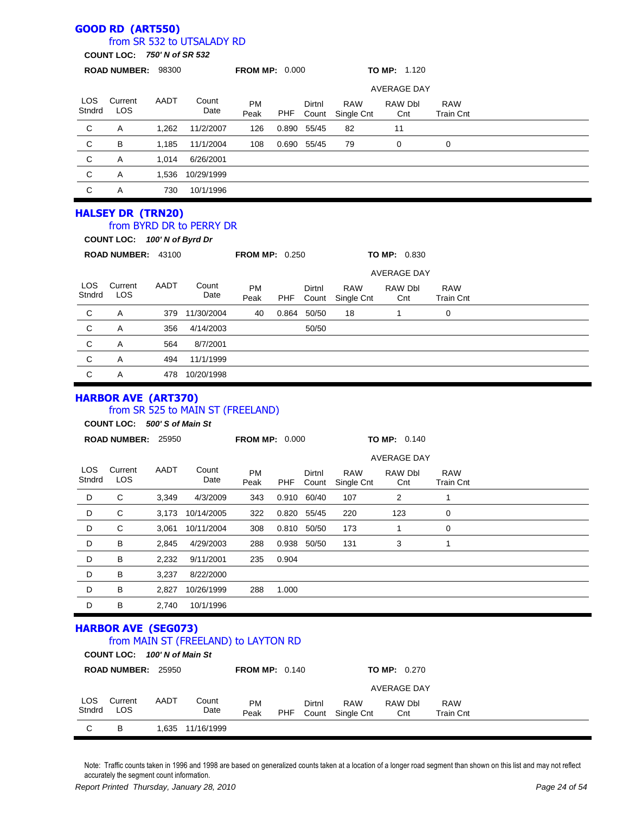### **GOOD RD (ART550)**

### from SR 532 to UTSALADY RD

**COUNT LOC:** *750' N of SR 532*

|                      | <b>000N LOO.</b>                                           |       |                                   |                       |            |                 |                          |                               |                                |  |
|----------------------|------------------------------------------------------------|-------|-----------------------------------|-----------------------|------------|-----------------|--------------------------|-------------------------------|--------------------------------|--|
|                      | ROAD NUMBER: 98300                                         |       |                                   | <b>FROM MP: 0.000</b> |            |                 |                          | TO MP: 1.120                  |                                |  |
|                      |                                                            |       |                                   |                       |            |                 |                          | <b>AVERAGE DAY</b>            |                                |  |
| LOS<br>Stndrd        | Current<br>LOS                                             | AADT  | Count<br>Date                     | <b>PM</b><br>Peak     | <b>PHF</b> | Dirtnl<br>Count | <b>RAW</b><br>Single Cnt | RAW Dbl<br>Cnt                | <b>RAW</b><br><b>Train Cnt</b> |  |
| $\mathbf C$          | A                                                          | 1,262 | 11/2/2007                         | 126                   |            | 0.890 55/45     | 82                       | 11                            |                                |  |
| $\mathbf C$          | B                                                          | 1,185 | 11/1/2004                         | 108                   |            | 0.690 55/45     | 79                       | 0                             | 0                              |  |
| $\mathsf{C}$         | Α                                                          | 1,014 | 6/26/2001                         |                       |            |                 |                          |                               |                                |  |
| C                    | A                                                          | 1,536 | 10/29/1999                        |                       |            |                 |                          |                               |                                |  |
| $\mathbf C$          | Α                                                          | 730   | 10/1/1996                         |                       |            |                 |                          |                               |                                |  |
|                      | <b>HALSEY DR (TRN20)</b><br>COUNT LOC: 100' N of Byrd Dr   |       | from BYRD DR to PERRY DR          |                       |            |                 |                          |                               |                                |  |
|                      | ROAD NUMBER: 43100                                         |       |                                   | <b>FROM MP: 0.250</b> |            |                 |                          | TO MP: 0.830                  |                                |  |
|                      |                                                            |       |                                   |                       |            |                 |                          | <b>AVERAGE DAY</b>            |                                |  |
| <b>LOS</b><br>Stndrd | Current<br>LOS                                             | AADT  | Count<br>Date                     | <b>PM</b><br>Peak     | PHF        | Dirtnl<br>Count | <b>RAW</b><br>Single Cnt | RAW Dbl<br>Cnt                | <b>RAW</b><br><b>Train Cnt</b> |  |
| $\mathbf C$          | A                                                          | 379   | 11/30/2004                        | 40                    |            | 0.864 50/50     | 18                       | 1                             | 0                              |  |
| $\mathsf{C}$         | A                                                          | 356   | 4/14/2003                         |                       |            | 50/50           |                          |                               |                                |  |
| C                    | Α                                                          | 564   | 8/7/2001                          |                       |            |                 |                          |                               |                                |  |
| C                    | A                                                          | 494   | 11/1/1999                         |                       |            |                 |                          |                               |                                |  |
| C                    | A                                                          |       | 478 10/20/1998                    |                       |            |                 |                          |                               |                                |  |
|                      | <b>HARBOR AVE (ART370)</b><br>COUNT LOC: 500' S of Main St |       | from SR 525 to MAIN ST (FREELAND) |                       |            |                 |                          |                               |                                |  |
|                      | ROAD NUMBER: 25950                                         |       |                                   | <b>FROM MP: 0.000</b> |            |                 |                          | TO MP: 0.140                  |                                |  |
| LOS                  | Current                                                    | AADT  | Count                             | <b>PM</b>             |            | Dirtnl          | R A W                    | <b>AVERAGE DAY</b><br>RAW DHI | R AW                           |  |

| Stndrd | <b>LOS</b> |       | Date       | <b>PIVI</b><br>Peak | <b>PHF</b> | PIRNI<br>Count | <b>KAVV</b><br>Single Cnt | <b>RAW DDI</b><br>Cnt | <b>RAVV</b><br><b>Train Cnt</b> |  |  |
|--------|------------|-------|------------|---------------------|------------|----------------|---------------------------|-----------------------|---------------------------------|--|--|
| D      | С          | 3,349 | 4/3/2009   | 343                 |            | 0.910 60/40    | 107                       | 2                     |                                 |  |  |
| D      | С          | 3,173 | 10/14/2005 | 322                 |            | 0.820 55/45    | 220                       | 123                   | 0                               |  |  |
| D      | С          | 3.061 | 10/11/2004 | 308                 | 0.810      | 50/50          | 173                       |                       | 0                               |  |  |
| D      | В          | 2.845 | 4/29/2003  | 288                 |            | 0.938 50/50    | 131                       | 3                     |                                 |  |  |
| D      | В          | 2,232 | 9/11/2001  | 235                 | 0.904      |                |                           |                       |                                 |  |  |
| D      | В          | 3.237 | 8/22/2000  |                     |            |                |                           |                       |                                 |  |  |
| D      | B          | 2.827 | 10/26/1999 | 288                 | 1.000      |                |                           |                       |                                 |  |  |
| D      | в          | 2.740 | 10/1/1996  |                     |            |                |                           |                       |                                 |  |  |

### **HARBOR AVE (SEG073)** from MAIN ST (FREELAND) to LAYTON RD

|                      | COUNT LOC: 100' N of Main St |       |               |                       |     |                 |                          |                     |                                |  |
|----------------------|------------------------------|-------|---------------|-----------------------|-----|-----------------|--------------------------|---------------------|--------------------------------|--|
|                      | <b>ROAD NUMBER:</b>          | 25950 |               | <b>FROM MP: 0.140</b> |     |                 |                          | <b>TO MP:</b> 0.270 |                                |  |
|                      |                              |       |               |                       |     |                 |                          | AVERAGE DAY         |                                |  |
| <b>LOS</b><br>Stndrd | Current<br>LOS               | AADT  | Count<br>Date | <b>PM</b><br>Peak     | PHF | Dirtnl<br>Count | <b>RAW</b><br>Single Cnt | RAW Dbl<br>Cnt      | <b>RAW</b><br><b>Train Cnt</b> |  |
| С                    | в                            | 1.635 | 11/16/1999    |                       |     |                 |                          |                     |                                |  |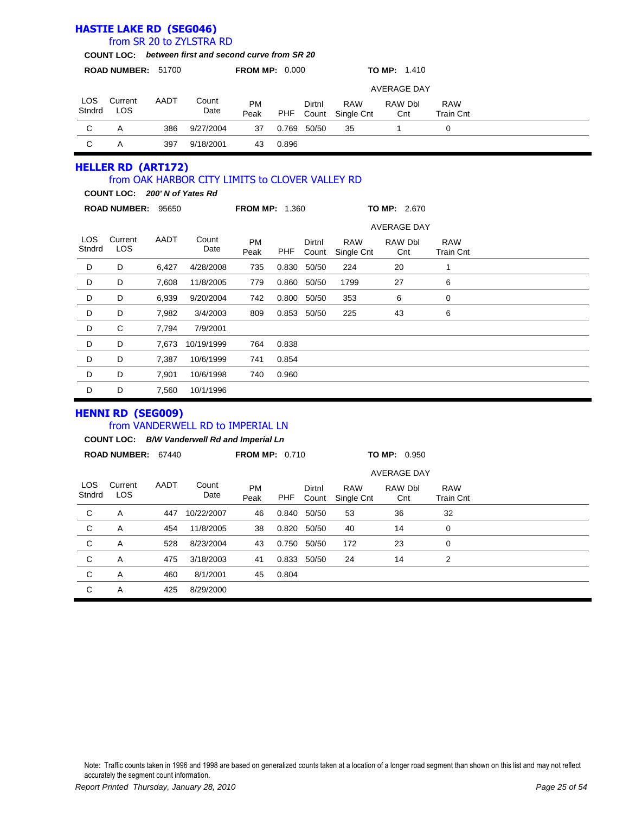|                      |                                                            |       | from SR 20 to ZYLSTRA RD                             |                       |            |                 |                          |                       |                                |  |
|----------------------|------------------------------------------------------------|-------|------------------------------------------------------|-----------------------|------------|-----------------|--------------------------|-----------------------|--------------------------------|--|
|                      |                                                            |       | COUNT LOC: between first and second curve from SR 20 |                       |            |                 |                          |                       |                                |  |
|                      | ROAD NUMBER: 51700                                         |       |                                                      | <b>FROM MP: 0.000</b> |            |                 |                          | TO MP: 1.410          |                                |  |
|                      |                                                            |       |                                                      |                       |            |                 |                          | <b>AVERAGE DAY</b>    |                                |  |
| <b>LOS</b><br>Stndrd | Current<br><b>LOS</b>                                      | AADT  | Count<br>Date                                        | <b>PM</b><br>Peak     | <b>PHF</b> | Dirtnl<br>Count | <b>RAW</b><br>Single Cnt | RAW Dbl<br>Cnt        | <b>RAW</b><br><b>Train Cnt</b> |  |
| $\mathbf C$          | A                                                          | 386   | 9/27/2004                                            | 37                    | 0.769      | 50/50           | 35                       | $\mathbf{1}$          | 0                              |  |
| $\mathsf C$          | A                                                          | 397   | 9/18/2001                                            | 43                    | 0.896      |                 |                          |                       |                                |  |
|                      | <b>HELLER RD (ART172)</b><br>COUNT LOC: 200' N of Yates Rd |       | from OAK HARBOR CITY LIMITS to CLOVER VALLEY RD      | <b>FROM MP: 1.360</b> |            |                 |                          | <b>TO MP: 2.670</b>   |                                |  |
|                      |                                                            |       |                                                      |                       |            |                 |                          |                       |                                |  |
|                      | ROAD NUMBER: 95650                                         |       |                                                      |                       |            |                 |                          |                       |                                |  |
|                      |                                                            |       |                                                      |                       |            |                 |                          | <b>AVERAGE DAY</b>    |                                |  |
| <b>LOS</b><br>Stndrd | Current<br><b>LOS</b>                                      | AADT  | Count<br>Date                                        | <b>PM</b><br>Peak     | <b>PHF</b> | Dirtnl<br>Count | <b>RAW</b><br>Single Cnt | <b>RAW Dbl</b><br>Cnt | <b>RAW</b><br><b>Train Cnt</b> |  |
| D                    | D                                                          | 6,427 | 4/28/2008                                            | 735                   | 0.830      | 50/50           | 224                      | 20                    | $\mathbf{1}$                   |  |
| D                    | D                                                          | 7,608 | 11/8/2005                                            | 779                   | 0.860      | 50/50           | 1799                     | 27                    | 6                              |  |
| D                    | D                                                          | 6,939 | 9/20/2004                                            | 742                   |            | 0.800 50/50     | 353                      | 6                     | 0                              |  |
| D                    | D                                                          | 7,982 | 3/4/2003                                             | 809                   |            | 0.853 50/50     | 225                      | 43                    | 6                              |  |
| D                    | C                                                          | 7.794 | 7/9/2001                                             |                       |            |                 |                          |                       |                                |  |
| D                    | D                                                          | 7.673 | 10/19/1999                                           | 764                   | 0.838      |                 |                          |                       |                                |  |
| D                    | D                                                          | 7,387 | 10/6/1999                                            | 741                   | 0.854      |                 |                          |                       |                                |  |
| D                    | D                                                          | 7,901 | 10/6/1998                                            | 740                   | 0.960      |                 |                          |                       |                                |  |

#### **HENNI RD (SEG009)**

**HASTIE LAKE RD (SEG046)**

### from VANDERWELL RD to IMPERIAL LN

**COUNT LOC:** *B/W Vanderwell Rd and Imperial Ln*

|                | <b>ROAD NUMBER:</b>   | 67440 |               | <b>FROM MP: 0.710</b> |       |                 |                          | <b>TO MP: 0.950</b> |                                |  |
|----------------|-----------------------|-------|---------------|-----------------------|-------|-----------------|--------------------------|---------------------|--------------------------------|--|
|                |                       |       |               |                       |       |                 |                          | <b>AVERAGE DAY</b>  |                                |  |
| LOS.<br>Stndrd | Current<br><b>LOS</b> | AADT  | Count<br>Date | <b>PM</b><br>Peak     | PHF   | Dirtnl<br>Count | <b>RAW</b><br>Single Cnt | RAW Dbl<br>Cnt      | <b>RAW</b><br><b>Train Cnt</b> |  |
| C              | Α                     | 447   | 10/22/2007    | 46                    | 0.840 | 50/50           | 53                       | 36                  | 32                             |  |
| C              | A                     | 454   | 11/8/2005     | 38                    | 0.820 | 50/50           | 40                       | 14                  | 0                              |  |
| C              | A                     | 528   | 8/23/2004     | 43                    | 0.750 | 50/50           | 172                      | 23                  | 0                              |  |
| $\mathbf C$    | A                     | 475   | 3/18/2003     | 41                    |       | 0.833 50/50     | 24                       | 14                  | 2                              |  |
| C              | Α                     | 460   | 8/1/2001      | 45                    | 0.804 |                 |                          |                     |                                |  |
| C              | A                     | 425   | 8/29/2000     |                       |       |                 |                          |                     |                                |  |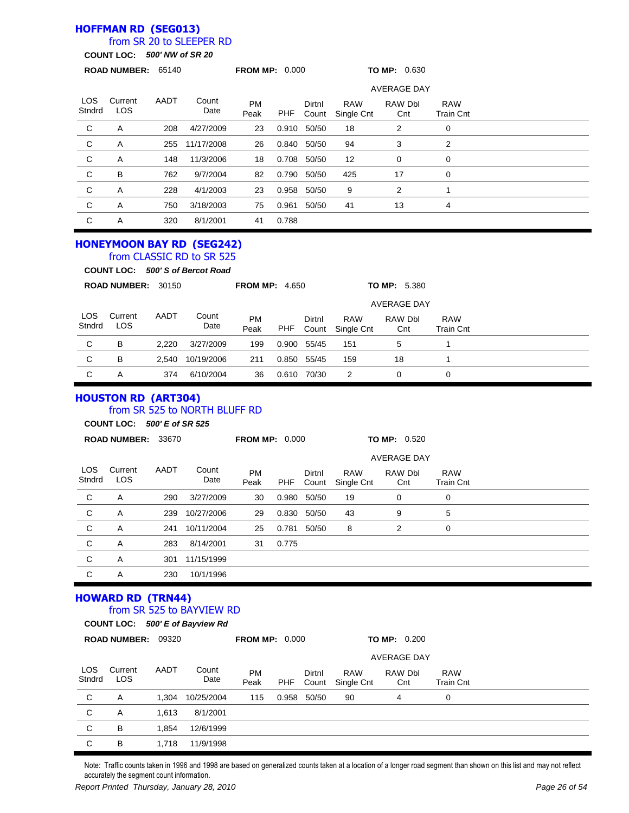### **HOFFMAN RD (SEG013)**

## from SR 20 to SLEEPER RD

**COUNT LOC:** *500' NW of SR 20*

|                | <b>ROAD NUMBER:</b>       | 65140 |                                                                                                   | <b>FROM MP: 0.000</b> |       |                 |                          | TO MP: 0.630       |                                |  |
|----------------|---------------------------|-------|---------------------------------------------------------------------------------------------------|-----------------------|-------|-----------------|--------------------------|--------------------|--------------------------------|--|
|                |                           |       |                                                                                                   |                       |       |                 |                          | <b>AVERAGE DAY</b> |                                |  |
| LOS.<br>Stndrd | Current<br><b>LOS</b>     | AADT  | Count<br>Date                                                                                     | <b>PM</b><br>Peak     | PHF   | Dirtnl<br>Count | <b>RAW</b><br>Single Cnt | RAW Dbl<br>Cnt     | <b>RAW</b><br><b>Train Cnt</b> |  |
| C              | Α                         | 208   | 4/27/2009                                                                                         | 23                    | 0.910 | 50/50           | 18                       | 2                  | 0                              |  |
| C              | Α                         | 255   | 11/17/2008                                                                                        | 26                    |       | 0.840 50/50     | 94                       | 3                  | 2                              |  |
| $\mathsf{C}$   | A                         | 148   | 11/3/2006                                                                                         | 18                    | 0.708 | 50/50           | 12                       | 0                  | $\mathbf 0$                    |  |
| $\mathsf{C}$   | B                         | 762   | 9/7/2004                                                                                          | 82                    | 0.790 | 50/50           | 425                      | 17                 | 0                              |  |
| C              | A                         | 228   | 4/1/2003                                                                                          | 23                    | 0.958 | 50/50           | 9                        | 2                  | 1                              |  |
| C              | A                         | 750   | 3/18/2003                                                                                         | 75                    | 0.961 | 50/50           | 41                       | 13                 | 4                              |  |
| C              | A                         | 320   | 8/1/2001                                                                                          | 41                    | 0.788 |                 |                          |                    |                                |  |
|                |                           |       | <b>HONEYMOON BAY RD (SEG242)</b><br>from CLASSIC RD to SR 525<br>COUNT LOC: 500' S of Bercot Road |                       |       |                 |                          |                    |                                |  |
|                | <b>ROAD NUMBER: 30150</b> |       |                                                                                                   | <b>FROM MP: 4.650</b> |       |                 |                          | TO MP: 5.380       |                                |  |

|               |                |       |               |            |       |                 |                          | <b>AVERAGE DAY</b> |                                |  |
|---------------|----------------|-------|---------------|------------|-------|-----------------|--------------------------|--------------------|--------------------------------|--|
| LOS<br>Stndrd | Current<br>LOS | AADT  | Count<br>Date | PM<br>Peak | PHF   | Dirtnl<br>Count | <b>RAW</b><br>Single Cnt | RAW Dbl<br>Cnt     | <b>RAW</b><br><b>Train Cnt</b> |  |
| C             | в              | 2.220 | 3/27/2009     | 199        | 0.900 | 55/45           | 151                      | 5                  |                                |  |
| C             | в              | 2.540 | 10/19/2006    | 211        | 0.850 | 55/45           | 159                      | 18                 |                                |  |
| C             | A              | 374   | 6/10/2004     | 36         | 0.610 | 70/30           | 2                        |                    |                                |  |

#### **HOUSTON RD (ART304)** from SR 525 to NORTH BLUFF RD

#### **COUNT LOC:** *500' E of SR 525*

|               | ROAD NUMBER: 33670 |      |               | <b>FROM MP: 0.000</b> |            |                 |                          | TO MP: 0.520       |                                |  |  |
|---------------|--------------------|------|---------------|-----------------------|------------|-----------------|--------------------------|--------------------|--------------------------------|--|--|
|               |                    |      |               |                       |            |                 |                          | <b>AVERAGE DAY</b> |                                |  |  |
| LOS<br>Stndrd | Current<br>LOS     | AADT | Count<br>Date | <b>PM</b><br>Peak     | <b>PHF</b> | Dirtnl<br>Count | <b>RAW</b><br>Single Cnt | RAW Dbl<br>Cnt     | <b>RAW</b><br><b>Train Cnt</b> |  |  |
| C             | Α                  | 290  | 3/27/2009     | 30                    | 0.980      | 50/50           | 19                       | 0                  | 0                              |  |  |
| C             | A                  | 239  | 10/27/2006    | 29                    | 0.830      | 50/50           | 43                       | 9                  | 5                              |  |  |
| C             | A                  | 241  | 10/11/2004    | 25                    | 0.781      | 50/50           | 8                        | 2                  | 0                              |  |  |
| C             | A                  | 283  | 8/14/2001     | 31                    | 0.775      |                 |                          |                    |                                |  |  |
| C             | Α                  | 301  | 11/15/1999    |                       |            |                 |                          |                    |                                |  |  |
| C             | A                  | 230  | 10/1/1996     |                       |            |                 |                          |                    |                                |  |  |

#### **HOWARD RD (TRN44)** from SR 525 to BAYVIEW RD

|                | COUNT LOC: 500' E of Bayview Rd |                     |  |
|----------------|---------------------------------|---------------------|--|
| $\overline{a}$ |                                 | $FRAH H R A \wedge$ |  |

|               | <b>ROAD NUMBER:</b> | 09320 |               | <b>FROM MP: 0.000</b> |       | <b>TO MP: 0.200</b> |                          |                    |                                |  |  |
|---------------|---------------------|-------|---------------|-----------------------|-------|---------------------|--------------------------|--------------------|--------------------------------|--|--|
|               |                     |       |               |                       |       |                     |                          | <b>AVERAGE DAY</b> |                                |  |  |
| LOS<br>Stndrd | Current<br>LOS      | AADT  | Count<br>Date | <b>PM</b><br>Peak     | PHF   | Dirtnl<br>Count     | <b>RAW</b><br>Single Cnt | RAW Dbl<br>Cnt     | <b>RAW</b><br><b>Train Cnt</b> |  |  |
| C             | Α                   | 1,304 | 10/25/2004    | 115                   | 0.958 | 50/50               | 90                       | 4                  | 0                              |  |  |
| C             | Α                   | 1.613 | 8/1/2001      |                       |       |                     |                          |                    |                                |  |  |
| C             | В                   | 1.854 | 12/6/1999     |                       |       |                     |                          |                    |                                |  |  |
| С             | в                   | 1.718 | 11/9/1998     |                       |       |                     |                          |                    |                                |  |  |

Note: Traffic counts taken in 1996 and 1998 are based on generalized counts taken at a location of a longer road segment than shown on this list and may not reflect accurately the segment count information.

*Report Printed Thursday, January 28, 2010 Page 26 of 54*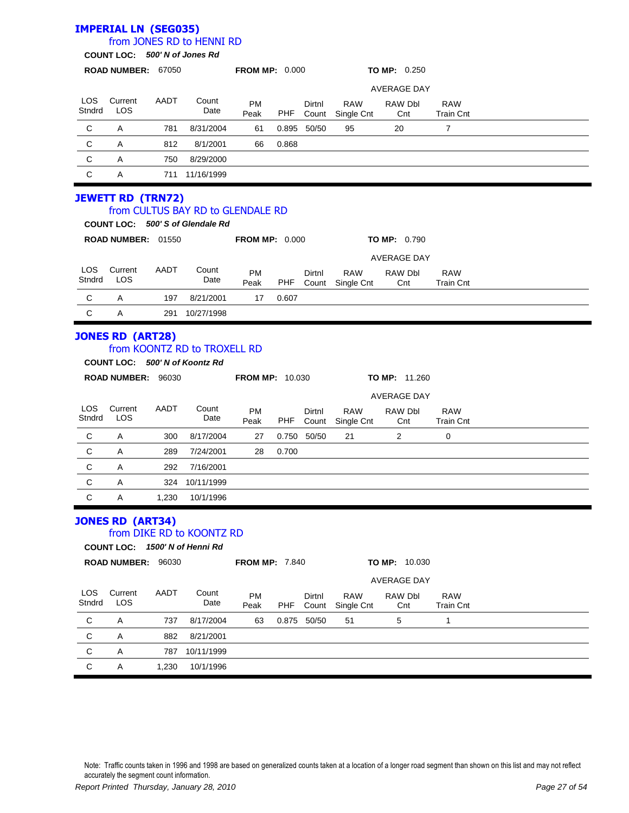# **IMPERIAL LN (SEG035)**

## from JONES RD to HENNI RD

**COUNT LOC:** *500' N of Jones Rd*

|                      | <b>ROAD NUMBER:</b> | 67050 |               | <b>FROM MP: 0.000</b> |       |                 |                          | <b>TO MP: 0.250</b> |                         |  |
|----------------------|---------------------|-------|---------------|-----------------------|-------|-----------------|--------------------------|---------------------|-------------------------|--|
|                      |                     |       |               |                       |       |                 |                          | <b>AVERAGE DAY</b>  |                         |  |
| <b>LOS</b><br>Stndrd | Current<br>LOS      | AADT  | Count<br>Date | <b>PM</b><br>Peak     | PHF   | Dirtnl<br>Count | <b>RAW</b><br>Single Cnt | RAW Dbl<br>Cnt      | <b>RAW</b><br>Train Cnt |  |
| C                    | Α                   | 781   | 8/31/2004     | 61                    | 0.895 | 50/50           | 95                       | 20                  |                         |  |
| C                    | Α                   | 812   | 8/1/2001      | 66                    | 0.868 |                 |                          |                     |                         |  |
| C                    | A                   | 750   | 8/29/2000     |                       |       |                 |                          |                     |                         |  |
| C                    | A                   | 711   | 11/16/1999    |                       |       |                 |                          |                     |                         |  |

# **JEWETT RD (TRN72)**

### from CULTUS BAY RD to GLENDALE RD

|               |                     |       | COUNT LOC: 500'S of Glendale Rd |                       |            |                 |                          |                       |                                |  |  |
|---------------|---------------------|-------|---------------------------------|-----------------------|------------|-----------------|--------------------------|-----------------------|--------------------------------|--|--|
|               | <b>ROAD NUMBER:</b> | 01550 |                                 | <b>FROM MP: 0.000</b> |            |                 |                          | <b>TO MP:</b> $0.790$ |                                |  |  |
|               |                     |       |                                 |                       |            |                 |                          | <b>AVERAGE DAY</b>    |                                |  |  |
| LOS<br>Stndrd | Current<br>LOS      | AADT  | Count<br>Date                   | <b>PM</b><br>Peak     | <b>PHF</b> | Dirtnl<br>Count | <b>RAW</b><br>Single Cnt | RAW Dbl<br>Cnt        | <b>RAW</b><br><b>Train Cnt</b> |  |  |
| C             | A                   | 197   | 8/21/2001                       | 17                    | 0.607      |                 |                          |                       |                                |  |  |
| C             | Α                   | 291   | 10/27/1998                      |                       |            |                 |                          |                       |                                |  |  |

#### **JONES RD (ART28)** from KOONTZ RD to TROXELL RD

#### **COUNT LOC:** *500' N of Koontz Rd*

|                      | <b>ROAD NUMBER:</b> | 96030 |               | <b>FROM MP: 10.030</b> |       |                 |                          | <b>TO MP: 11.260</b> |                         |  |  |
|----------------------|---------------------|-------|---------------|------------------------|-------|-----------------|--------------------------|----------------------|-------------------------|--|--|
|                      |                     |       |               |                        |       |                 |                          | <b>AVERAGE DAY</b>   |                         |  |  |
| <b>LOS</b><br>Stndrd | Current<br>LOS      | AADT  | Count<br>Date | <b>PM</b><br>Peak      | PHF   | Dirtnl<br>Count | <b>RAW</b><br>Single Cnt | RAW Dbl<br>Cnt       | <b>RAW</b><br>Train Cnt |  |  |
| C                    | Α                   | 300   | 8/17/2004     | 27                     | 0.750 | 50/50           | 21                       | 2                    | 0                       |  |  |
| C                    | Α                   | 289   | 7/24/2001     | 28                     | 0.700 |                 |                          |                      |                         |  |  |
| C                    | A                   | 292   | 7/16/2001     |                        |       |                 |                          |                      |                         |  |  |
| C                    | A                   | 324   | 10/11/1999    |                        |       |                 |                          |                      |                         |  |  |
| C                    | Α                   | 1,230 | 10/1/1996     |                        |       |                 |                          |                      |                         |  |  |

#### **JONES RD (ART34)**

#### from DIKE RD to KOONTZ RD

**COUNT LOC:** *1500' N of Henni Rd*

|               | <b>ROAD NUMBER:</b> | 96030 |               | <b>FROM MP: 7.840</b> |       |                 |                          | <b>TO MP: 10.030</b> |                         |  |  |
|---------------|---------------------|-------|---------------|-----------------------|-------|-----------------|--------------------------|----------------------|-------------------------|--|--|
|               |                     |       |               |                       |       |                 | <b>AVERAGE DAY</b>       |                      |                         |  |  |
| LOS<br>Stndrd | Current<br>LOS      | AADT  | Count<br>Date | <b>PM</b><br>Peak     | PHF   | Dirtnl<br>Count | <b>RAW</b><br>Single Cnt | RAW Dbl<br>Cnt       | <b>RAW</b><br>Train Cnt |  |  |
| C             | A                   | 737   | 8/17/2004     | 63                    | 0.875 | 50/50           | 51                       | 5                    | 1                       |  |  |
| C             | Α                   | 882   | 8/21/2001     |                       |       |                 |                          |                      |                         |  |  |
| C             | A                   | 787   | 10/11/1999    |                       |       |                 |                          |                      |                         |  |  |
| C             | A                   | 1.230 | 10/1/1996     |                       |       |                 |                          |                      |                         |  |  |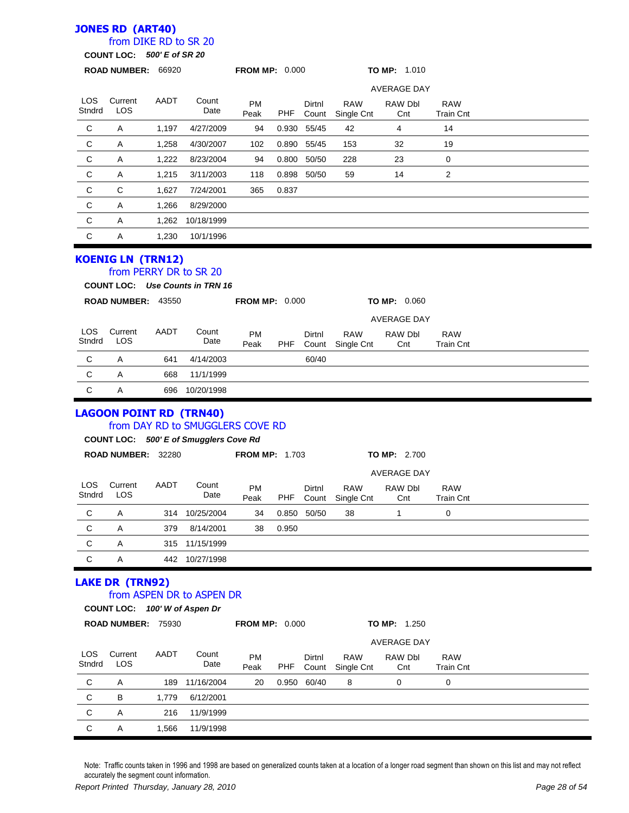## **JONES RD (ART40)**

### from DIKE RD to SR 20

**COUNT LOC:** *500' E of SR 20*

|                      | <b>UUUNI LUU.</b>                                                        | $300 E00$ and $20$ |                                                                            |                       |            |                 |                          |                     |                                |  |
|----------------------|--------------------------------------------------------------------------|--------------------|----------------------------------------------------------------------------|-----------------------|------------|-----------------|--------------------------|---------------------|--------------------------------|--|
|                      | ROAD NUMBER: 66920                                                       |                    |                                                                            | <b>FROM MP: 0.000</b> |            |                 |                          | <b>TO MP: 1.010</b> |                                |  |
|                      |                                                                          |                    |                                                                            |                       |            |                 |                          | <b>AVERAGE DAY</b>  |                                |  |
| <b>LOS</b><br>Stndrd | Current<br><b>LOS</b>                                                    | AADT               | Count<br>Date                                                              | <b>PM</b><br>Peak     | <b>PHF</b> | Dirtnl<br>Count | <b>RAW</b><br>Single Cnt | RAW Dbl<br>Cnt      | <b>RAW</b><br><b>Train Cnt</b> |  |
| C                    | Α                                                                        | 1,197              | 4/27/2009                                                                  | 94                    |            | 0.930 55/45     | 42                       | 4                   | 14                             |  |
| C                    | Α                                                                        | 1,258              | 4/30/2007                                                                  | 102                   |            | 0.890 55/45     | 153                      | 32                  | 19                             |  |
| C                    | Α                                                                        | 1,222              | 8/23/2004                                                                  | 94                    |            | 0.800 50/50     | 228                      | 23                  | 0                              |  |
| C                    | Α                                                                        | 1,215              | 3/11/2003                                                                  | 118                   |            | 0.898 50/50     | 59                       | 14                  | 2                              |  |
| C                    | С                                                                        | 1,627              | 7/24/2001                                                                  | 365                   | 0.837      |                 |                          |                     |                                |  |
| C                    | Α                                                                        | 1,266              | 8/29/2000                                                                  |                       |            |                 |                          |                     |                                |  |
| $\mathsf C$          | Α                                                                        | 1,262              | 10/18/1999                                                                 |                       |            |                 |                          |                     |                                |  |
| $\mathsf{C}$         | Α                                                                        | 1,230              | 10/1/1996                                                                  |                       |            |                 |                          |                     |                                |  |
|                      | <b>KOENIG LN (TRN12)</b><br>from PERRY DR to SR 20<br>ROAD NUMBER: 43550 |                    | COUNT LOC: Use Counts in TRN 16                                            | <b>FROM MP: 0.000</b> |            |                 |                          | <b>TO MP: 0.060</b> |                                |  |
|                      |                                                                          |                    |                                                                            |                       |            |                 |                          | <b>AVERAGE DAY</b>  |                                |  |
| LOS<br>Stndrd        | Current<br><b>LOS</b>                                                    | AADT               | Count<br>Date                                                              | <b>PM</b><br>Peak     | PHF        | Dirtnl<br>Count | <b>RAW</b><br>Single Cnt | RAW Dbl<br>Cnt      | <b>RAW</b><br><b>Train Cnt</b> |  |
| C                    | Α                                                                        | 641                | 4/14/2003                                                                  |                       |            | 60/40           |                          |                     |                                |  |
| C                    | Α                                                                        | 668                | 11/1/1999                                                                  |                       |            |                 |                          |                     |                                |  |
| C                    | Α                                                                        | 696                | 10/20/1998                                                                 |                       |            |                 |                          |                     |                                |  |
|                      | <b>LAGOON POINT RD (TRN40)</b>                                           |                    | from DAY RD to SMUGGLERS COVE RD<br>COUNT LOC: 500' E of Smugglers Cove Rd |                       |            |                 |                          |                     |                                |  |
|                      | ROAD NUMBER: 32280                                                       |                    |                                                                            | <b>FROM MP: 1.703</b> |            |                 |                          | TO MP: 2.700        |                                |  |
|                      |                                                                          |                    |                                                                            |                       |            |                 |                          | <b>AVERAGE DAY</b>  |                                |  |
| <b>LOS</b><br>Stndrd | Current<br>LOS                                                           | AADT               | Count<br>Date                                                              | PM<br>Peak            | <b>PHF</b> | Dirtnl<br>Count | <b>RAW</b><br>Single Cnt | RAW Dbl<br>Cnt      | <b>RAW</b><br><b>Train Cnt</b> |  |
| $\mathsf{C}$         | Α                                                                        |                    | 314 10/25/2004                                                             | 34                    |            |                 |                          |                     |                                |  |
| C                    | Α                                                                        |                    |                                                                            |                       |            | 0.850 50/50     | 38                       | 1                   | 0                              |  |
|                      |                                                                          | 379                | 8/14/2001                                                                  | 38                    | 0.950      |                 |                          |                     |                                |  |
| C                    | Α                                                                        | 315                | 11/15/1999                                                                 |                       |            |                 |                          |                     |                                |  |
| $\mathsf C$          | Α                                                                        | 442                | 10/27/1998                                                                 |                       |            |                 |                          |                     |                                |  |
|                      | <b>LAKE DR (TRN92)</b><br>COUNT LOC: 100' W of Aspen Dr                  |                    | from ASPEN DR to ASPEN DR                                                  |                       |            |                 |                          |                     |                                |  |
|                      | ROAD NUMBER: 75930                                                       |                    |                                                                            | <b>FROM MP: 0.000</b> |            |                 |                          | <b>TO MP: 1.250</b> |                                |  |
|                      |                                                                          |                    |                                                                            |                       |            |                 |                          | <b>AVERAGE DAY</b>  |                                |  |
| <b>LOS</b><br>Stndrd | Current<br>LOS                                                           | AADT               | Count<br>Date                                                              | PM<br>Peak            | <b>PHF</b> | Dirtnl<br>Count | <b>RAW</b><br>Single Cnt | RAW Dbl<br>Cnt      | <b>RAW</b><br><b>Train Cnt</b> |  |
| C                    | Α                                                                        | 189                | 11/16/2004                                                                 | 20                    | 0.950      | 60/40           | 8                        | 0                   | 0                              |  |
| C                    | В                                                                        | 1,779              | 6/12/2001                                                                  |                       |            |                 |                          |                     |                                |  |
| C                    | Α                                                                        | 216                | 11/9/1999                                                                  |                       |            |                 |                          |                     |                                |  |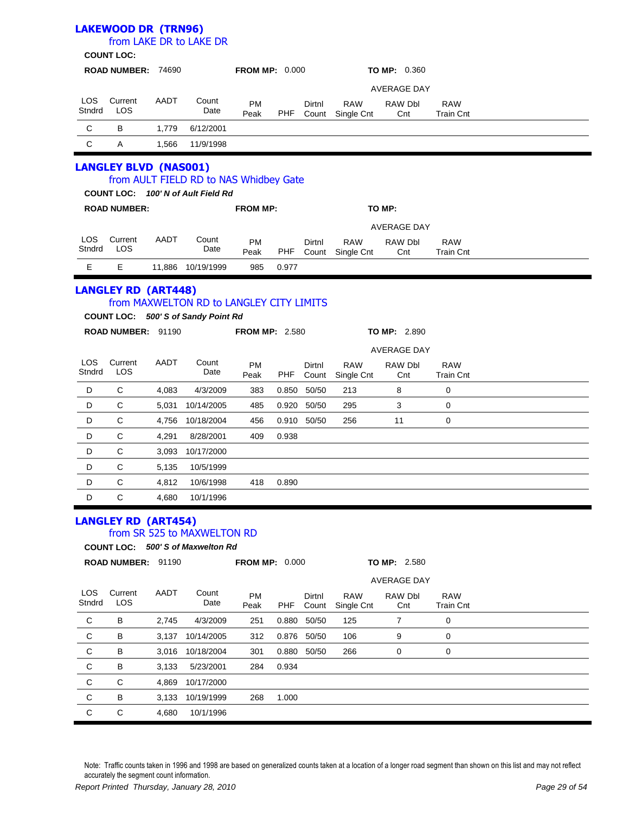|                      | <b>LAKEWOOD DR (TRN96)</b><br><b>COUNT LOC:</b> |       | from LAKE DR to LAKE DR                                                         |                       |            |                 |                                |                     |                                |  |
|----------------------|-------------------------------------------------|-------|---------------------------------------------------------------------------------|-----------------------|------------|-----------------|--------------------------------|---------------------|--------------------------------|--|
|                      | ROAD NUMBER: 74690                              |       |                                                                                 | <b>FROM MP: 0.000</b> |            |                 |                                | <b>TO MP: 0.360</b> |                                |  |
|                      |                                                 |       |                                                                                 |                       |            |                 |                                | <b>AVERAGE DAY</b>  |                                |  |
| <b>LOS</b><br>Stndrd | Current<br><b>LOS</b>                           | AADT  | Count<br>Date                                                                   | <b>PM</b><br>Peak     | PHF        | Dirtnl<br>Count | <b>RAW</b><br>Single Cnt       | RAW Dbl<br>Cnt      | <b>RAW</b><br><b>Train Cnt</b> |  |
| C                    | В                                               | 1,779 | 6/12/2001                                                                       |                       |            |                 |                                |                     |                                |  |
| $\mathbf C$          | Α                                               | 1,566 | 11/9/1998                                                                       |                       |            |                 |                                |                     |                                |  |
|                      | <b>LANGLEY BLVD (NAS001)</b>                    |       | from AULT FIELD RD to NAS Whidbey Gate<br>COUNT LOC: 100' N of Ault Field Rd    |                       |            |                 |                                |                     |                                |  |
|                      | <b>ROAD NUMBER:</b>                             |       |                                                                                 | <b>FROM MP:</b>       |            |                 |                                | TO MP:              |                                |  |
|                      |                                                 |       |                                                                                 |                       |            |                 |                                | <b>AVERAGE DAY</b>  |                                |  |
| <b>LOS</b><br>Stndrd | Current<br>LOS                                  | AADT  | Count<br>Date                                                                   | PM<br>Peak            | <b>PHF</b> | Dirtnl          | <b>RAW</b><br>Count Single Cnt | RAW Dbl<br>Cnt      | <b>RAW</b><br><b>Train Cnt</b> |  |
| E                    | Е                                               |       | 11,886 10/19/1999                                                               | 985                   | 0.977      |                 |                                |                     |                                |  |
|                      | <b>LANGLEY RD (ART448)</b>                      |       | from MAXWELTON RD to LANGLEY CITY LIMITS<br>COUNT LOC: 500' S of Sandy Point Rd |                       |            |                 |                                |                     |                                |  |
|                      | ROAD NUMBER: 91190                              |       |                                                                                 | <b>FROM MP: 2.580</b> |            |                 |                                | <b>TO MP: 2.890</b> |                                |  |
|                      |                                                 |       |                                                                                 |                       |            |                 |                                | <b>AVERAGE DAY</b>  |                                |  |
| LOS<br>Stndrd        | Current<br>LOS                                  | AADT  | Count<br>Date                                                                   | PM<br>Peak            | <b>PHF</b> | Dirtnl<br>Count | <b>RAW</b><br>Single Cnt       | RAW Dbl<br>Cnt      | <b>RAW</b><br><b>Train Cnt</b> |  |
| D                    | C                                               | 4,083 | 4/3/2009                                                                        | 383                   | 0.850      | 50/50           | 213                            | 8                   | 0                              |  |
| D                    | C                                               | 5,031 | 10/14/2005                                                                      | 485                   | 0.920      | 50/50           | 295                            | 3                   | 0                              |  |
| D                    | C                                               | 4,756 | 10/18/2004                                                                      | 456                   |            | 0.910 50/50     | 256                            | 11                  | 0                              |  |
| D                    | C                                               | 4,291 | 8/28/2001                                                                       | 409                   | 0.938      |                 |                                |                     |                                |  |
| D                    | C                                               | 3,093 | 10/17/2000                                                                      |                       |            |                 |                                |                     |                                |  |
| D                    | C                                               | 5,135 | 10/5/1999                                                                       |                       |            |                 |                                |                     |                                |  |
| D                    | С                                               | 4,812 | 10/6/1998                                                                       | 418                   | 0.890      |                 |                                |                     |                                |  |
| D                    | С                                               | 4,680 | 10/1/1996                                                                       |                       |            |                 |                                |                     |                                |  |
|                      | <b>LANGLEY RD (ART454)</b>                      |       | from SR 525 to MAXWELTON RD                                                     |                       |            |                 |                                |                     |                                |  |
|                      |                                                 |       | COUNT LOC: 500' S of Maxwelton Rd                                               |                       |            |                 |                                |                     |                                |  |
|                      | ROAD NUMBER: 91190                              |       |                                                                                 | <b>FROM MP: 0.000</b> |            |                 |                                | TO MP: 2.580        |                                |  |
|                      |                                                 |       |                                                                                 |                       |            |                 |                                | <b>AVERAGE DAY</b>  |                                |  |
| LOS.<br>Stndrd       | Current<br>LOS                                  | AADT  | Count<br>Date                                                                   | PM<br>Peak            | <b>PHF</b> | Dirtnl<br>Count | <b>RAW</b><br>Single Cnt       | RAW Dbl<br>Cnt      | <b>RAW</b><br><b>Train Cnt</b> |  |
| C                    | В                                               | 2,745 | 4/3/2009                                                                        | 251                   | 0.880      | 50/50           | 125                            | 7                   | 0                              |  |
| C                    | в                                               | 3,137 | 10/14/2005                                                                      | 312                   | 0.876      | 50/50           | 106                            | 9                   | 0                              |  |
| C                    | в                                               | 3,016 | 10/18/2004                                                                      | 301                   | 0.880      | 50/50           | 266                            | 0                   | 0                              |  |
| С                    | В                                               | 3,133 | 5/23/2001                                                                       | 284                   | 0.934      |                 |                                |                     |                                |  |

C C 4,680 10/1/1996

C C 4,869 10/17/2000

C B 3,133 10/19/1999 268 1.000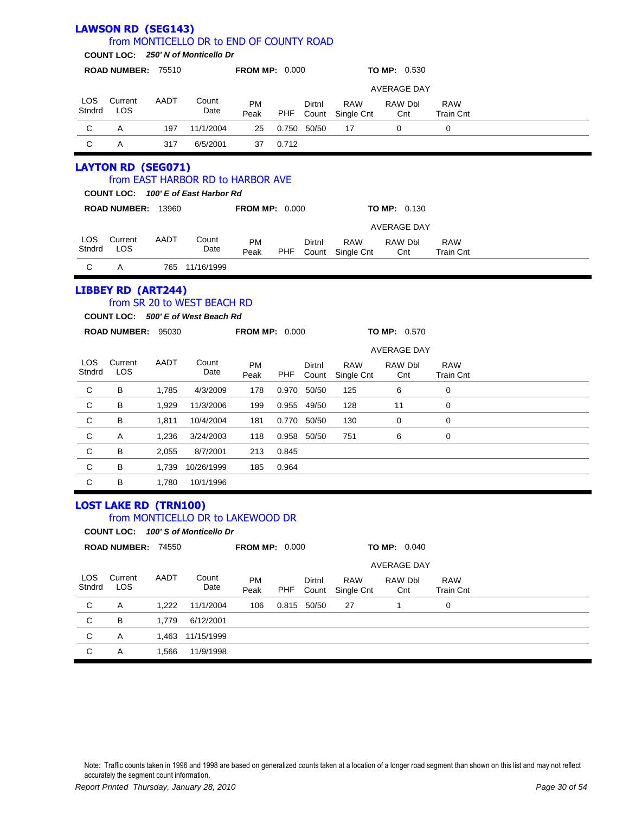|                      | <b>LAWSON RD (SEG143)</b>    |                |                                                                                |                       |            |                 |                          |                     |                                |  |
|----------------------|------------------------------|----------------|--------------------------------------------------------------------------------|-----------------------|------------|-----------------|--------------------------|---------------------|--------------------------------|--|
|                      |                              |                | from MONTICELLO DR to END OF COUNTY ROAD<br>COUNT LOC: 250' N of Monticello Dr |                       |            |                 |                          |                     |                                |  |
|                      | ROAD NUMBER: 75510           |                |                                                                                | <b>FROM MP: 0.000</b> |            |                 |                          | <b>TO MP: 0.530</b> |                                |  |
|                      |                              |                |                                                                                |                       |            |                 |                          | <b>AVERAGE DAY</b>  |                                |  |
| <b>LOS</b>           | Current                      | AADT           | Count                                                                          | <b>PM</b>             |            | Dirtnl          | <b>RAW</b>               | RAW Dbl             | <b>RAW</b>                     |  |
| Stndrd               | LOS                          |                | Date                                                                           | Peak                  | PHF        | Count           | Single Cnt               | Cnt                 | <b>Train Cnt</b>               |  |
| C                    | A                            | 197            | 11/1/2004                                                                      | 25                    |            | 0.750 50/50     | 17                       | 0                   | 0                              |  |
| C                    | Α                            | 317            | 6/5/2001                                                                       | 37                    | 0.712      |                 |                          |                     |                                |  |
|                      | <b>LAYTON RD (SEG071)</b>    |                |                                                                                |                       |            |                 |                          |                     |                                |  |
|                      |                              |                | from EAST HARBOR RD to HARBOR AVE                                              |                       |            |                 |                          |                     |                                |  |
|                      |                              |                | COUNT LOC: 100' E of East Harbor Rd                                            |                       |            |                 |                          |                     |                                |  |
|                      | ROAD NUMBER: 13960           |                |                                                                                | <b>FROM MP: 0.000</b> |            |                 |                          | <b>TO MP: 0.130</b> |                                |  |
|                      |                              |                |                                                                                |                       |            |                 |                          | <b>AVERAGE DAY</b>  |                                |  |
| LOS.<br>Stndrd       | Current<br>LOS               | AADT           | Count<br>Date                                                                  | PM<br>Peak            | PHF        | Dirtnl<br>Count | <b>RAW</b><br>Single Cnt | RAW Dbl<br>Cnt      | <b>RAW</b><br><b>Train Cnt</b> |  |
| С                    | A                            |                | 765 11/16/1999                                                                 |                       |            |                 |                          |                     |                                |  |
|                      |                              |                |                                                                                |                       |            |                 |                          |                     |                                |  |
|                      | <b>LIBBEY RD (ART244)</b>    |                | from SR 20 to WEST BEACH RD                                                    |                       |            |                 |                          |                     |                                |  |
|                      |                              |                | COUNT LOC: 500' E of West Beach Rd                                             |                       |            |                 |                          |                     |                                |  |
|                      | ROAD NUMBER: 95030           |                |                                                                                | <b>FROM MP: 0.000</b> |            |                 |                          | <b>TO MP: 0.570</b> |                                |  |
|                      |                              |                |                                                                                |                       |            |                 |                          | <b>AVERAGE DAY</b>  |                                |  |
| LOS.                 | Current                      | AADT           | Count                                                                          | PM                    |            | Dirtnl          | <b>RAW</b>               | RAW Dbl             | <b>RAW</b>                     |  |
| Stndrd               | LOS                          |                | Date                                                                           | Peak                  | PHF        | Count           | Single Cnt               | Cnt                 | <b>Train Cnt</b>               |  |
| С                    | В                            | 1,785          | 4/3/2009                                                                       | 178                   |            | 0.970 50/50     | 125                      | 6                   | 0                              |  |
| С                    | В                            | 1,929          | 11/3/2006                                                                      | 199                   |            | 0.955 49/50     | 128                      | 11                  | 0                              |  |
| C                    | B                            | 1,811          | 10/4/2004                                                                      | 181                   |            | 0.770 50/50     | 130                      | 0                   | 0                              |  |
| С                    | Α                            | 1,236          | 3/24/2003                                                                      | 118                   |            | 0.958 50/50     | 751                      | 6                   | 0                              |  |
| С                    | В                            | 2,055          | 8/7/2001                                                                       | 213                   | 0.845      |                 |                          |                     |                                |  |
| C                    | B                            | 1,739          | 10/26/1999                                                                     | 185                   | 0.964      |                 |                          |                     |                                |  |
| $\mathsf{C}$         | B                            | 1,780          | 10/1/1996                                                                      |                       |            |                 |                          |                     |                                |  |
|                      | <b>LOST LAKE RD (TRN100)</b> |                |                                                                                |                       |            |                 |                          |                     |                                |  |
|                      |                              |                | from MONTICELLO DR to LAKEWOOD DR                                              |                       |            |                 |                          |                     |                                |  |
|                      |                              |                | COUNT LOC: 100' S of Monticello Dr                                             |                       |            |                 |                          |                     |                                |  |
|                      | ROAD NUMBER: 74550           |                |                                                                                | <b>FROM MP: 0.000</b> |            |                 |                          | TO MP: 0.040        |                                |  |
|                      |                              |                |                                                                                |                       |            |                 |                          | <b>AVERAGE DAY</b>  |                                |  |
| <b>LOS</b><br>Stndrd | Current<br>LOS               | AADT           | Count<br>Date                                                                  | PM<br>Peak            | <b>PHF</b> | Dirtnl<br>Count | <b>RAW</b><br>Single Cnt | RAW Dbl<br>Cnt      | <b>RAW</b><br><b>Train Cnt</b> |  |
| C                    | Α                            | 1,222          | 11/1/2004                                                                      | 106                   |            | 0.815 50/50     | 27                       | $\mathbf{1}$        | $\mathbf 0$                    |  |
|                      |                              |                |                                                                                |                       |            |                 |                          |                     |                                |  |
|                      |                              |                |                                                                                |                       |            |                 |                          |                     |                                |  |
| C                    | Α                            | 1,566          | 11/9/1998                                                                      |                       |            |                 |                          |                     |                                |  |
| C<br>C               | в<br>Α                       | 1,779<br>1,463 | 6/12/2001<br>11/15/1999                                                        |                       |            |                 |                          |                     |                                |  |
|                      |                              |                |                                                                                |                       |            |                 |                          |                     |                                |  |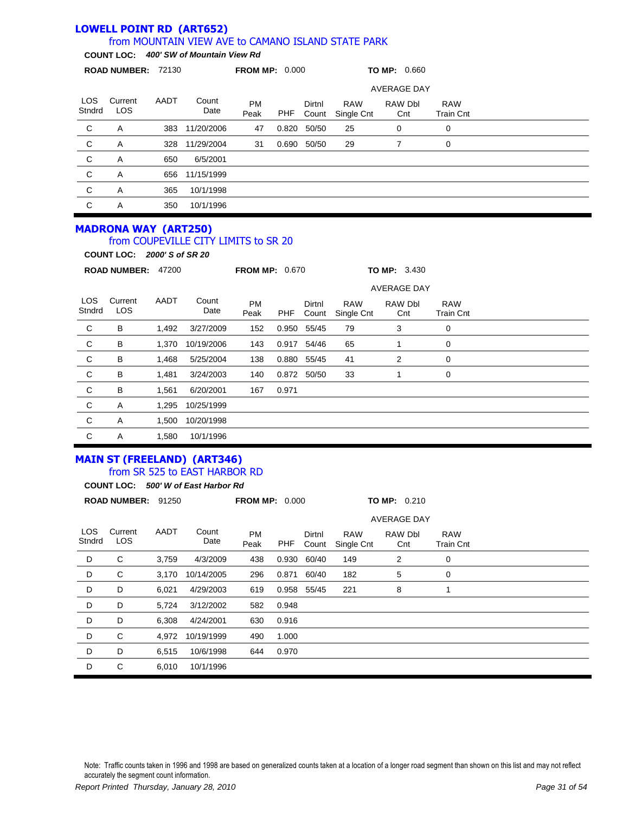#### **LOWELL POINT RD (ART652)** from MOUNTAIN VIEW AVE to CAMANO ISLAND STATE PARK

**COUNT LOC:** *400' SW of Mountain View Rd*

|                | <b>ROAD NUMBER:</b>   | 72130 |               | <b>FROM MP: 0.000</b> |       |                 |                          | TO MP: 0.660       |                                |  |
|----------------|-----------------------|-------|---------------|-----------------------|-------|-----------------|--------------------------|--------------------|--------------------------------|--|
|                |                       |       |               |                       |       |                 |                          | <b>AVERAGE DAY</b> |                                |  |
| LOS.<br>Stndrd | Current<br><b>LOS</b> | AADT  | Count<br>Date | <b>PM</b><br>Peak     | PHF   | Dirtnl<br>Count | <b>RAW</b><br>Single Cnt | RAW Dbl<br>Cnt     | <b>RAW</b><br><b>Train Cnt</b> |  |
| C              | A                     | 383   | 11/20/2006    | 47                    | 0.820 | 50/50           | 25                       | 0                  | 0                              |  |
| C              | Α                     | 328   | 11/29/2004    | 31                    | 0.690 | 50/50           | 29                       | 7                  | 0                              |  |
| C              | Α                     | 650   | 6/5/2001      |                       |       |                 |                          |                    |                                |  |
| C              | Α                     | 656   | 11/15/1999    |                       |       |                 |                          |                    |                                |  |
| C              | A                     | 365   | 10/1/1998     |                       |       |                 |                          |                    |                                |  |
| C              | Α                     | 350   | 10/1/1996     |                       |       |                 |                          |                    |                                |  |

#### **MADRONA WAY (ART250)** from COUPEVILLE CITY LIMITS to SR 20

**COUNT LOC:** *2000' S of SR 20*

|                | <b>ROAD NUMBER:</b>   | 47200 |               | <b>FROM MP: 0.670</b> |       |                    |                          | <b>TO MP: 3.430</b> |                                |  |
|----------------|-----------------------|-------|---------------|-----------------------|-------|--------------------|--------------------------|---------------------|--------------------------------|--|
|                |                       |       |               |                       |       | <b>AVERAGE DAY</b> |                          |                     |                                |  |
| LOS.<br>Stndrd | Current<br><b>LOS</b> | AADT  | Count<br>Date | <b>PM</b><br>Peak     | PHF   | Dirtnl<br>Count    | <b>RAW</b><br>Single Cnt | RAW Dbl<br>Cnt      | <b>RAW</b><br><b>Train Cnt</b> |  |
| C              | В                     | 1,492 | 3/27/2009     | 152                   | 0.950 | 55/45              | 79                       | 3                   | 0                              |  |
| $\mathbf C$    | B                     | 1,370 | 10/19/2006    | 143                   | 0.917 | 54/46              | 65                       |                     | 0                              |  |
| C              | B                     | 1,468 | 5/25/2004     | 138                   | 0.880 | 55/45              | 41                       | 2                   | 0                              |  |
| C              | B                     | 1,481 | 3/24/2003     | 140                   |       | 0.872 50/50        | 33                       |                     | 0                              |  |
| C              | B                     | 1,561 | 6/20/2001     | 167                   | 0.971 |                    |                          |                     |                                |  |
| C              | A                     | 1,295 | 10/25/1999    |                       |       |                    |                          |                     |                                |  |
| C              | Α                     | 1,500 | 10/20/1998    |                       |       |                    |                          |                     |                                |  |
| C              | Α                     | 1,580 | 10/1/1996     |                       |       |                    |                          |                     |                                |  |

### **MAIN ST (FREELAND) (ART346)** from SR 525 to EAST HARBOR RD

|                      | <b>COUNT LOC:</b>   |       | 500' W of East Harbor Rd |                       |       |                 |                          |                    |                                |  |
|----------------------|---------------------|-------|--------------------------|-----------------------|-------|-----------------|--------------------------|--------------------|--------------------------------|--|
|                      | <b>ROAD NUMBER:</b> | 91250 |                          | <b>FROM MP: 0.000</b> |       |                 |                          | TO MP: 0.210       |                                |  |
|                      |                     |       |                          |                       |       |                 |                          | <b>AVERAGE DAY</b> |                                |  |
| <b>LOS</b><br>Stndrd | Current<br>LOS.     | AADT  | Count<br>Date            | <b>PM</b><br>Peak     | PHF   | Dirtnl<br>Count | <b>RAW</b><br>Single Cnt | RAW Dbl<br>Cnt     | <b>RAW</b><br><b>Train Cnt</b> |  |
| D                    | C                   | 3,759 | 4/3/2009                 | 438                   | 0.930 | 60/40           | 149                      | 2                  | 0                              |  |
| D                    | C                   | 3,170 | 10/14/2005               | 296                   | 0.871 | 60/40           | 182                      | 5                  | 0                              |  |
| D                    | D                   | 6,021 | 4/29/2003                | 619                   | 0.958 | 55/45           | 221                      | 8                  | 1                              |  |
| D                    | D                   | 5,724 | 3/12/2002                | 582                   | 0.948 |                 |                          |                    |                                |  |
| D                    | D                   | 6,308 | 4/24/2001                | 630                   | 0.916 |                 |                          |                    |                                |  |
| D                    | C                   | 4,972 | 10/19/1999               | 490                   | 1.000 |                 |                          |                    |                                |  |
| D                    | D                   | 6,515 | 10/6/1998                | 644                   | 0.970 |                 |                          |                    |                                |  |
| D                    | C                   | 6,010 | 10/1/1996                |                       |       |                 |                          |                    |                                |  |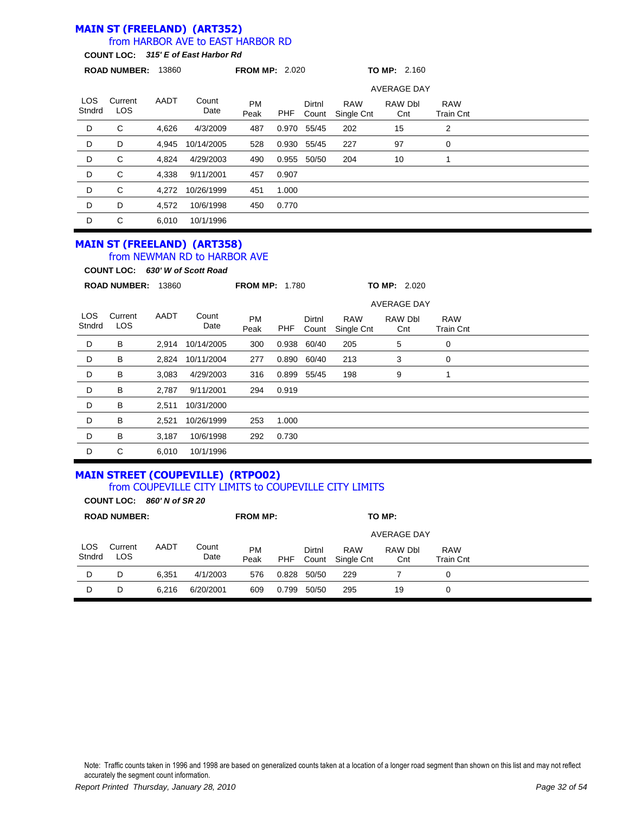#### **MAIN ST (FREELAND) (ART352)** from HARBOR AVE to EAST HARBOR RD

**COUNT LOC:** *315' E of East Harbor Rd*

|                | <b>ROAD NUMBER:</b> | 13860 |               | <b>FROM MP: 2.020</b> |       |                 |                          | <b>TO MP: 2.160</b> |                                |  |  |
|----------------|---------------------|-------|---------------|-----------------------|-------|-----------------|--------------------------|---------------------|--------------------------------|--|--|
|                |                     |       |               |                       |       |                 |                          | <b>AVERAGE DAY</b>  |                                |  |  |
| LOS.<br>Stndrd | Current<br>LOS      | AADT  | Count<br>Date | <b>PM</b><br>Peak     | PHF   | Dirtnl<br>Count | <b>RAW</b><br>Single Cnt | RAW Dbl<br>Cnt      | <b>RAW</b><br><b>Train Cnt</b> |  |  |
| D              | C                   | 4,626 | 4/3/2009      | 487                   | 0.970 | 55/45           | 202                      | 15                  | 2                              |  |  |
| D              | D                   | 4.945 | 10/14/2005    | 528                   | 0.930 | 55/45           | 227                      | 97                  | 0                              |  |  |
| D              | С                   | 4,824 | 4/29/2003     | 490                   | 0.955 | 50/50           | 204                      | 10                  |                                |  |  |
| D              | C                   | 4,338 | 9/11/2001     | 457                   | 0.907 |                 |                          |                     |                                |  |  |
| D              | C                   | 4.272 | 10/26/1999    | 451                   | 1.000 |                 |                          |                     |                                |  |  |
| D              | D                   | 4,572 | 10/6/1998     | 450                   | 0.770 |                 |                          |                     |                                |  |  |
| D              | C                   | 6.010 | 10/1/1996     |                       |       |                 |                          |                     |                                |  |  |

#### **MAIN ST (FREELAND) (ART358)** from NEWMAN RD to HARBOR AVE

**COUNT LOC:** *630' W of Scott Road*

|                      | <b>ROAD NUMBER:</b> | 13860 |               | <b>FROM MP: 1.780</b> |       |                 |                          | TO MP: 2.020       |                                |  |  |
|----------------------|---------------------|-------|---------------|-----------------------|-------|-----------------|--------------------------|--------------------|--------------------------------|--|--|
|                      |                     |       |               |                       |       |                 |                          | <b>AVERAGE DAY</b> |                                |  |  |
| <b>LOS</b><br>Stndrd | Current<br>LOS      | AADT  | Count<br>Date | <b>PM</b><br>Peak     | PHF   | Dirtnl<br>Count | <b>RAW</b><br>Single Cnt | RAW Dbl<br>Cnt     | <b>RAW</b><br><b>Train Cnt</b> |  |  |
| D                    | В                   | 2,914 | 10/14/2005    | 300                   | 0.938 | 60/40           | 205                      | 5                  | 0                              |  |  |
| D                    | В                   | 2,824 | 10/11/2004    | 277                   | 0.890 | 60/40           | 213                      | 3                  | 0                              |  |  |
| D                    | В                   | 3,083 | 4/29/2003     | 316                   | 0.899 | 55/45           | 198                      | 9                  |                                |  |  |
| D                    | В                   | 2,787 | 9/11/2001     | 294                   | 0.919 |                 |                          |                    |                                |  |  |
| D                    | В                   | 2,511 | 10/31/2000    |                       |       |                 |                          |                    |                                |  |  |
| D                    | В                   | 2,521 | 10/26/1999    | 253                   | 1.000 |                 |                          |                    |                                |  |  |
| D                    | В                   | 3,187 | 10/6/1998     | 292                   | 0.730 |                 |                          |                    |                                |  |  |
| D                    | С                   | 6,010 | 10/1/1996     |                       |       |                 |                          |                    |                                |  |  |

#### **MAIN STREET (COUPEVILLE) (RTPO02)** from COUPEVILLE CITY LIMITS to COUPEVILLE CITY LIMITS

**COUNT LOC:** *860' N of SR 20*

|               | <b>ROAD NUMBER:</b> |       |               | <b>FROM MP:</b>   |       |                 |                          | TO MP:         |                         |  |
|---------------|---------------------|-------|---------------|-------------------|-------|-----------------|--------------------------|----------------|-------------------------|--|
|               |                     |       |               |                   |       |                 |                          | AVERAGE DAY    |                         |  |
| LOS<br>Stndrd | Current<br>LOS      | AADT  | Count<br>Date | <b>PM</b><br>Peak | PHF   | Dirtnl<br>Count | <b>RAW</b><br>Single Cnt | RAW Dbl<br>Cnt | <b>RAW</b><br>Train Cnt |  |
| D             | D                   | 6.351 | 4/1/2003      | 576               | 0.828 | 50/50           | 229                      |                | 0                       |  |
| D             | D                   | 6.216 | 6/20/2001     | 609               | 0.799 | 50/50           | 295                      | 19             | 0                       |  |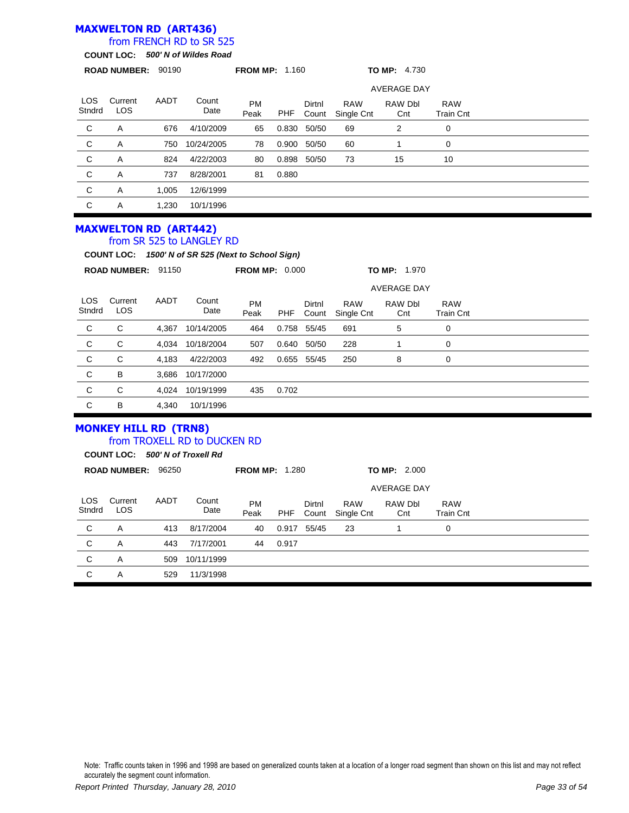### **MAXWELTON RD (ART436)**

### from FRENCH RD to SR 525

**COUNT LOC:** *500' N of Wildes Road*

|                      |                                                                 |       | COUNT LOC. 500 N OF WHILES ROAD                                                 |                       |            |                 |                          |                     |                                |  |
|----------------------|-----------------------------------------------------------------|-------|---------------------------------------------------------------------------------|-----------------------|------------|-----------------|--------------------------|---------------------|--------------------------------|--|
|                      | ROAD NUMBER: 90190                                              |       |                                                                                 | <b>FROM MP: 1.160</b> |            |                 |                          | <b>TO MP: 4.730</b> |                                |  |
|                      |                                                                 |       |                                                                                 |                       |            |                 |                          | <b>AVERAGE DAY</b>  |                                |  |
| <b>LOS</b><br>Stndrd | Current<br><b>LOS</b>                                           | AADT  | Count<br>Date                                                                   | <b>PM</b><br>Peak     | <b>PHF</b> | Dirtnl<br>Count | <b>RAW</b><br>Single Cnt | RAW Dbl<br>Cnt      | <b>RAW</b><br><b>Train Cnt</b> |  |
| С                    | Α                                                               | 676   | 4/10/2009                                                                       | 65                    |            | 0.830 50/50     | 69                       | $\overline{2}$      | 0                              |  |
| $\mathsf C$          | Α                                                               | 750   | 10/24/2005                                                                      | 78                    | 0.900      | 50/50           | 60                       | 1                   | $\mathbf 0$                    |  |
| C                    | A                                                               | 824   | 4/22/2003                                                                       | 80                    | 0.898      | 50/50           | 73                       | 15                  | 10                             |  |
| C                    | Α                                                               | 737   | 8/28/2001                                                                       | 81                    | 0.880      |                 |                          |                     |                                |  |
| $\mathsf C$          | Α                                                               | 1,005 | 12/6/1999                                                                       |                       |            |                 |                          |                     |                                |  |
| C                    | A                                                               | 1,230 | 10/1/1996                                                                       |                       |            |                 |                          |                     |                                |  |
|                      | <b>MAXWELTON RD (ART442)</b>                                    |       | from SR 525 to LANGLEY RD<br>COUNT LOC: 1500' N of SR 525 (Next to School Sign) |                       |            |                 |                          |                     |                                |  |
|                      | ROAD NUMBER: 91150                                              |       |                                                                                 | <b>FROM MP: 0.000</b> |            |                 |                          | <b>TO MP: 1.970</b> |                                |  |
|                      |                                                                 |       |                                                                                 |                       |            |                 |                          | <b>AVERAGE DAY</b>  |                                |  |
| LOS<br>Stndrd        | Current<br>LOS                                                  | AADT  | Count<br>Date                                                                   | <b>PM</b><br>Peak     | PHF        | Dirtnl<br>Count | <b>RAW</b><br>Single Cnt | RAW Dbl<br>Cnt      | <b>RAW</b><br><b>Train Cnt</b> |  |
| C                    | С                                                               | 4,367 | 10/14/2005                                                                      | 464                   |            | 0.758 55/45     | 691                      | 5                   | $\mathbf 0$                    |  |
| C                    | C                                                               | 4,034 | 10/18/2004                                                                      | 507                   | 0.640      | 50/50           | 228                      | $\mathbf{1}$        | $\mathbf 0$                    |  |
| C                    | C                                                               | 4,183 | 4/22/2003                                                                       | 492                   |            | 0.655 55/45     | 250                      | 8                   | 0                              |  |
| C                    | B                                                               | 3,686 | 10/17/2000                                                                      |                       |            |                 |                          |                     |                                |  |
| С                    | C                                                               | 4,024 | 10/19/1999                                                                      | 435                   | 0.702      |                 |                          |                     |                                |  |
| C                    | B                                                               | 4,340 | 10/1/1996                                                                       |                       |            |                 |                          |                     |                                |  |
|                      | <b>MONKEY HILL RD (TRN8)</b><br>COUNT LOC: 500' N of Troxell Rd |       | from TROXELL RD to DUCKEN RD                                                    |                       |            |                 |                          |                     |                                |  |
|                      | ROAD NUMBER: 96250                                              |       |                                                                                 | <b>FROM MP: 1.280</b> |            |                 |                          | TO MP: 2.000        |                                |  |
|                      |                                                                 |       |                                                                                 |                       |            |                 |                          | <b>AVERAGE DAY</b>  |                                |  |
| <b>LOS</b><br>Stndrd | Current<br>LOS                                                  | AADT  | Count<br>Date                                                                   | PM<br>Peak            | PHF        | Dirtnl<br>Count | <b>RAW</b><br>Single Cnt | RAW Dbl<br>Cnt      | <b>RAW</b><br><b>Train Cnt</b> |  |
| С                    | Α                                                               | 413   | 8/17/2004                                                                       | 40                    |            | 0.917 55/45     | 23                       | $\mathbf{1}$        | $\mathbf 0$                    |  |
| C                    | Α                                                               | 443   | 7/17/2001                                                                       | 44                    | 0.917      |                 |                          |                     |                                |  |
| $\mathsf C$          | Α                                                               | 509   | 10/11/1999                                                                      |                       |            |                 |                          |                     |                                |  |
| C                    | A                                                               | 529   | 11/3/1998                                                                       |                       |            |                 |                          |                     |                                |  |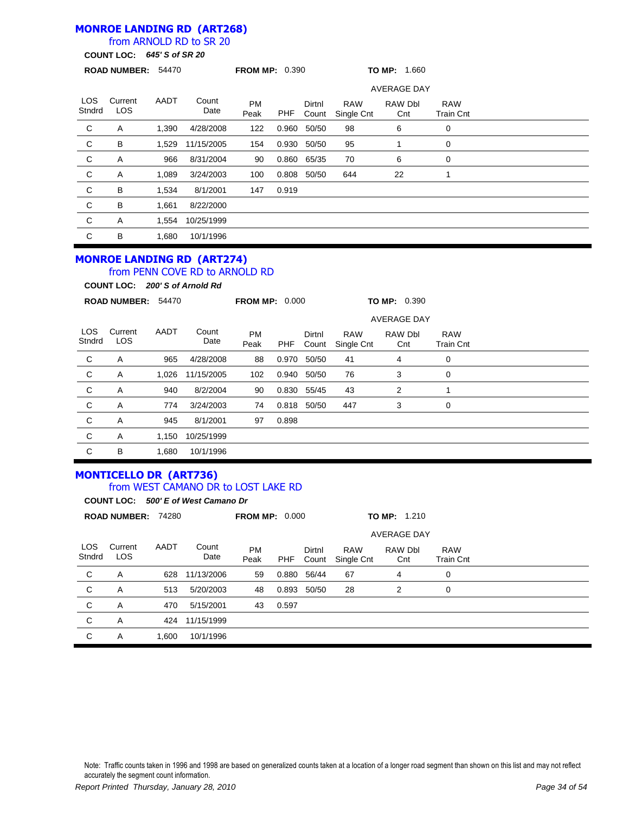### **MONROE LANDING RD (ART268)**

### from ARNOLD RD to SR 20

**COUNT LOC:** *645' S of SR 20*

|                | <b>ROAD NUMBER:</b>   | 54470 |               | <b>FROM MP: 0.390</b> |       |                 |                          | TO MP: 1.660       |                                |  |
|----------------|-----------------------|-------|---------------|-----------------------|-------|-----------------|--------------------------|--------------------|--------------------------------|--|
|                |                       |       |               |                       |       |                 |                          | <b>AVERAGE DAY</b> |                                |  |
| LOS.<br>Stndrd | Current<br><b>LOS</b> | AADT  | Count<br>Date | <b>PM</b><br>Peak     | PHF   | Dirtnl<br>Count | <b>RAW</b><br>Single Cnt | RAW Dbl<br>Cnt     | <b>RAW</b><br><b>Train Cnt</b> |  |
| C              | A                     | 1,390 | 4/28/2008     | 122                   | 0.960 | 50/50           | 98                       | 6                  | 0                              |  |
| C              | В                     | 1,529 | 11/15/2005    | 154                   | 0.930 | 50/50           | 95                       |                    | 0                              |  |
| C              | Α                     | 966   | 8/31/2004     | 90                    | 0.860 | 65/35           | 70                       | 6                  | 0                              |  |
| C              | Α                     | 1,089 | 3/24/2003     | 100                   | 0.808 | 50/50           | 644                      | 22                 |                                |  |
| $\mathbf{C}$   | B                     | 1,534 | 8/1/2001      | 147                   | 0.919 |                 |                          |                    |                                |  |
| C              | B                     | 1,661 | 8/22/2000     |                       |       |                 |                          |                    |                                |  |
| C              | A                     | 1,554 | 10/25/1999    |                       |       |                 |                          |                    |                                |  |
| С              | B                     | 1.680 | 10/1/1996     |                       |       |                 |                          |                    |                                |  |

#### **MONROE LANDING RD (ART274)** from PENN COVE RD to ARNOLD RD

**COUNT LOC:** *200' S of Arnold Rd*

|                      | <b>ROAD NUMBER:</b> | 54470 |                    | <b>FROM MP: 0.000</b> |       |                 |                          | TO MP: 0.390   |                                |  |
|----------------------|---------------------|-------|--------------------|-----------------------|-------|-----------------|--------------------------|----------------|--------------------------------|--|
|                      |                     |       | <b>AVERAGE DAY</b> |                       |       |                 |                          |                |                                |  |
| <b>LOS</b><br>Stndrd | Current<br>LOS      | AADT  | Count<br>Date      | <b>PM</b><br>Peak     | PHF   | Dirtnl<br>Count | <b>RAW</b><br>Single Cnt | RAW Dbl<br>Cnt | <b>RAW</b><br><b>Train Cnt</b> |  |
| C                    | Α                   | 965   | 4/28/2008          | 88                    | 0.970 | 50/50           | 41                       | 4              | 0                              |  |
| $\mathbf C$          | Α                   | 1,026 | 11/15/2005         | 102                   | 0.940 | 50/50           | 76                       | 3              | 0                              |  |
| C                    | Α                   | 940   | 8/2/2004           | 90                    |       | 0.830 55/45     | 43                       | 2              | 1                              |  |
| C                    | Α                   | 774   | 3/24/2003          | 74                    | 0.818 | 50/50           | 447                      | 3              | 0                              |  |
| C                    | A                   | 945   | 8/1/2001           | 97                    | 0.898 |                 |                          |                |                                |  |
| C                    | Α                   | 1,150 | 10/25/1999         |                       |       |                 |                          |                |                                |  |
| C                    | B                   | 1,680 | 10/1/1996          |                       |       |                 |                          |                |                                |  |

# **MONTICELLO DR (ART736)**

### from WEST CAMANO DR to LOST LAKE RD

**COUNT LOC:** *500' E of West Camano Dr*

|                      | <b>ROAD NUMBER:</b> |       | 74280         | <b>FROM MP: 0.000</b> |       |                 |                          | TO MP: 1.210   |                                |  |  |  |  |
|----------------------|---------------------|-------|---------------|-----------------------|-------|-----------------|--------------------------|----------------|--------------------------------|--|--|--|--|
|                      |                     |       |               | <b>AVERAGE DAY</b>    |       |                 |                          |                |                                |  |  |  |  |
| <b>LOS</b><br>Stndrd | Current<br>LOS.     | AADT  | Count<br>Date | <b>PM</b><br>Peak     | PHF   | Dirtnl<br>Count | <b>RAW</b><br>Single Cnt | RAW Dbl<br>Cnt | <b>RAW</b><br><b>Train Cnt</b> |  |  |  |  |
| C                    | A                   | 628   | 11/13/2006    | 59                    | 0.880 | 56/44           | 67                       | 4              | $\mathbf 0$                    |  |  |  |  |
| C                    | A                   | 513   | 5/20/2003     | 48                    | 0.893 | 50/50           | 28                       | 2              | 0                              |  |  |  |  |
| C                    | A                   | 470   | 5/15/2001     | 43                    | 0.597 |                 |                          |                |                                |  |  |  |  |
| C                    | A                   | 424   | 11/15/1999    |                       |       |                 |                          |                |                                |  |  |  |  |
| C                    | A                   | 1.600 | 10/1/1996     |                       |       |                 |                          |                |                                |  |  |  |  |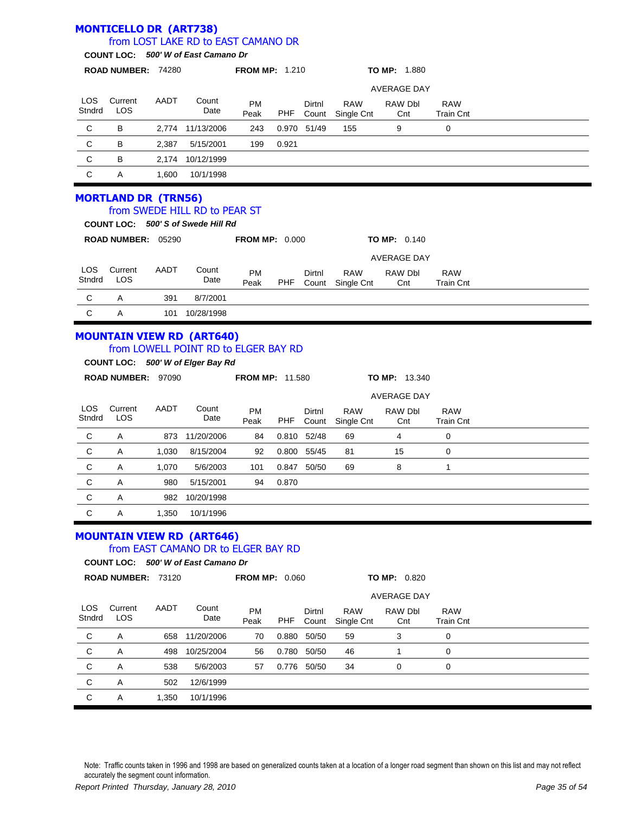#### **MONTICELLO DR (ART738)** LOS **Stndrd Current** LOS PM Peak Dirtnl Count RAW Single Cnt **ROAD NUMBER:** 74280 **FROM MP:** 1.210 **TO MP:** 1.880 **COUNT LOC:** *500' W of East Camano Dr* from LOST LAKE RD to EAST CAMANO DR AADT Count Date RAW Dbl **Cnt** RAW Train Cnt AVERAGE DAY PHF C B 2,774 11/13/2006 243 0.970 51/49 155 9 0 C B 2,387 5/15/2001 199 0.921 C B 2,174 10/12/1999 C A 1,600 10/1/1998 **MORTLAND DR (TRN56)** LOS **Stndrd** Current LOS PM Peak Dirtnl Count RAW Single Cnt **ROAD NUMBER:** 05290 **FROM MP:** 0.000 **TO MP:** 0.140 **COUNT LOC:** *500' S of Swede Hill Rd* from SWEDE HILL RD to PEAR ST AADT Count Date RAW Dbl **Cnt** RAW Train Cnt AVERAGE DAY PHF C A 391 8/7/2001 C A 101 10/28/1998 **MOUNTAIN VIEW RD (ART640)**

#### from LOWELL POINT RD to ELGER BAY RD

**COUNT LOC:** *500' W of Elger Bay Rd*

|               | <b>ROAD NUMBER:</b>   | 97090 |               | <b>FROM MP: 11.580</b> |       |                 |                          | <b>TO MP: 13.340</b> |                                |  |  |  |
|---------------|-----------------------|-------|---------------|------------------------|-------|-----------------|--------------------------|----------------------|--------------------------------|--|--|--|
|               | <b>AVERAGE DAY</b>    |       |               |                        |       |                 |                          |                      |                                |  |  |  |
| LOS<br>Stndrd | Current<br><b>LOS</b> | AADT  | Count<br>Date | <b>PM</b><br>Peak      | PHF   | Dirtnl<br>Count | <b>RAW</b><br>Single Cnt | RAW Dbl<br>Cnt       | <b>RAW</b><br><b>Train Cnt</b> |  |  |  |
| C             | A                     | 873   | 11/20/2006    | 84                     | 0.810 | 52/48           | 69                       | 4                    | 0                              |  |  |  |
| C             | Α                     | 1,030 | 8/15/2004     | 92                     | 0.800 | 55/45           | 81                       | 15                   | 0                              |  |  |  |
| C             | A                     | 1,070 | 5/6/2003      | 101                    | 0.847 | 50/50           | 69                       | 8                    | 1                              |  |  |  |
| C             | A                     | 980   | 5/15/2001     | 94                     | 0.870 |                 |                          |                      |                                |  |  |  |
| C             | A                     | 982   | 10/20/1998    |                        |       |                 |                          |                      |                                |  |  |  |
| С             | A                     | 1,350 | 10/1/1996     |                        |       |                 |                          |                      |                                |  |  |  |

# **MOUNTAIN VIEW RD (ART646)**

### from EAST CAMANO DR to ELGER BAY RD

**COUNT LOC:** *500' W of East Camano Dr*

|                | <b>ROAD NUMBER: 73120</b> |       |                | <b>FROM MP: 0.060</b> |       |                 |                          | TO MP: 0.820   |                         |  |  |
|----------------|---------------------------|-------|----------------|-----------------------|-------|-----------------|--------------------------|----------------|-------------------------|--|--|
|                |                           |       |                | <b>AVERAGE DAY</b>    |       |                 |                          |                |                         |  |  |
| LOS.<br>Stndrd | Current<br><b>LOS</b>     | AADT  | Count<br>Date  | <b>PM</b><br>Peak     | PHF   | Dirtnl<br>Count | <b>RAW</b><br>Single Cnt | RAW Dbl<br>Cnt | <b>RAW</b><br>Train Cnt |  |  |
| C              | A                         |       | 658 11/20/2006 | 70                    | 0.880 | 50/50           | 59                       | 3              | 0                       |  |  |
| C              | A                         | 498   | 10/25/2004     | 56                    | 0.780 | 50/50           | 46                       |                | 0                       |  |  |
| C              | Α                         | 538   | 5/6/2003       | 57                    | 0.776 | 50/50           | 34                       | 0              | 0                       |  |  |
| C              | A                         | 502   | 12/6/1999      |                       |       |                 |                          |                |                         |  |  |
| C              | A                         | 1,350 | 10/1/1996      |                       |       |                 |                          |                |                         |  |  |
|                |                           |       |                |                       |       |                 |                          |                |                         |  |  |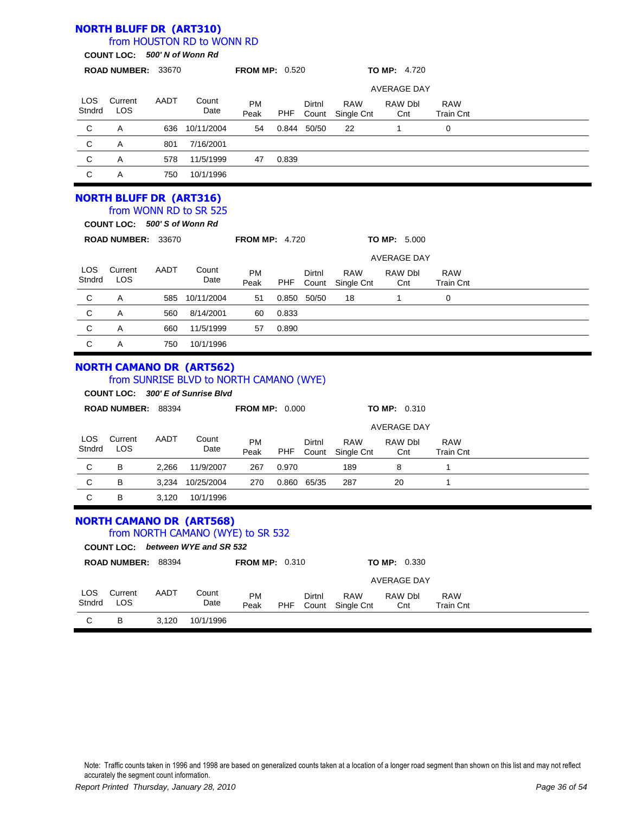|                      | <b>NORTH BLUFF DR (ART310)</b>                                |       | from HOUSTON RD to WONN RD                                                                                      |                       |            |                 |                                |                     |                                |  |
|----------------------|---------------------------------------------------------------|-------|-----------------------------------------------------------------------------------------------------------------|-----------------------|------------|-----------------|--------------------------------|---------------------|--------------------------------|--|
|                      | COUNT LOC: 500' N of Wonn Rd                                  |       |                                                                                                                 |                       |            |                 |                                |                     |                                |  |
|                      | ROAD NUMBER: 33670                                            |       |                                                                                                                 | <b>FROM MP: 0.520</b> |            |                 |                                | <b>TO MP: 4.720</b> |                                |  |
|                      |                                                               |       |                                                                                                                 |                       |            |                 |                                | <b>AVERAGE DAY</b>  |                                |  |
| <b>LOS</b><br>Stndrd | Current<br>LOS                                                | AADT  | Count<br>Date                                                                                                   | <b>PM</b><br>Peak     | <b>PHF</b> | Dirtnl<br>Count | <b>RAW</b><br>Single Cnt       | RAW Dbl<br>Cnt      | <b>RAW</b><br><b>Train Cnt</b> |  |
| C                    | Α                                                             | 636   | 10/11/2004                                                                                                      | 54                    |            | 0.844 50/50     | 22                             | $\mathbf{1}$        | 0                              |  |
| C                    | A                                                             | 801   | 7/16/2001                                                                                                       |                       |            |                 |                                |                     |                                |  |
| C                    | Α                                                             | 578   | 11/5/1999                                                                                                       | 47                    | 0.839      |                 |                                |                     |                                |  |
| C                    | A                                                             | 750   | 10/1/1996                                                                                                       |                       |            |                 |                                |                     |                                |  |
|                      | <b>NORTH BLUFF DR (ART316)</b><br>COUNT LOC: 500'S of Wonn Rd |       | from WONN RD to SR 525                                                                                          |                       |            |                 |                                |                     |                                |  |
|                      | ROAD NUMBER: 33670                                            |       |                                                                                                                 | <b>FROM MP: 4.720</b> |            |                 |                                | TO MP: 5.000        |                                |  |
|                      |                                                               |       |                                                                                                                 |                       |            |                 |                                | <b>AVERAGE DAY</b>  |                                |  |
| <b>LOS</b><br>Stndrd | Current<br>LOS                                                | AADT  | Count<br>Date                                                                                                   | PM<br>Peak            | PHF        | Dirtnl<br>Count | <b>RAW</b><br>Single Cnt       | RAW Dbl<br>Cnt      | <b>RAW</b><br><b>Train Cnt</b> |  |
| C                    | Α                                                             | 585   | 10/11/2004                                                                                                      | 51                    |            | 0.850 50/50     | 18                             | $\mathbf{1}$        | 0                              |  |
| C                    | Α                                                             | 560   | 8/14/2001                                                                                                       | 60                    | 0.833      |                 |                                |                     |                                |  |
| C                    | Α                                                             | 660   | 11/5/1999                                                                                                       | 57                    | 0.890      |                 |                                |                     |                                |  |
| C                    | Α                                                             | 750   | 10/1/1996                                                                                                       |                       |            |                 |                                |                     |                                |  |
|                      |                                                               |       | <b>NORTH CAMANO DR (ART562)</b><br>from SUNRISE BLVD to NORTH CAMANO (WYE)<br>COUNT LOC: 300' E of Sunrise Blvd |                       |            |                 |                                |                     |                                |  |
|                      | ROAD NUMBER: 88394                                            |       |                                                                                                                 | <b>FROM MP: 0.000</b> |            |                 |                                | <b>TO MP: 0.310</b> |                                |  |
|                      |                                                               |       |                                                                                                                 |                       |            |                 |                                | <b>AVERAGE DAY</b>  |                                |  |
| LOS.<br>Stndrd       | Current<br>LOS                                                | AADT  | Count<br>Date                                                                                                   | PM<br>Peak            | <b>PHF</b> | Dirtnl          | <b>RAW</b><br>Count Single Cnt | RAW Dbl<br>Cnt      | <b>RAW</b><br><b>Train Cnt</b> |  |
| С                    | В                                                             | 2,266 | 11/9/2007                                                                                                       | 267                   | 0.970      |                 | 189                            | 8                   | 1                              |  |
| С                    | B                                                             |       | 3,234 10/25/2004                                                                                                | 270                   |            | 0.860 65/35     | 287                            | 20                  | 1                              |  |
| C                    | В                                                             | 3,120 | 10/1/1996                                                                                                       |                       |            |                 |                                |                     |                                |  |
|                      |                                                               |       | <b>NORTH CAMANO DR (ART568)</b><br>from NORTH CAMANO (WYE) to SR 532<br>COUNT LOC: between WYE and SR 532       |                       |            |                 |                                |                     |                                |  |
|                      | ROAD NUMBER: 88394                                            |       |                                                                                                                 | <b>FROM MP: 0.310</b> |            |                 |                                | <b>TO MP: 0.330</b> |                                |  |
|                      |                                                               |       |                                                                                                                 |                       |            |                 |                                | AVERAGE DAY         |                                |  |
| LOS.<br>Stndrd       | Current<br>LOS                                                | AADT  | Count<br>Date                                                                                                   | <b>PM</b><br>Peak     | <b>PHF</b> | Dirtnl<br>Count | <b>RAW</b><br>Single Cnt       | RAW Dbl<br>Cnt      | RAW<br><b>Train Cnt</b>        |  |
| C                    | В                                                             | 3,120 | 10/1/1996                                                                                                       |                       |            |                 |                                |                     |                                |  |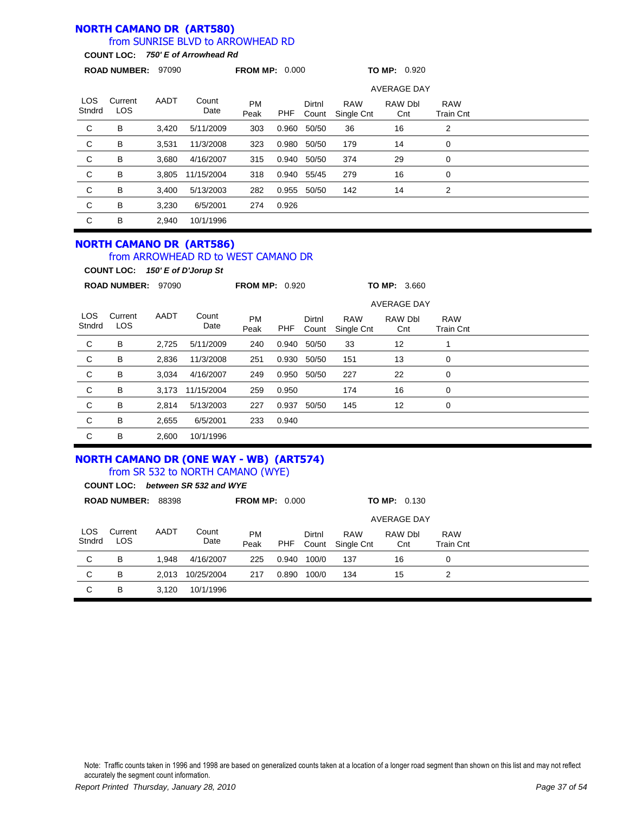#### **NORTH CAMANO DR (ART580)** from SUNRISE BLVD to ARROWHEAD RD

**COUNT LOC:** *750' E of Arrowhead Rd*

|                    |                 | <b>ROAD NUMBER:</b><br>97090 |               | <b>FROM MP: 0.000</b> |       |                 |                          | TO MP: 0.920   |                         |  |
|--------------------|-----------------|------------------------------|---------------|-----------------------|-------|-----------------|--------------------------|----------------|-------------------------|--|
| <b>AVERAGE DAY</b> |                 |                              |               |                       |       |                 |                          |                |                         |  |
| LOS.<br>Stndrd     | Current<br>LOS. | AADT                         | Count<br>Date | <b>PM</b><br>Peak     | PHF   | Dirtnl<br>Count | <b>RAW</b><br>Single Cnt | RAW Dbl<br>Cnt | <b>RAW</b><br>Train Cnt |  |
| $\mathbf C$        | B               | 3,420                        | 5/11/2009     | 303                   | 0.960 | 50/50           | 36                       | 16             | 2                       |  |
| $\mathsf{C}$       | B               | 3,531                        | 11/3/2008     | 323                   | 0.980 | 50/50           | 179                      | 14             | 0                       |  |
| C                  | B               | 3.680                        | 4/16/2007     | 315                   | 0.940 | 50/50           | 374                      | 29             | 0                       |  |
| $\mathsf{C}$       | В               | 3,805                        | 11/15/2004    | 318                   | 0.940 | 55/45           | 279                      | 16             | 0                       |  |
| C                  | B               | 3.400                        | 5/13/2003     | 282                   | 0.955 | 50/50           | 142                      | 14             | 2                       |  |
| C                  | B               | 3.230                        | 6/5/2001      | 274                   | 0.926 |                 |                          |                |                         |  |
| C                  | B               | 2,940                        | 10/1/1996     |                       |       |                 |                          |                |                         |  |

#### **NORTH CAMANO DR (ART586)**

from ARROWHEAD RD to WEST CAMANO DR

|                | <b>COUNT LOC:</b>     |       | 150' E of D'Jorup St |                       |       |                 |                          |                     |                                |  |
|----------------|-----------------------|-------|----------------------|-----------------------|-------|-----------------|--------------------------|---------------------|--------------------------------|--|
|                | <b>ROAD NUMBER:</b>   | 97090 |                      | <b>FROM MP: 0.920</b> |       |                 |                          | <b>TO MP: 3.660</b> |                                |  |
|                |                       |       |                      |                       |       |                 |                          | <b>AVERAGE DAY</b>  |                                |  |
| LOS.<br>Stndrd | Current<br><b>LOS</b> | AADT  | Count<br>Date        | <b>PM</b><br>Peak     | PHF   | Dirtnl<br>Count | <b>RAW</b><br>Single Cnt | RAW Dbl<br>Cnt      | <b>RAW</b><br><b>Train Cnt</b> |  |
| $\mathsf{C}$   | B                     | 2,725 | 5/11/2009            | 240                   | 0.940 | 50/50           | 33                       | 12                  |                                |  |
| $\mathbf{C}$   | B                     | 2,836 | 11/3/2008            | 251                   | 0.930 | 50/50           | 151                      | 13                  | 0                              |  |
| $\mathsf{C}$   | B                     | 3,034 | 4/16/2007            | 249                   | 0.950 | 50/50           | 227                      | 22                  | 0                              |  |
| $\mathbf C$    | B                     | 3,173 | 11/15/2004           | 259                   | 0.950 |                 | 174                      | 16                  | 0                              |  |
| C              | B                     | 2,814 | 5/13/2003            | 227                   | 0.937 | 50/50           | 145                      | 12                  | 0                              |  |
| C              | В                     | 2,655 | 6/5/2001             | 233                   | 0.940 |                 |                          |                     |                                |  |
| C              | B                     | 2.600 | 10/1/1996            |                       |       |                 |                          |                     |                                |  |

#### **NORTH CAMANO DR (ONE WAY - WB) (ART574)** from SR 532 to NORTH CAMANO (WYE)

|               | <b>COUNT LOC:</b>     |                    | between SR 532 and WYE |                       |            |                 |                          |                     |                                |  |
|---------------|-----------------------|--------------------|------------------------|-----------------------|------------|-----------------|--------------------------|---------------------|--------------------------------|--|
|               | <b>ROAD NUMBER:</b>   | 88398              |                        | <b>FROM MP: 0.000</b> |            |                 |                          | <b>TO MP: 0.130</b> |                                |  |
|               |                       | <b>AVERAGE DAY</b> |                        |                       |            |                 |                          |                     |                                |  |
| LOS<br>Stndrd | Current<br><b>LOS</b> | AADT               | Count<br>Date          | <b>PM</b><br>Peak     | <b>PHF</b> | Dirtnl<br>Count | <b>RAW</b><br>Single Cnt | RAW Dbl<br>Cnt      | <b>RAW</b><br><b>Train Cnt</b> |  |
| C             | В                     | 1.948              | 4/16/2007              | 225                   | 0.940      | 100/0           | 137                      | 16                  | 0                              |  |
| C             | В                     | 2,013              | 10/25/2004             | 217                   | 0.890      | 100/0           | 134                      | 15                  | 2                              |  |
| C             | В                     | 3.120              | 10/1/1996              |                       |            |                 |                          |                     |                                |  |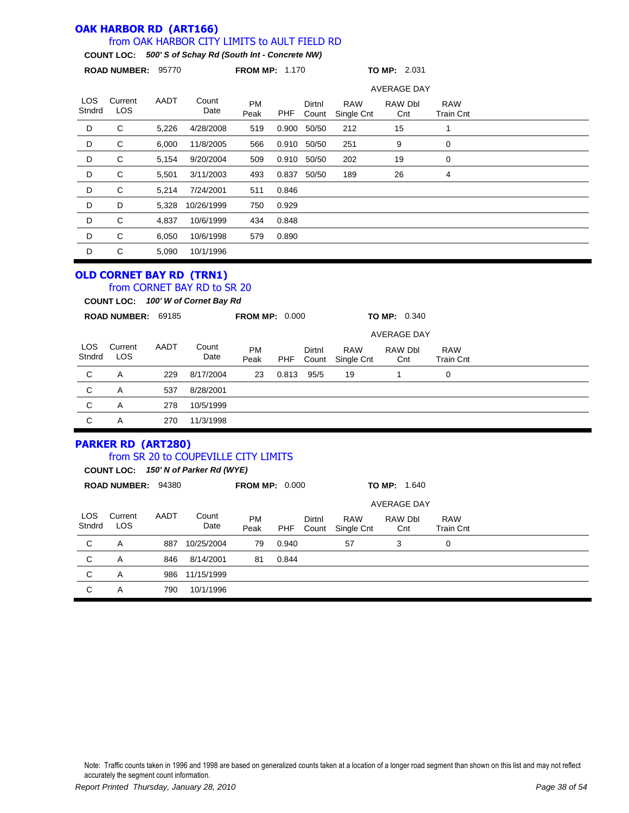#### **OAK HARBOR RD (ART166)** from OAK HARBOR CITY LIMITS to AULT FIELD RD

#### **COUNT LOC:** *500' S of Schay Rd (South Int - Concrete NW)*

|                | <b>ROAD NUMBER:</b>   | 95770 |               | <b>FROM MP: 1.170</b> |       |                 |                          | <b>TO MP: 2.031</b> |                                |  |
|----------------|-----------------------|-------|---------------|-----------------------|-------|-----------------|--------------------------|---------------------|--------------------------------|--|
|                |                       |       |               |                       |       |                 |                          | <b>AVERAGE DAY</b>  |                                |  |
| LOS.<br>Stndrd | Current<br><b>LOS</b> | AADT  | Count<br>Date | <b>PM</b><br>Peak     | PHF   | Dirtnl<br>Count | <b>RAW</b><br>Single Cnt | RAW Dbl<br>Cnt      | <b>RAW</b><br><b>Train Cnt</b> |  |
| D              | С                     | 5,226 | 4/28/2008     | 519                   | 0.900 | 50/50           | 212                      | 15                  | 1                              |  |
| D              | C                     | 6,000 | 11/8/2005     | 566                   | 0.910 | 50/50           | 251                      | 9                   | 0                              |  |
| D              | С                     | 5,154 | 9/20/2004     | 509                   | 0.910 | 50/50           | 202                      | 19                  | 0                              |  |
| D              | C                     | 5,501 | 3/11/2003     | 493                   | 0.837 | 50/50           | 189                      | 26                  | 4                              |  |
| D              | C                     | 5,214 | 7/24/2001     | 511                   | 0.846 |                 |                          |                     |                                |  |
| D              | D                     | 5,328 | 10/26/1999    | 750                   | 0.929 |                 |                          |                     |                                |  |
| D              | С                     | 4,837 | 10/6/1999     | 434                   | 0.848 |                 |                          |                     |                                |  |
| D              | C                     | 6,050 | 10/6/1998     | 579                   | 0.890 |                 |                          |                     |                                |  |
| D              | C                     | 5,090 | 10/1/1996     |                       |       |                 |                          |                     |                                |  |

#### **OLD CORNET BAY RD (TRN1)**

**COUNT LOC:** *100' W of Cornet Bay Rd* from CORNET BAY RD to SR 20

|                      | <b>ROAD NUMBER:</b> |      |               | <b>FROM MP: 0.000</b> |       |                 |                          | <b>TO MP: 0.340</b> |                                |  |  |
|----------------------|---------------------|------|---------------|-----------------------|-------|-----------------|--------------------------|---------------------|--------------------------------|--|--|
|                      |                     |      |               |                       |       |                 |                          | <b>AVERAGE DAY</b>  |                                |  |  |
| <b>LOS</b><br>Stndrd | Current<br>LOS      | AADT | Count<br>Date | <b>PM</b><br>Peak     | PHF   | Dirtnl<br>Count | <b>RAW</b><br>Single Cnt | RAW Dbl<br>Cnt      | <b>RAW</b><br><b>Train Cnt</b> |  |  |
| C                    | A                   | 229  | 8/17/2004     | 23                    | 0.813 | 95/5            | 19                       |                     | 0                              |  |  |
| C                    | A                   | 537  | 8/28/2001     |                       |       |                 |                          |                     |                                |  |  |
| C                    | A                   | 278  | 10/5/1999     |                       |       |                 |                          |                     |                                |  |  |
| C                    | A                   | 270  | 11/3/1998     |                       |       |                 |                          |                     |                                |  |  |

#### **PARKER RD (ART280)** from SR 20 to COUPEVILLE CITY LIMITS

|                      | <b>COUNT LOC:</b>  |      | 150' N of Parker Rd (WYE) |                       |       |                 |                          |                     |                                |  |  |  |
|----------------------|--------------------|------|---------------------------|-----------------------|-------|-----------------|--------------------------|---------------------|--------------------------------|--|--|--|
|                      | ROAD NUMBER: 94380 |      |                           | <b>FROM MP: 0.000</b> |       |                 |                          | <b>TO MP: 1.640</b> |                                |  |  |  |
|                      | <b>AVERAGE DAY</b> |      |                           |                       |       |                 |                          |                     |                                |  |  |  |
| <b>LOS</b><br>Stndrd | Current<br>LOS.    | AADT | Count<br>Date             | <b>PM</b><br>Peak     | PHF   | Dirtnl<br>Count | <b>RAW</b><br>Single Cnt | RAW Dbl<br>Cnt      | <b>RAW</b><br><b>Train Cnt</b> |  |  |  |
| C                    | A                  | 887  | 10/25/2004                | 79                    | 0.940 |                 | 57                       | 3                   | 0                              |  |  |  |
| C                    | A                  | 846  | 8/14/2001                 | 81                    | 0.844 |                 |                          |                     |                                |  |  |  |
| C                    | A                  | 986  | 11/15/1999                |                       |       |                 |                          |                     |                                |  |  |  |
| C                    | A                  | 790  | 10/1/1996                 |                       |       |                 |                          |                     |                                |  |  |  |
|                      |                    |      |                           |                       |       |                 |                          |                     |                                |  |  |  |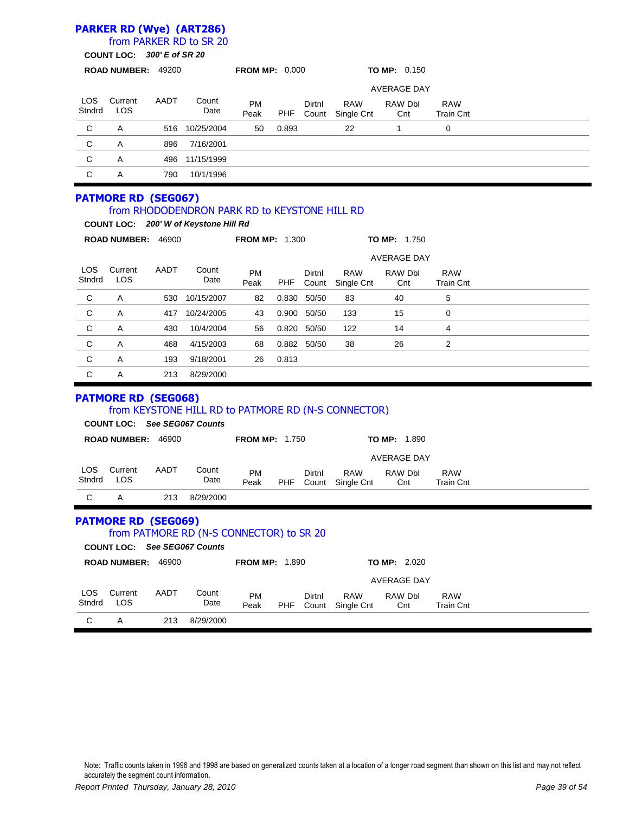### **PARKER RD (Wye) (ART286)**

### from PARKER RD to SR 20

|               | <b>COUNT LOC:</b>          |      | 300' E of SR 20                                                                        |                       |            |                 |                          |                     |                                |  |
|---------------|----------------------------|------|----------------------------------------------------------------------------------------|-----------------------|------------|-----------------|--------------------------|---------------------|--------------------------------|--|
|               | ROAD NUMBER: 49200         |      |                                                                                        | <b>FROM MP: 0.000</b> |            |                 |                          | <b>TO MP: 0.150</b> |                                |  |
|               |                            |      |                                                                                        |                       |            |                 |                          | <b>AVERAGE DAY</b>  |                                |  |
| LOS<br>Stndrd | Current<br><b>LOS</b>      | AADT | Count<br>Date                                                                          | PM<br>Peak            | PHF        | Dirtnl<br>Count | <b>RAW</b><br>Single Cnt | RAW Dbl<br>Cnt      | <b>RAW</b><br><b>Train Cnt</b> |  |
| C             | Α                          | 516  | 10/25/2004                                                                             | 50                    | 0.893      |                 | 22                       | 1                   | 0                              |  |
| C             | Α                          | 896  | 7/16/2001                                                                              |                       |            |                 |                          |                     |                                |  |
| C             | A                          | 496  | 11/15/1999                                                                             |                       |            |                 |                          |                     |                                |  |
| $\mathsf{C}$  | Α                          | 790  | 10/1/1996                                                                              |                       |            |                 |                          |                     |                                |  |
|               | <b>PATMORE RD (SEG067)</b> |      | from RHODODENDRON PARK RD to KEYSTONE HILL RD<br>COUNT LOC: 200' W of Keystone Hill Rd |                       |            |                 |                          |                     |                                |  |
|               | ROAD NUMBER: 46900         |      |                                                                                        | <b>FROM MP: 1.300</b> |            |                 |                          | <b>TO MP: 1.750</b> |                                |  |
|               |                            |      |                                                                                        |                       |            |                 |                          | <b>AVERAGE DAY</b>  |                                |  |
| LOS<br>Stndrd | Current<br>LOS             | AADT | Count<br>Date                                                                          | PM<br>Peak            | <b>PHF</b> | Dirtnl<br>Count | <b>RAW</b><br>Single Cnt | RAW Dbl<br>Cnt      | <b>RAW</b><br><b>Train Cnt</b> |  |
| C             | Α                          | 530  | 10/15/2007                                                                             | 82                    | 0.830      | 50/50           | 83                       | 40                  | 5                              |  |
| $\mathsf C$   | Α                          | 417  | 10/24/2005                                                                             | 43                    | 0.900      | 50/50           | 133                      | 15                  | 0                              |  |
| C             | Α                          | 430  | 10/4/2004                                                                              | 56                    | 0.820      | 50/50           | 122                      | 14                  | 4                              |  |
| C             | Α                          | 468  | 4/15/2003                                                                              | 68                    |            | 0.882 50/50     | 38                       | 26                  | 2                              |  |
| C             | Α                          | 193  | 9/18/2001                                                                              | 26                    | 0.813      |                 |                          |                     |                                |  |
| C             | Α                          | 213  | 8/29/2000                                                                              |                       |            |                 |                          |                     |                                |  |
|               | <b>PATMORE RD (SEG068)</b> |      | from KEYSTONE HILL RD to PATMORE RD (N-S CONNECTOR)<br>COUNT LOC: See SEG067 Counts    |                       |            |                 |                          |                     |                                |  |
|               | ROAD NUMBER: 46900         |      |                                                                                        | <b>FROM MP: 1.750</b> |            |                 |                          | <b>TO MP: 1.890</b> |                                |  |
|               |                            |      |                                                                                        |                       |            |                 |                          | <b>AVERAGE DAY</b>  |                                |  |
| LOS<br>Stndrd | Current<br>LOS             | AADT | Count<br>Date                                                                          | PM<br>Peak            | PHF        | Dirtnl<br>Count | <b>RAW</b><br>Single Cnt | RAW Dbl<br>Cnt      | <b>RAW</b><br><b>Train Cnt</b> |  |
| C             | Α                          | 213  | 8/29/2000                                                                              |                       |            |                 |                          |                     |                                |  |
|               | <b>PATMORE RD (SEG069)</b> |      | from PATMORE RD (N-S CONNECTOR) to SR 20<br><b>COUNT LOC: See SEG067 Counts</b>        |                       |            |                 |                          |                     |                                |  |
|               | ROAD NUMBER: 46900         |      |                                                                                        | <b>FROM MP: 1.890</b> |            |                 |                          | <b>TO MP: 2.020</b> |                                |  |
|               |                            |      |                                                                                        |                       |            |                 |                          | <b>AVERAGE DAY</b>  |                                |  |
| LOS<br>Stndrd | Current<br>LOS             | AADT | Count<br>Date                                                                          | <b>PM</b><br>Peak     | PHF        | Dirtnl<br>Count | <b>RAW</b><br>Single Cnt | RAW Dbl<br>Cnt      | <b>RAW</b><br><b>Train Cnt</b> |  |
| C             | $\mathsf A$                | 213  | 8/29/2000                                                                              |                       |            |                 |                          |                     |                                |  |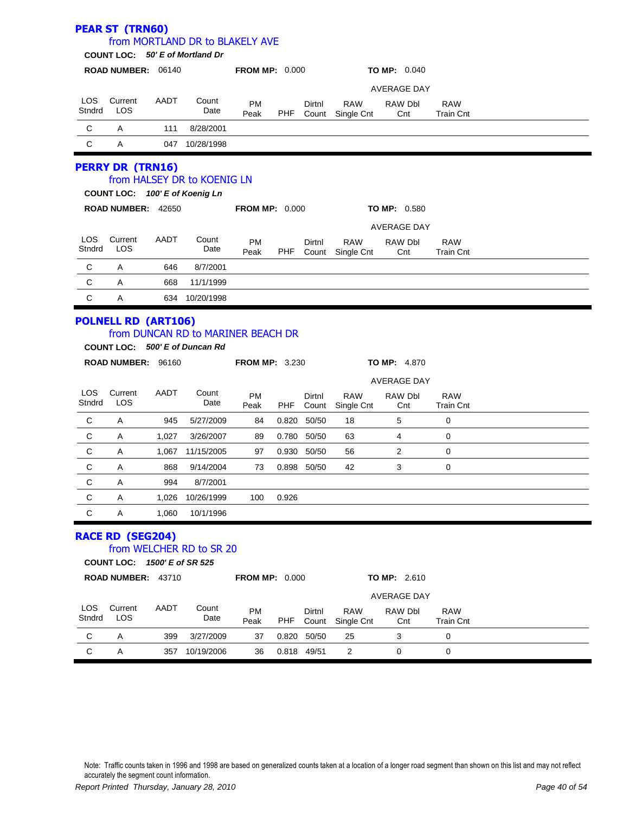|                      | <b>PEAR ST (TRN60)</b><br>COUNT LOC: 50' E of Mortland Dr    |      | from MORTLAND DR to BLAKELY AVE    |                       |            |                 |                          |                     |                                |  |  |
|----------------------|--------------------------------------------------------------|------|------------------------------------|-----------------------|------------|-----------------|--------------------------|---------------------|--------------------------------|--|--|
|                      | ROAD NUMBER: 06140                                           |      |                                    | <b>FROM MP: 0.000</b> |            |                 |                          | <b>TO MP: 0.040</b> |                                |  |  |
|                      |                                                              |      |                                    |                       |            |                 |                          | <b>AVERAGE DAY</b>  |                                |  |  |
| <b>LOS</b><br>Stndrd | Current<br>LOS                                               | AADT | Count<br>Date                      | <b>PM</b><br>Peak     | <b>PHF</b> | Dirtnl<br>Count | <b>RAW</b><br>Single Cnt | RAW Dbl<br>Cnt      | <b>RAW</b><br><b>Train Cnt</b> |  |  |
| C                    | A                                                            | 111  | 8/28/2001                          |                       |            |                 |                          |                     |                                |  |  |
| C                    | A                                                            | 047  | 10/28/1998                         |                       |            |                 |                          |                     |                                |  |  |
|                      | <b>PERRY DR (TRN16)</b><br>COUNT LOC: 100' E of Koenig Ln    |      | from HALSEY DR to KOENIG LN        |                       |            |                 |                          |                     |                                |  |  |
|                      |                                                              |      |                                    |                       |            |                 |                          |                     |                                |  |  |
|                      | ROAD NUMBER: 42650                                           |      |                                    | <b>FROM MP: 0.000</b> |            |                 |                          | <b>TO MP: 0.580</b> |                                |  |  |
|                      |                                                              |      |                                    |                       |            |                 |                          | <b>AVERAGE DAY</b>  |                                |  |  |
| <b>LOS</b><br>Stndrd | Current<br>LOS                                               | AADT | Count<br>Date                      | <b>PM</b><br>Peak     | <b>PHF</b> | Dirtnl<br>Count | <b>RAW</b><br>Single Cnt | RAW Dbl<br>Cnt      | <b>RAW</b><br><b>Train Cnt</b> |  |  |
| C                    | A                                                            | 646  | 8/7/2001                           |                       |            |                 |                          |                     |                                |  |  |
| $\mathbf C$          | A                                                            | 668  | 11/1/1999                          |                       |            |                 |                          |                     |                                |  |  |
| $\mathsf{C}$         | Α                                                            |      | 634 10/20/1998                     |                       |            |                 |                          |                     |                                |  |  |
|                      | <b>POLNELL RD (ART106)</b><br>COUNT LOC: 500' E of Duncan Rd |      | from DUNCAN RD to MARINER BEACH DR |                       |            |                 |                          |                     |                                |  |  |

|                |                |       |               |                   |       |                 |                          | <b>AVERAGE DAY</b> |                                |  |  |
|----------------|----------------|-------|---------------|-------------------|-------|-----------------|--------------------------|--------------------|--------------------------------|--|--|
| LOS.<br>Stndrd | Current<br>LOS | AADT  | Count<br>Date | <b>PM</b><br>Peak | PHF   | Dirtnl<br>Count | <b>RAW</b><br>Single Cnt | RAW Dbl<br>Cnt     | <b>RAW</b><br><b>Train Cnt</b> |  |  |
| C              | Α              | 945   | 5/27/2009     | 84                | 0.820 | 50/50           | 18                       | 5                  | 0                              |  |  |
| C              | Α              | 1,027 | 3/26/2007     | 89                | 0.780 | 50/50           | 63                       | 4                  | 0                              |  |  |
| C              | Α              | 1,067 | 11/15/2005    | 97                | 0.930 | 50/50           | 56                       | 2                  | 0                              |  |  |
| C              | Α              | 868   | 9/14/2004     | 73                | 0.898 | 50/50           | 42                       | 3                  | 0                              |  |  |
| C              | Α              | 994   | 8/7/2001      |                   |       |                 |                          |                    |                                |  |  |
| C              | Α              | 1.026 | 10/26/1999    | 100               | 0.926 |                 |                          |                    |                                |  |  |
| C              | A              | 1.060 | 10/1/1996     |                   |       |                 |                          |                    |                                |  |  |

#### **RACE RD (SEG204)** from WELCHER RD to SR 20

**COUNT LOC:** *1500' E of SR 525*

|                      | <b>ROAD NUMBER:</b><br>43710<br><b>FROM MP: 0.000</b> |      |               |                   |       |                 |                          | <b>TO MP: 2.610</b> |                         |  |
|----------------------|-------------------------------------------------------|------|---------------|-------------------|-------|-----------------|--------------------------|---------------------|-------------------------|--|
|                      |                                                       |      |               |                   |       |                 |                          | <b>AVERAGE DAY</b>  |                         |  |
| <b>LOS</b><br>Stndrd | Current<br>LOS                                        | AADT | Count<br>Date | <b>PM</b><br>Peak | PHF   | Dirtnl<br>Count | <b>RAW</b><br>Single Cnt | RAW Dbl<br>Cnt      | <b>RAW</b><br>Train Cnt |  |
| C                    | A                                                     | 399  | 3/27/2009     | 37                | 0.820 | 50/50           | 25                       | 3                   | 0                       |  |
| С                    | Α                                                     | 357  | 10/19/2006    | 36                | 0.818 | 49/51           | 2                        |                     | 0                       |  |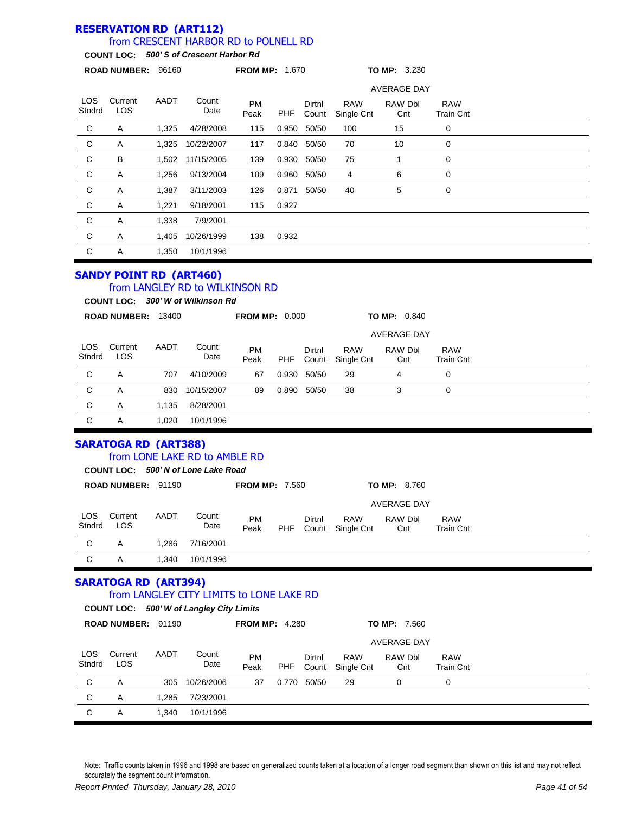#### **RESERVATION RD (ART112)** from CRESCENT HARBOR RD to POLNELL RD

#### **COUNT LOC:** *500' S of Crescent Harbor Rd*

| <b>AVERAGE DAY</b><br>LOS.<br>Current<br>AADT<br>Count<br><b>PM</b><br>Dirtnl<br><b>RAW</b><br>RAW Dbl<br><b>RAW</b><br><b>LOS</b><br>Stndrd<br>Date<br>PHF<br>Peak<br>Count<br>Single Cnt<br>Train Cnt<br>Cnt<br>$\mathbf C$<br>A<br>1,325<br>4/28/2008<br>50/50<br>100<br>0<br>115<br>0.950<br>15<br>$\mathbf{C}$<br>70<br>10<br>0<br>Α<br>10/22/2007<br>50/50<br>1,325<br>0.840<br>117<br>C<br>B<br>75<br>0<br>11/15/2005<br>139<br>0.930<br>50/50<br>1,502<br>C<br>0<br>Α<br>9/13/2004<br>0.960<br>6<br>1,256<br>109<br>50/50<br>4<br>C<br>A<br>40<br>5<br>0<br>1,387<br>3/11/2003<br>126<br>0.871<br>50/50<br>C<br>A<br>1,221<br>9/18/2001<br>115<br>0.927<br>C<br>A<br>1,338<br>7/9/2001 |   | <b>ROAD NUMBER:</b> | 96160 |            | <b>FROM MP: 1.670</b> |       |  | TO MP: 3.230 |  |  |
|------------------------------------------------------------------------------------------------------------------------------------------------------------------------------------------------------------------------------------------------------------------------------------------------------------------------------------------------------------------------------------------------------------------------------------------------------------------------------------------------------------------------------------------------------------------------------------------------------------------------------------------------------------------------------------------------|---|---------------------|-------|------------|-----------------------|-------|--|--------------|--|--|
|                                                                                                                                                                                                                                                                                                                                                                                                                                                                                                                                                                                                                                                                                                |   |                     |       |            |                       |       |  |              |  |  |
|                                                                                                                                                                                                                                                                                                                                                                                                                                                                                                                                                                                                                                                                                                |   |                     |       |            |                       |       |  |              |  |  |
|                                                                                                                                                                                                                                                                                                                                                                                                                                                                                                                                                                                                                                                                                                |   |                     |       |            |                       |       |  |              |  |  |
|                                                                                                                                                                                                                                                                                                                                                                                                                                                                                                                                                                                                                                                                                                |   |                     |       |            |                       |       |  |              |  |  |
|                                                                                                                                                                                                                                                                                                                                                                                                                                                                                                                                                                                                                                                                                                |   |                     |       |            |                       |       |  |              |  |  |
|                                                                                                                                                                                                                                                                                                                                                                                                                                                                                                                                                                                                                                                                                                |   |                     |       |            |                       |       |  |              |  |  |
|                                                                                                                                                                                                                                                                                                                                                                                                                                                                                                                                                                                                                                                                                                |   |                     |       |            |                       |       |  |              |  |  |
|                                                                                                                                                                                                                                                                                                                                                                                                                                                                                                                                                                                                                                                                                                |   |                     |       |            |                       |       |  |              |  |  |
|                                                                                                                                                                                                                                                                                                                                                                                                                                                                                                                                                                                                                                                                                                |   |                     |       |            |                       |       |  |              |  |  |
|                                                                                                                                                                                                                                                                                                                                                                                                                                                                                                                                                                                                                                                                                                | C | A                   | 1,405 | 10/26/1999 | 138                   | 0.932 |  |              |  |  |
| C<br>Α<br>1,350<br>10/1/1996                                                                                                                                                                                                                                                                                                                                                                                                                                                                                                                                                                                                                                                                   |   |                     |       |            |                       |       |  |              |  |  |

### **SANDY POINT RD (ART460)**

### from LANGLEY RD to WILKINSON RD

**COUNT LOC:** *300' W of Wilkinson Rd*

|                      | <b>ROAD NUMBER:</b> | 13400 |               | <b>FROM MP: 0.000</b> |       |                 |                          | <b>TO MP: 0.840</b> |                                |  |  |
|----------------------|---------------------|-------|---------------|-----------------------|-------|-----------------|--------------------------|---------------------|--------------------------------|--|--|
|                      |                     |       |               |                       |       |                 |                          | <b>AVERAGE DAY</b>  |                                |  |  |
| <b>LOS</b><br>Stndrd | Current<br>LOS      | AADT  | Count<br>Date | <b>PM</b><br>Peak     | PHF   | Dirtnl<br>Count | <b>RAW</b><br>Single Cnt | RAW Dbl<br>Cnt      | <b>RAW</b><br><b>Train Cnt</b> |  |  |
| C                    | A                   | 707   | 4/10/2009     | 67                    | 0.930 | 50/50           | 29                       | 4                   | 0                              |  |  |
| C                    | A                   | 830   | 10/15/2007    | 89                    | 0.890 | 50/50           | 38                       | 3                   | 0                              |  |  |
| C                    | A                   | 1.135 | 8/28/2001     |                       |       |                 |                          |                     |                                |  |  |
| C                    | Α                   | 1.020 | 10/1/1996     |                       |       |                 |                          |                     |                                |  |  |

#### **SARATOGA RD (ART388)** from LONE LAKE RD to AMBLE RD

|                      |                                     |       | <u>TIOIII LUNE LANE KU 10 AMBLE KU</u> |                       |     |                 |                          |                     |                                |  |
|----------------------|-------------------------------------|-------|----------------------------------------|-----------------------|-----|-----------------|--------------------------|---------------------|--------------------------------|--|
|                      | COUNT LOC: 500' N of Lone Lake Road |       |                                        |                       |     |                 |                          |                     |                                |  |
|                      | <b>ROAD NUMBER:</b>                 | 91190 |                                        | <b>FROM MP: 7.560</b> |     |                 |                          | <b>TO MP: 8.760</b> |                                |  |
|                      |                                     |       |                                        |                       |     |                 |                          | <b>AVERAGE DAY</b>  |                                |  |
| <b>LOS</b><br>Stndrd | Current<br><b>LOS</b>               | AADT  | Count<br>Date                          | <b>PM</b><br>Peak     | PHF | Dirtnl<br>Count | <b>RAW</b><br>Single Cnt | RAW Dbl<br>Cnt      | <b>RAW</b><br><b>Train Cnt</b> |  |
| C                    | A                                   | 1.286 | 7/16/2001                              |                       |     |                 |                          |                     |                                |  |
| C                    | A                                   | 1.340 | 10/1/1996                              |                       |     |                 |                          |                     |                                |  |
|                      | <b>SARATOGA RD (ART394)</b>         |       |                                        |                       |     |                 |                          |                     |                                |  |

# from LANGLEY CITY LIMITS to LONE LAKE RD

#### **COUNT LOC:** *500' W of Langley City Limits*

|               | <b>ROAD NUMBER: 91190</b> |       |               | <b>FROM MP: 4.280</b> |       |                    |                          | <b>TO MP: 7.560</b> |                                |  |  |
|---------------|---------------------------|-------|---------------|-----------------------|-------|--------------------|--------------------------|---------------------|--------------------------------|--|--|
|               |                           |       |               |                       |       | <b>AVERAGE DAY</b> |                          |                     |                                |  |  |
| LOS<br>Stndrd | Current<br><b>LOS</b>     | AADT  | Count<br>Date | <b>PM</b><br>Peak     | PHF   | Dirtnl<br>Count    | <b>RAW</b><br>Single Cnt | RAW Dbl<br>Cnt      | <b>RAW</b><br><b>Train Cnt</b> |  |  |
| C             | A                         | 305   | 10/26/2006    | 37                    | 0.770 | 50/50              | 29                       | 0                   | 0                              |  |  |
| C             | A                         | 1.285 | 7/23/2001     |                       |       |                    |                          |                     |                                |  |  |
| C             | A                         | 1,340 | 10/1/1996     |                       |       |                    |                          |                     |                                |  |  |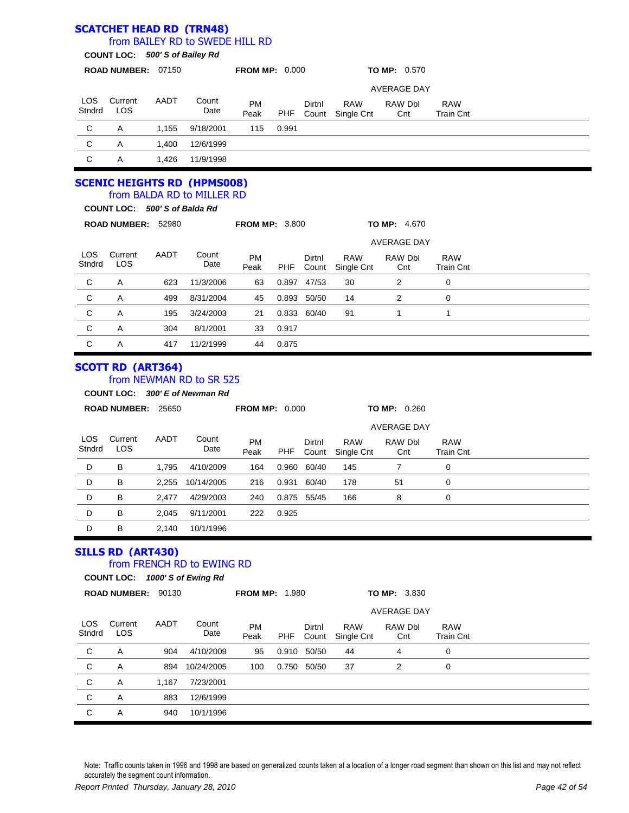|                      |                                |       | <b>SCATCHET HEAD RD (TRN48)</b>                              |                       |            |                 |                          |                                      |                                |  |
|----------------------|--------------------------------|-------|--------------------------------------------------------------|-----------------------|------------|-----------------|--------------------------|--------------------------------------|--------------------------------|--|
|                      |                                |       | from BAILEY RD to SWEDE HILL RD                              |                       |            |                 |                          |                                      |                                |  |
|                      | COUNT LOC: 500' S of Bailey Rd |       |                                                              |                       |            |                 |                          |                                      |                                |  |
|                      | ROAD NUMBER: 07150             |       |                                                              | <b>FROM MP: 0.000</b> |            |                 |                          | TO MP: 0.570                         |                                |  |
|                      |                                |       |                                                              |                       |            |                 |                          | <b>AVERAGE DAY</b>                   |                                |  |
| LOS<br>Stndrd        | Current<br>LOS                 | AADT  | Count<br>Date                                                | PM<br>Peak            | <b>PHF</b> | Dirtnl<br>Count | <b>RAW</b><br>Single Cnt | RAW Dbl<br>Cnt                       | <b>RAW</b><br><b>Train Cnt</b> |  |
| С                    | Α                              | 1,155 | 9/18/2001                                                    | 115                   | 0.991      |                 |                          |                                      |                                |  |
| C                    | Α                              | 1,400 | 12/6/1999                                                    |                       |            |                 |                          |                                      |                                |  |
| C                    | Α                              | 1,426 | 11/9/1998                                                    |                       |            |                 |                          |                                      |                                |  |
|                      |                                |       | <b>SCENIC HEIGHTS RD (HPMS008)</b>                           |                       |            |                 |                          |                                      |                                |  |
|                      |                                |       | from BALDA RD to MILLER RD                                   |                       |            |                 |                          |                                      |                                |  |
|                      | COUNT LOC: 500'S of Balda Rd   |       |                                                              |                       |            |                 |                          |                                      |                                |  |
|                      | ROAD NUMBER: 52980             |       |                                                              | <b>FROM MP: 3.800</b> |            |                 |                          | TO MP: 4.670                         |                                |  |
|                      |                                |       |                                                              |                       |            |                 |                          | <b>AVERAGE DAY</b>                   |                                |  |
| <b>LOS</b><br>Stndrd | Current<br>LOS                 | AADT  | Count<br>Date                                                | PM<br>Peak            | <b>PHF</b> | Dirtnl<br>Count | <b>RAW</b><br>Single Cnt | <b>RAW Dbl</b><br>Cnt                | <b>RAW</b><br><b>Train Cnt</b> |  |
| C                    | Α                              | 623   | 11/3/2006                                                    | 63                    |            | 0.897 47/53     | 30                       | 2                                    | 0                              |  |
| C                    | Α                              | 499   | 8/31/2004                                                    | 45                    | 0.893      | 50/50           | 14                       | 2                                    | 0                              |  |
| C                    | Α                              | 195   | 3/24/2003                                                    | 21                    | 0.833      | 60/40           | 91                       | $\mathbf{1}$                         | 1                              |  |
| C                    | Α                              | 304   | 8/1/2001                                                     | 33                    | 0.917      |                 |                          |                                      |                                |  |
| $\mathsf C$          | Α                              | 417   | 11/2/1999                                                    | 44                    | 0.875      |                 |                          |                                      |                                |  |
|                      |                                |       |                                                              |                       |            |                 |                          |                                      |                                |  |
|                      | <b>SCOTT RD (ART364)</b>       |       | from NEWMAN RD to SR 525<br>COUNT LOC: 300' E of Newman Rd   |                       |            |                 |                          |                                      |                                |  |
|                      | ROAD NUMBER: 25650             |       |                                                              | <b>FROM MP: 0.000</b> |            |                 |                          | <b>TO MP: 0.260</b>                  |                                |  |
|                      |                                |       |                                                              |                       |            |                 |                          | <b>AVERAGE DAY</b>                   |                                |  |
| LOS<br>Stndrd        | Current<br>LOS                 | AADT  | Count<br>Date                                                | PM<br>Peak            | <b>PHF</b> | Dirtnl<br>Count | <b>RAW</b><br>Single Cnt | RAW Dbl<br>Cnt                       | <b>RAW</b><br><b>Train Cnt</b> |  |
| D                    | в                              | 1,795 | 4/10/2009                                                    | 164                   | 0.960      | 60/40           | 145                      | 7                                    | 0                              |  |
| D                    | В                              |       | 2,255 10/14/2005                                             | 216                   |            | 0.931 60/40     | 178                      | 51                                   | 0                              |  |
| D                    | В                              | 2,477 | 4/29/2003                                                    | 240                   |            | 0.875 55/45     | 166                      | 8                                    | 0                              |  |
| D                    | B                              | 2,045 | 9/11/2001                                                    | 222                   | 0.925      |                 |                          |                                      |                                |  |
| D                    | В                              | 2,140 | 10/1/1996                                                    |                       |            |                 |                          |                                      |                                |  |
|                      | <b>SILLS RD (ART430)</b>       |       |                                                              |                       |            |                 |                          |                                      |                                |  |
|                      |                                |       | from FRENCH RD to EWING RD<br>COUNT LOC: 1000' S of Ewing Rd |                       |            |                 |                          |                                      |                                |  |
|                      | ROAD NUMBER: 90130             |       |                                                              | <b>FROM MP: 1.980</b> |            |                 |                          | TO MP: 3.830                         |                                |  |
|                      |                                |       |                                                              |                       |            |                 |                          |                                      |                                |  |
| LOS<br>Stndrd        | Current<br>LOS                 | AADT  | Count<br>Date                                                | PM<br>Peak            | <b>PHF</b> | Dirtnl<br>Count | <b>RAW</b><br>Single Cnt | <b>AVERAGE DAY</b><br>RAW Dbl<br>Cnt | <b>RAW</b><br><b>Train Cnt</b> |  |
| C                    | Α                              | 904   | 4/10/2009                                                    | 95                    |            | 0.910 50/50     | 44                       | 4                                    | 0                              |  |
| C                    | Α                              | 894   | 10/24/2005                                                   | 100                   |            | 0.750 50/50     | 37                       | 2                                    | 0                              |  |
| $\mathsf C$          | Α                              | 1,167 | 7/23/2001                                                    |                       |            |                 |                          |                                      |                                |  |
| $\mathbf C$          | Α                              | 883   | 12/6/1999                                                    |                       |            |                 |                          |                                      |                                |  |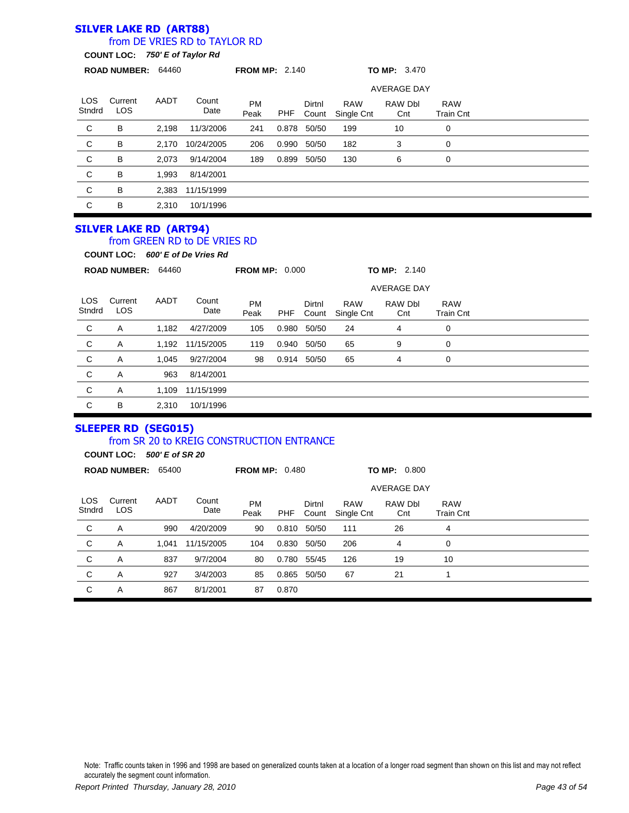#### **SILVER LAKE RD (ART88)** from DE VRIES RD to TAYLOR RD

**COUNT LOC:** *750' E of Taylor Rd*

|                      | ROAD NUMBER: 64460            |       |                                                                  | <b>FROM MP: 2.140</b> |       |                 |                          | <b>TO MP: 3.470</b>   |                                |  |
|----------------------|-------------------------------|-------|------------------------------------------------------------------|-----------------------|-------|-----------------|--------------------------|-----------------------|--------------------------------|--|
|                      |                               |       |                                                                  |                       |       |                 |                          | <b>AVERAGE DAY</b>    |                                |  |
| <b>LOS</b><br>Stndrd | Current<br><b>LOS</b>         | AADT  | Count<br>Date                                                    | <b>PM</b><br>Peak     | PHF   | Dirtnl<br>Count | <b>RAW</b><br>Single Cnt | <b>RAW Dbl</b><br>Cnt | <b>RAW</b><br><b>Train Cnt</b> |  |
| C                    | B                             | 2,198 | 11/3/2006                                                        | 241                   | 0.878 | 50/50           | 199                      | 10                    | 0                              |  |
| $\mathbf C$          | B                             | 2,170 | 10/24/2005                                                       | 206                   | 0.990 | 50/50           | 182                      | 3                     | 0                              |  |
| $\mathbf C$          | В                             | 2,073 | 9/14/2004                                                        | 189                   | 0.899 | 50/50           | 130                      | 6                     | 0                              |  |
| $\mathbf C$          | B                             | 1,993 | 8/14/2001                                                        |                       |       |                 |                          |                       |                                |  |
| $\mathbf C$          | B                             | 2,383 | 11/15/1999                                                       |                       |       |                 |                          |                       |                                |  |
| C                    | В                             | 2,310 | 10/1/1996                                                        |                       |       |                 |                          |                       |                                |  |
|                      | <b>SILVER LAKE RD (ART94)</b> |       | from GREEN RD to DE VRIES RD<br>COUNT LOC: 600' E of De Vries Rd |                       |       |                 |                          |                       |                                |  |
|                      | ROAD NUMBER: 64460            |       |                                                                  | <b>FROM MP: 0.000</b> |       |                 |                          | <b>TO MP: 2.140</b>   |                                |  |
|                      |                               |       |                                                                  |                       |       |                 |                          | <b>AVERAGE DAY</b>    |                                |  |
| <b>LOS</b><br>Stndrd | Current<br>LOS                | AADT  | Count<br>Date                                                    | <b>PM</b><br>Peak     | PHF   | Dirtnl<br>Count | <b>RAW</b><br>Single Cnt | RAW Dbl<br>Cnt        | <b>RAW</b><br><b>Train Cnt</b> |  |
| $\mathsf{C}$         | A                             | 1,182 | 4/27/2009                                                        | 105                   | 0.980 | 50/50           | 24                       | 4                     | 0                              |  |
| C                    | A                             | 1,192 | 11/15/2005                                                       | 119                   | 0.940 | 50/50           | 65                       | 9                     | 0                              |  |
| $\mathbf C$          | Α                             | 1,045 | 9/27/2004                                                        | 98                    |       | 0.914 50/50     | 65                       | 4                     | 0                              |  |
| $\mathsf C$          | Α                             | 963   | 8/14/2001                                                        |                       |       |                 |                          |                       |                                |  |

C A 1,109 11/15/1999 C B 2,310 10/1/1996

### **SLEEPER RD (SEG015)**

### from SR 20 to KREIG CONSTRUCTION ENTRANCE

**COUNT LOC:** *500' E of SR 20*

|                | <b>ROAD NUMBER:</b> | <b>FROM MP: 0.480</b><br>65400 |               |                   |       |                 |                          | <b>TO MP: 0.800</b> |                                |  |
|----------------|---------------------|--------------------------------|---------------|-------------------|-------|-----------------|--------------------------|---------------------|--------------------------------|--|
|                |                     |                                |               |                   |       |                 |                          | <b>AVERAGE DAY</b>  |                                |  |
| LOS.<br>Stndrd | Current<br>LOS.     | AADT                           | Count<br>Date | <b>PM</b><br>Peak | PHF   | Dirtnl<br>Count | <b>RAW</b><br>Single Cnt | RAW Dbl<br>Cnt      | <b>RAW</b><br><b>Train Cnt</b> |  |
| C              | Α                   | 990                            | 4/20/2009     | 90                | 0.810 | 50/50           | 111                      | 26                  | 4                              |  |
| C              | Α                   | 1.041                          | 11/15/2005    | 104               | 0.830 | 50/50           | 206                      | 4                   | 0                              |  |
| C              | A                   | 837                            | 9/7/2004      | 80                | 0.780 | 55/45           | 126                      | 19                  | 10                             |  |
| C              | Α                   | 927                            | 3/4/2003      | 85                | 0.865 | 50/50           | 67                       | 21                  |                                |  |
| С              | A                   | 867                            | 8/1/2001      | 87                | 0.870 |                 |                          |                     |                                |  |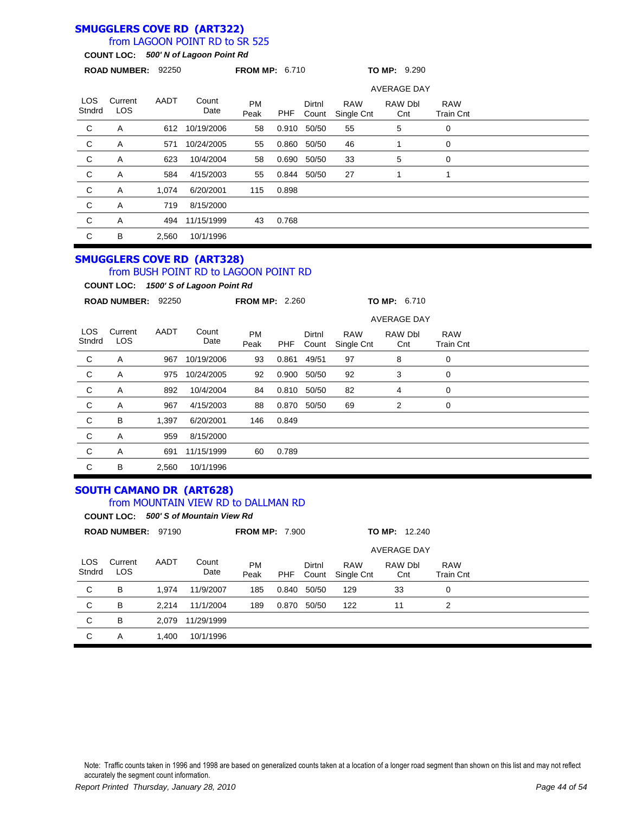### **SMUGGLERS COVE RD (ART322)**

### from LAGOON POINT RD to SR 525

**COUNT LOC:** *500' N of Lagoon Point Rd*

| ROAD NUMBER: 92250 |                 |       | <b>FROM MP: 6.710</b> |                   |            | TO MP: 9.290    |                          |                |                                |  |
|--------------------|-----------------|-------|-----------------------|-------------------|------------|-----------------|--------------------------|----------------|--------------------------------|--|
|                    |                 |       |                       |                   |            |                 | <b>AVERAGE DAY</b>       |                |                                |  |
| LOS.<br>Stndrd     | Current<br>LOS. | AADT  | Count<br>Date         | <b>PM</b><br>Peak | <b>PHF</b> | Dirtnl<br>Count | <b>RAW</b><br>Single Cnt | RAW Dbl<br>Cnt | <b>RAW</b><br><b>Train Cnt</b> |  |
| C                  | A               | 612   | 10/19/2006            | 58                | 0.910      | 50/50           | 55                       | 5              | 0                              |  |
| C                  | Α               | 571   | 10/24/2005            | 55                | 0.860      | 50/50           | 46                       |                | 0                              |  |
| C                  | A               | 623   | 10/4/2004             | 58                | 0.690      | 50/50           | 33                       | 5              | 0                              |  |
| $\mathsf{C}$       | A               | 584   | 4/15/2003             | 55                | 0.844      | 50/50           | 27                       |                | 1                              |  |
| C                  | Α               | 1,074 | 6/20/2001             | 115               | 0.898      |                 |                          |                |                                |  |
| C                  | Α               | 719   | 8/15/2000             |                   |            |                 |                          |                |                                |  |
| C                  | A               | 494   | 11/15/1999            | 43                | 0.768      |                 |                          |                |                                |  |
| C                  | B               | 2,560 | 10/1/1996             |                   |            |                 |                          |                |                                |  |

#### **SMUGGLERS COVE RD (ART328)** from BUSH POINT RD to LAGOON POINT RD

**COUNT LOC:** *1500' S of Lagoon Point Rd*

| <b>ROAD NUMBER:</b><br>92250 |                       |       | <b>FROM MP: 2.260</b> |                   |       | TO MP: 6.710    |                          |                    |                                |  |
|------------------------------|-----------------------|-------|-----------------------|-------------------|-------|-----------------|--------------------------|--------------------|--------------------------------|--|
|                              |                       |       |                       |                   |       |                 |                          | <b>AVERAGE DAY</b> |                                |  |
| LOS.<br>Stndrd               | Current<br><b>LOS</b> | AADT  | Count<br>Date         | <b>PM</b><br>Peak | PHF   | Dirtnl<br>Count | <b>RAW</b><br>Single Cnt | RAW Dbl<br>Cnt     | <b>RAW</b><br><b>Train Cnt</b> |  |
| C                            | Α                     | 967   | 10/19/2006            | 93                | 0.861 | 49/51           | 97                       | 8                  | 0                              |  |
| $\mathsf{C}$                 | Α                     | 975   | 10/24/2005            | 92                | 0.900 | 50/50           | 92                       | 3                  | 0                              |  |
| $\mathsf{C}$                 | Α                     | 892   | 10/4/2004             | 84                | 0.810 | 50/50           | 82                       | 4                  | 0                              |  |
| $\mathsf{C}$                 | Α                     | 967   | 4/15/2003             | 88                | 0.870 | 50/50           | 69                       | 2                  | 0                              |  |
| $\mathsf{C}$                 | B                     | 1,397 | 6/20/2001             | 146               | 0.849 |                 |                          |                    |                                |  |
| $\mathsf{C}$                 | Α                     | 959   | 8/15/2000             |                   |       |                 |                          |                    |                                |  |
| C                            | Α                     | 691   | 11/15/1999            | 60                | 0.789 |                 |                          |                    |                                |  |
| C                            | B                     | 2,560 | 10/1/1996             |                   |       |                 |                          |                    |                                |  |

#### **SOUTH CAMANO DR (ART628)** from MOUNTAIN VIEW RD to DALLMAN RD

|               | <b>COUNT LOC:</b>     |       | 500' S of Mountain View Rd |                       |       |                 |                          |                    |                                |  |
|---------------|-----------------------|-------|----------------------------|-----------------------|-------|-----------------|--------------------------|--------------------|--------------------------------|--|
|               | <b>ROAD NUMBER:</b>   | 97190 |                            | <b>FROM MP: 7.900</b> |       |                 |                          | 12.240<br>TO MP:   |                                |  |
|               |                       |       |                            |                       |       |                 |                          | <b>AVERAGE DAY</b> |                                |  |
| LOS<br>Stndrd | Current<br><b>LOS</b> | AADT  | Count<br>Date              | <b>PM</b><br>Peak     | PHF   | Dirtnl<br>Count | <b>RAW</b><br>Single Cnt | RAW Dbl<br>Cnt     | <b>RAW</b><br><b>Train Cnt</b> |  |
| C             | B                     | 1.974 | 11/9/2007                  | 185                   | 0.840 | 50/50           | 129                      | 33                 | $\mathbf 0$                    |  |
| C             | B                     | 2.214 | 11/1/2004                  | 189                   | 0.870 | 50/50           | 122                      | 11                 | 2                              |  |
| C             | B                     | 2.079 | 11/29/1999                 |                       |       |                 |                          |                    |                                |  |
| С             | A                     | 1.400 | 10/1/1996                  |                       |       |                 |                          |                    |                                |  |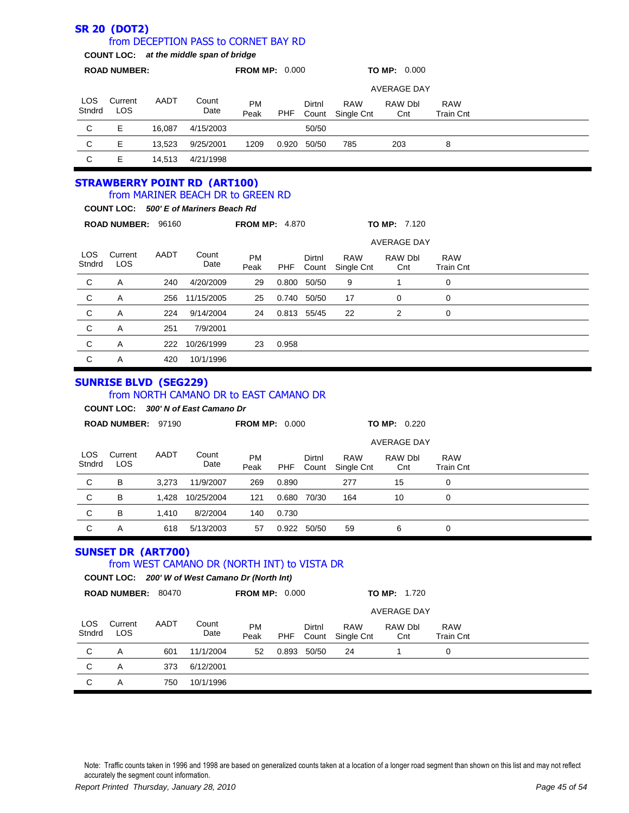#### **SR 20 (DOT2)** LOS Stndrd Current LOS PM Peak Dirtnl Count RAW Single Cnt **ROAD NUMBER: FROM MP:** 0.000 **TO MP:** 0.000 **COUNT LOC:** *at the middle span of bridge* from DECEPTION PASS to CORNET BAY RD AADT Count Date RAW Dbl **Cnt** RAW Train Cnt AVERAGE DAY PHF C E 16,087 4/15/2003 50/50 C E 13,523 9/25/2001 1209 0.920 50/50 785 203 8 C E 14,513 4/21/1998 **STRAWBERRY POINT RD (ART100)** LOS **Stndrd** Current LOS PM Peak Dirtnl Count RAW Single Cnt **ROAD NUMBER:** 96160 **FROM MP:** 4.870 **TO MP:** 7.120 **COUNT LOC:** *500' E of Mariners Beach Rd* from MARINER BEACH DR to GREEN RD AADT Count **Date** RAW Dbl Cnt RAW Train Cnt AVERAGE DAY PHF C A 240 4/20/2009 29 0.800 50/50 9 1 0 C A 256 11/15/2005 25 0.740 50/50 17 0 0 C A 224 9/14/2004 24 0.813 55/45 22 2 0 C A 251 7/9/2001 C A 222 10/26/1999 23 0.958 C A 420 10/1/1996 **SUNRISE BLVD (SEG229)** LOS **Stndrd Current** LOS PM Peak Dirtnl Count RAW Single Cnt **ROAD NUMBER:** 97190 **FROM MP:** 0.000 **TO MP:** 0.220 **COUNT LOC:** *300' N of East Camano Dr* from NORTH CAMANO DR to EAST CAMANO DR AADT Count Date RAW Dbl Cnt RAW Train Cnt AVERAGE DAY PHF C B 3,273 11/9/2007 269 0.890 277 15 0 C B 1,428 10/25/2004 121 0.680 70/30 164 10 0 C B 1,410 8/2/2004 140 0.730 C A 618 5/13/2003 57 0.922 50/50 59 6 0 **SUNSET DR (ART700)** LOS **Stndrd Current** LOS PM Peak Dirtnl Count RAW Single Cnt **ROAD NUMBER:** 80470 **FROM MP:** 0.000 **TO MP:** 1.720 **COUNT LOC:** *200' W of West Camano Dr (North Int)* from WEST CAMANO DR (NORTH INT) to VISTA DR AADT Count Date RAW Dbl **Cnt** RAW Train Cnt AVERAGE DAY PHF C A 601 11/1/2004 52 0.893 50/50 24 1 0 C A 373 6/12/2001 C A 750 10/1/1996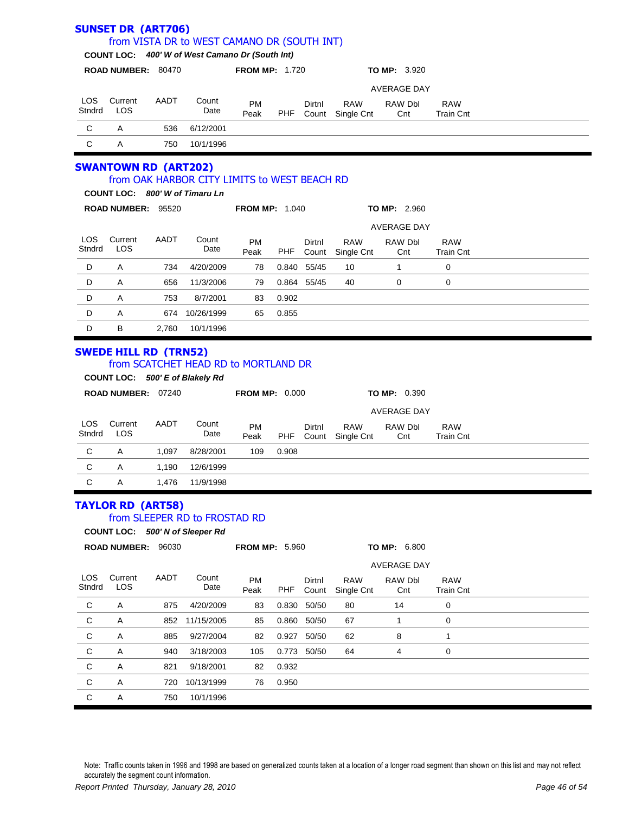|                | <b>SUNSET DR (ART706)</b>   |       | from VISTA DR to WEST CAMANO DR (SOUTH INT)                             |                       |            |                 |                          |                     |                                |  |
|----------------|-----------------------------|-------|-------------------------------------------------------------------------|-----------------------|------------|-----------------|--------------------------|---------------------|--------------------------------|--|
|                |                             |       | COUNT LOC: 400' W of West Camano Dr (South Int)                         |                       |            |                 |                          |                     |                                |  |
|                | ROAD NUMBER: 80470          |       |                                                                         | <b>FROM MP: 1.720</b> |            |                 |                          | <b>TO MP: 3.920</b> |                                |  |
|                |                             |       |                                                                         |                       |            |                 |                          | <b>AVERAGE DAY</b>  |                                |  |
| LOS.<br>Stndrd | Current<br><b>LOS</b>       | AADT  | Count<br>Date                                                           | <b>PM</b><br>Peak     | PHF        | Dirtnl<br>Count | <b>RAW</b><br>Single Cnt | RAW Dbl<br>Cnt      | <b>RAW</b><br><b>Train Cnt</b> |  |
| C              | A                           | 536   | 6/12/2001                                                               |                       |            |                 |                          |                     |                                |  |
| C              | Α                           | 750   | 10/1/1996                                                               |                       |            |                 |                          |                     |                                |  |
|                | <b>SWANTOWN RD (ART202)</b> |       | from OAK HARBOR CITY LIMITS to WEST BEACH RD                            |                       |            |                 |                          |                     |                                |  |
|                |                             |       | COUNT LOC: 800' W of Timaru Ln                                          |                       |            |                 |                          |                     |                                |  |
|                | ROAD NUMBER: 95520          |       |                                                                         | <b>FROM MP: 1.040</b> |            |                 |                          | <b>TO MP: 2.960</b> |                                |  |
|                |                             |       |                                                                         |                       |            |                 |                          | <b>AVERAGE DAY</b>  |                                |  |
| LOS.<br>Stndrd | Current<br><b>LOS</b>       | AADT  | Count<br>Date                                                           | <b>PM</b><br>Peak     | <b>PHF</b> | Dirtnl<br>Count | <b>RAW</b><br>Single Cnt | RAW Dbl<br>Cnt      | <b>RAW</b><br><b>Train Cnt</b> |  |
| D              | Α                           | 734   | 4/20/2009                                                               | 78                    |            | 0.840 55/45     | 10                       | $\mathbf{1}$        | $\mathbf 0$                    |  |
| D              | Α                           | 656   | 11/3/2006                                                               | 79                    |            | 0.864 55/45     | 40                       | 0                   | 0                              |  |
| D              | Α                           | 753   | 8/7/2001                                                                | 83                    | 0.902      |                 |                          |                     |                                |  |
| D              | A                           | 674   | 10/26/1999                                                              | 65                    | 0.855      |                 |                          |                     |                                |  |
| D              | B                           | 2,760 | 10/1/1996                                                               |                       |            |                 |                          |                     |                                |  |
|                | ROAD NUMBER: 07240          |       | from SCATCHET HEAD RD to MORTLAND DR<br>COUNT LOC: 500' E of Blakely Rd | <b>FROM MP: 0.000</b> |            |                 |                          | <b>TO MP: 0.390</b> |                                |  |
|                |                             |       |                                                                         |                       |            |                 |                          | AVERAGE DAY         |                                |  |
| LOS.<br>Stndrd | Current<br><b>LOS</b>       | AADT  | Count<br>Date                                                           | <b>PM</b><br>Peak     | <b>PHF</b> | Dirtnl<br>Count | <b>RAW</b><br>Single Cnt | RAW Dbl<br>Cnt      | <b>RAW</b><br><b>Train Cnt</b> |  |
| C              | Α                           | 1,097 | 8/28/2001                                                               | 109                   | 0.908      |                 |                          |                     |                                |  |
| C              | Α                           | 1,190 | 12/6/1999                                                               |                       |            |                 |                          |                     |                                |  |
| C              | Α                           | 1,476 | 11/9/1998                                                               |                       |            |                 |                          |                     |                                |  |
|                | <b>TAYLOR RD (ART58)</b>    |       | from SLEEPER RD to FROSTAD RD<br>COUNT LOC: 500' N of Sleeper Rd        |                       |            |                 |                          |                     |                                |  |
|                | ROAD NUMBER: 96030          |       |                                                                         | <b>FROM MP: 5.960</b> |            |                 |                          | <b>TO MP: 6.800</b> |                                |  |
|                |                             |       |                                                                         |                       |            |                 |                          | <b>AVERAGE DAY</b>  |                                |  |
| LOS.<br>Stndrd | Current<br>LOS              | AADT  | Count<br>Date                                                           | PM<br>Peak            | <b>PHF</b> | Dirtnl<br>Count | <b>RAW</b><br>Single Cnt | RAW Dbl<br>Cnt      | RAW<br><b>Train Cnt</b>        |  |
| C              | A                           | 875   | 4/20/2009                                                               | 83                    | 0.830      | 50/50           | 80                       | 14                  | 0                              |  |
| C              | Α                           | 852   | 11/15/2005                                                              | 85                    |            | 0.860 50/50     | 67                       | 1                   | 0                              |  |
| C              | Α                           | 885   | 9/27/2004                                                               | 82                    | 0.927      | 50/50           | 62                       | 8                   | 1                              |  |
| С              | Α                           | 940   | 3/18/2003                                                               | 105                   |            | 0.773 50/50     | 64                       | 4                   | 0                              |  |
| C              | Α                           | 821   | 9/18/2001                                                               | 82                    | 0.932      |                 |                          |                     |                                |  |
| С              | Α                           | 720   | 10/13/1999                                                              | 76                    | 0.950      |                 |                          |                     |                                |  |
| C              |                             | 750   | 10/1/1996                                                               |                       |            |                 |                          |                     |                                |  |
|                | A                           |       |                                                                         |                       |            |                 |                          |                     |                                |  |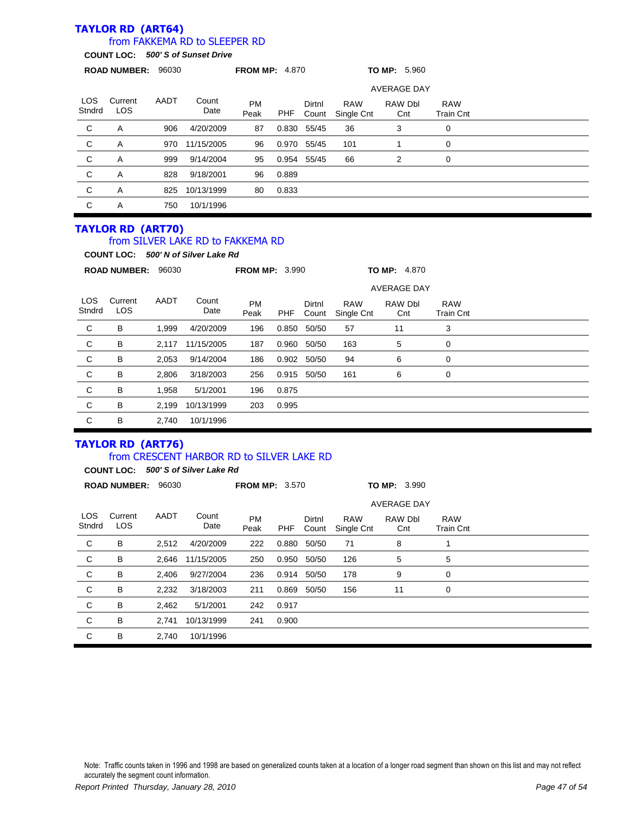# **TAYLOR RD (ART64)**

## from FAKKEMA RD to SLEEPER RD

**COUNT LOC:** *500' S of Sunset Drive*

|                      | 96030<br><b>ROAD NUMBER:</b> |      |               | <b>FROM MP: 4.870</b> |       |                 | <b>TO MP: 5.960</b>      |                    |                                |  |  |
|----------------------|------------------------------|------|---------------|-----------------------|-------|-----------------|--------------------------|--------------------|--------------------------------|--|--|
|                      |                              |      |               |                       |       |                 |                          | <b>AVERAGE DAY</b> |                                |  |  |
| <b>LOS</b><br>Stndrd | Current<br>LOS               | AADT | Count<br>Date | <b>PM</b><br>Peak     | PHF   | Dirtnl<br>Count | <b>RAW</b><br>Single Cnt | RAW Dbl<br>Cnt     | <b>RAW</b><br><b>Train Cnt</b> |  |  |
| C                    | Α                            | 906  | 4/20/2009     | 87                    | 0.830 | 55/45           | 36                       | 3                  | 0                              |  |  |
| C                    | Α                            | 970  | 11/15/2005    | 96                    | 0.970 | 55/45           | 101                      |                    | 0                              |  |  |
| C                    | Α                            | 999  | 9/14/2004     | 95                    |       | 0.954 55/45     | 66                       | 2                  | 0                              |  |  |
| C                    | A                            | 828  | 9/18/2001     | 96                    | 0.889 |                 |                          |                    |                                |  |  |
| C                    | Α                            | 825  | 10/13/1999    | 80                    | 0.833 |                 |                          |                    |                                |  |  |
| C                    | Α                            | 750  | 10/1/1996     |                       |       |                 |                          |                    |                                |  |  |

### **TAYLOR RD (ART70)**

### from SILVER LAKE RD to FAKKEMA RD

**COUNT LOC:** *500' N of Silver Lake Rd*

|                      | <b>ROAD NUMBER:</b> |       | 96030         |                   | <b>FROM MP: 3.990</b> |                 |                          | <b>TO MP: 4.870</b> |                                |  |  |
|----------------------|---------------------|-------|---------------|-------------------|-----------------------|-----------------|--------------------------|---------------------|--------------------------------|--|--|
|                      |                     |       |               |                   |                       |                 |                          | <b>AVERAGE DAY</b>  |                                |  |  |
| <b>LOS</b><br>Stndrd | Current<br>LOS      | AADT  | Count<br>Date | <b>PM</b><br>Peak | <b>PHF</b>            | Dirtnl<br>Count | <b>RAW</b><br>Single Cnt | RAW Dbl<br>Cnt      | <b>RAW</b><br><b>Train Cnt</b> |  |  |
| C                    | B                   | 1,999 | 4/20/2009     | 196               | 0.850                 | 50/50           | 57                       | 11                  | 3                              |  |  |
| C                    | B                   | 2,117 | 11/15/2005    | 187               | 0.960                 | 50/50           | 163                      | 5                   | 0                              |  |  |
| C                    | B                   | 2,053 | 9/14/2004     | 186               | 0.902                 | 50/50           | 94                       | 6                   | 0                              |  |  |
| C                    | B                   | 2,806 | 3/18/2003     | 256               | 0.915                 | 50/50           | 161                      | 6                   | 0                              |  |  |
| C                    | B                   | 1,958 | 5/1/2001      | 196               | 0.875                 |                 |                          |                     |                                |  |  |
| C                    | B                   | 2,199 | 10/13/1999    | 203               | 0.995                 |                 |                          |                     |                                |  |  |
| C                    | B                   | 2,740 | 10/1/1996     |                   |                       |                 |                          |                     |                                |  |  |

### **TAYLOR RD (ART76)**

#### from CRESCENT HARBOR RD to SILVER LAKE RD

**COUNT LOC:** *500' S of Silver Lake Rd*

|               | <b>ROAD NUMBER:</b>   | 96030 |               | <b>FROM MP: 3.570</b> |            |                 |                          | TO MP: 3.990   |                                |  |  |
|---------------|-----------------------|-------|---------------|-----------------------|------------|-----------------|--------------------------|----------------|--------------------------------|--|--|
|               |                       |       |               |                       |            |                 |                          |                |                                |  |  |
| LOS<br>Stndrd | Current<br><b>LOS</b> | AADT  | Count<br>Date | <b>PM</b><br>Peak     | <b>PHF</b> | Dirtnl<br>Count | <b>RAW</b><br>Single Cnt | RAW Dbl<br>Cnt | <b>RAW</b><br><b>Train Cnt</b> |  |  |
| C             | В                     | 2,512 | 4/20/2009     | 222                   | 0.880      | 50/50           | 71                       | 8              | 1                              |  |  |
| C             | В                     | 2,646 | 11/15/2005    | 250                   | 0.950      | 50/50           | 126                      | 5              | 5                              |  |  |
| C             | в                     | 2,406 | 9/27/2004     | 236                   | 0.914      | 50/50           | 178                      | 9              | 0                              |  |  |
| C             | В                     | 2,232 | 3/18/2003     | 211                   | 0.869      | 50/50           | 156                      | 11             | $\mathbf 0$                    |  |  |
| C             | в                     | 2,462 | 5/1/2001      | 242                   | 0.917      |                 |                          |                |                                |  |  |
| C             | B                     | 2.741 | 10/13/1999    | 241                   | 0.900      |                 |                          |                |                                |  |  |
| C             | в                     | 2,740 | 10/1/1996     |                       |            |                 |                          |                |                                |  |  |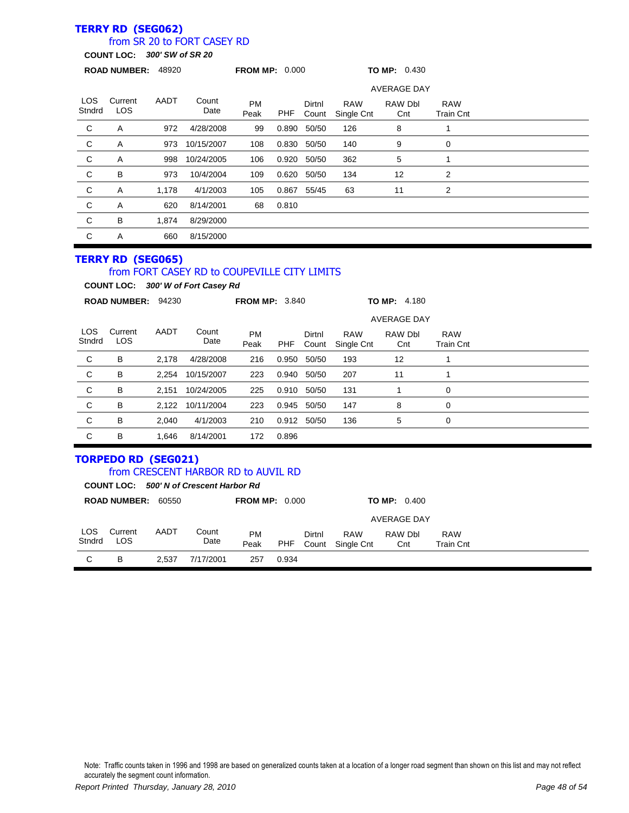# **TERRY RD (SEG062)**

## from SR 20 to FORT CASEY RD

**COUNT LOC:** *300' SW of SR 20*

| 48920<br><b>ROAD NUMBER:</b> |                       |       |               | <b>FROM MP: 0.000</b> |       |                 | <b>TO MP: 0.430</b>      |                    |                                |  |
|------------------------------|-----------------------|-------|---------------|-----------------------|-------|-----------------|--------------------------|--------------------|--------------------------------|--|
|                              |                       |       |               |                       |       |                 |                          | <b>AVERAGE DAY</b> |                                |  |
| LOS.<br>Stndrd               | Current<br><b>LOS</b> | AADT  | Count<br>Date | <b>PM</b><br>Peak     | PHF   | Dirtnl<br>Count | <b>RAW</b><br>Single Cnt | RAW Dbl<br>Cnt     | <b>RAW</b><br><b>Train Cnt</b> |  |
| C                            | Α                     | 972   | 4/28/2008     | 99                    | 0.890 | 50/50           | 126                      | 8                  |                                |  |
| $\mathsf{C}$                 | Α                     | 973   | 10/15/2007    | 108                   | 0.830 | 50/50           | 140                      | 9                  | 0                              |  |
| $\mathsf{C}$                 | Α                     | 998   | 10/24/2005    | 106                   | 0.920 | 50/50           | 362                      | 5                  |                                |  |
| $\mathbf{C}$                 | B                     | 973   | 10/4/2004     | 109                   | 0.620 | 50/50           | 134                      | 12                 | 2                              |  |
| $\mathsf{C}$                 | Α                     | 1,178 | 4/1/2003      | 105                   | 0.867 | 55/45           | 63                       | 11                 | 2                              |  |
| $\mathsf{C}$                 | Α                     | 620   | 8/14/2001     | 68                    | 0.810 |                 |                          |                    |                                |  |
| C                            | B                     | 1,874 | 8/29/2000     |                       |       |                 |                          |                    |                                |  |
| C                            | Α                     | 660   | 8/15/2000     |                       |       |                 |                          |                    |                                |  |

#### **TERRY RD (SEG065)**

#### from FORT CASEY RD to COUPEVILLE CITY LIMITS

**COUNT LOC:** *300' W of Fort Casey Rd*

|                      | 94230<br><b>ROAD NUMBER:</b> |       |               | <b>FROM MP: 3.840</b> |       |                 |                          | <b>TO MP: 4.180</b> |                                |  |
|----------------------|------------------------------|-------|---------------|-----------------------|-------|-----------------|--------------------------|---------------------|--------------------------------|--|
|                      |                              |       |               |                       |       |                 | <b>AVERAGE DAY</b>       |                     |                                |  |
| <b>LOS</b><br>Stndrd | Current<br><b>LOS</b>        | AADT  | Count<br>Date | <b>PM</b><br>Peak     | PHF   | Dirtnl<br>Count | <b>RAW</b><br>Single Cnt | RAW Dbl<br>Cnt      | <b>RAW</b><br><b>Train Cnt</b> |  |
| C                    | В                            | 2.178 | 4/28/2008     | 216                   | 0.950 | 50/50           | 193                      | 12                  |                                |  |
| C                    | В                            | 2,254 | 10/15/2007    | 223                   | 0.940 | 50/50           | 207                      | 11                  |                                |  |
| C                    | В                            | 2.151 | 10/24/2005    | 225                   | 0.910 | 50/50           | 131                      |                     | 0                              |  |
| C                    | В                            | 2.122 | 10/11/2004    | 223                   | 0.945 | 50/50           | 147                      | 8                   | 0                              |  |
| C                    | В                            | 2.040 | 4/1/2003      | 210                   |       | 0.912 50/50     | 136                      | 5                   | 0                              |  |
| C                    | В                            | 1.646 | 8/14/2001     | 172                   | 0.896 |                 |                          |                     |                                |  |

#### **TORPEDO RD (SEG021)** from CRESCENT HARBOR RD to AUVIL RD

|               |                     |       | COUNT LOC: 500' N of Crescent Harbor Rd |                       |       |                 |                          |                       |                         |
|---------------|---------------------|-------|-----------------------------------------|-----------------------|-------|-----------------|--------------------------|-----------------------|-------------------------|
|               | <b>ROAD NUMBER:</b> | 60550 |                                         | <b>FROM MP: 0.000</b> |       |                 |                          | <b>TO MP:</b> $0.400$ |                         |
|               |                     |       |                                         |                       |       |                 | <b>AVERAGE DAY</b>       |                       |                         |
| LOS<br>Stndrd | Current<br>LOS      | AADT  | Count<br>Date                           | <b>PM</b><br>Peak     | PHF   | Dirtnl<br>Count | <b>RAW</b><br>Single Cnt | RAW Dbl<br>Cnt        | <b>RAW</b><br>Train Cnt |
| C             | в                   | 2.537 | 7/17/2001                               | 257                   | 0.934 |                 |                          |                       |                         |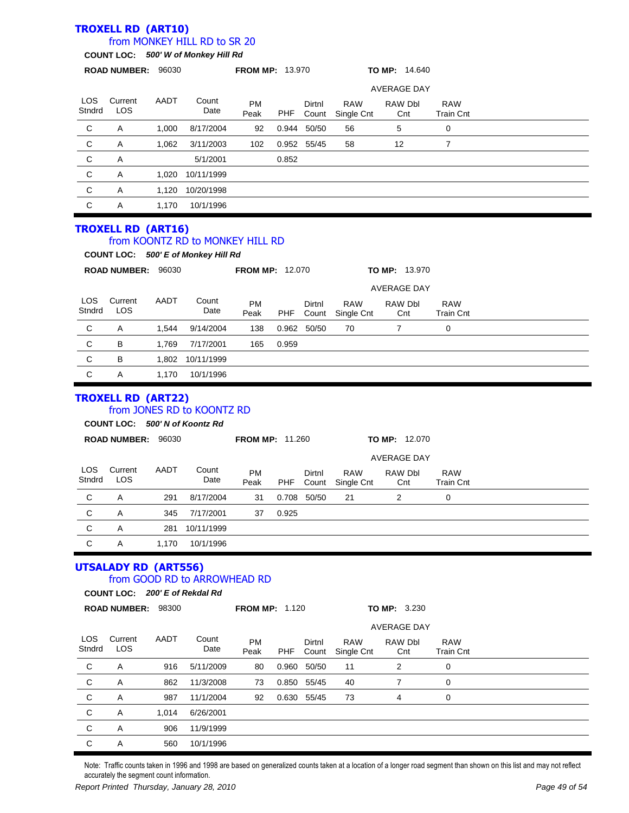#### **TROXELL RD (ART10)** LOS **Stndrd** Current LOS PM Peak Dirtnl Count RAW Single Cnt **ROAD NUMBER:** 96030 **FROM MP:** 13.970 **TO MP:** 14.640 **COUNT LOC:** *500' W of Monkey Hill Rd* from MONKEY HILL RD to SR 20 AADT Count Date RAW Dbl **Cnt** RAW Train Cnt AVERAGE DAY PHF C A 1,000 8/17/2004 92 0.944 50/50 56 5 0 C A 1,062 3/11/2003 102 0.952 55/45 58 12 7 C A 5/1/2001 0.852 C A 1,020 10/11/1999 C A 1,120 10/20/1998

**TROXELL RD (ART16)**

C A 1,170 10/1/1996

#### from KOONTZ RD to MONKEY HILL RD

|                |                       |                    | COUNT LOC: 500' E of Monkey Hill Rd |                        |       |                 |                          |                      |                         |  |
|----------------|-----------------------|--------------------|-------------------------------------|------------------------|-------|-----------------|--------------------------|----------------------|-------------------------|--|
|                | <b>ROAD NUMBER:</b>   | 96030              |                                     | <b>FROM MP: 12.070</b> |       |                 |                          | <b>TO MP: 13.970</b> |                         |  |
|                |                       | <b>AVERAGE DAY</b> |                                     |                        |       |                 |                          |                      |                         |  |
| LOS.<br>Stndrd | Current<br><b>LOS</b> | AADT               | Count<br>Date                       | <b>PM</b><br>Peak      | PHF   | Dirtnl<br>Count | <b>RAW</b><br>Single Cnt | RAW Dbl<br>Cnt       | <b>RAW</b><br>Train Cnt |  |
| C              | A                     | 1.544              | 9/14/2004                           | 138                    | 0.962 | 50/50           | 70                       |                      | 0                       |  |
| C              | В                     | 1.769              | 7/17/2001                           | 165                    | 0.959 |                 |                          |                      |                         |  |
| С              | В                     | 1.802              | 10/11/1999                          |                        |       |                 |                          |                      |                         |  |
| С              | A                     | 1.170              | 10/1/1996                           |                        |       |                 |                          |                      |                         |  |

### **TROXELL RD (ART22)**

### from JONES RD to KOONTZ RD

|               | COUNT LOC: 500' N of Koontz Rd |       |               |                        |            |        |                                |                      |                                |  |
|---------------|--------------------------------|-------|---------------|------------------------|------------|--------|--------------------------------|----------------------|--------------------------------|--|
|               | <b>ROAD NUMBER:</b>            | 96030 |               | <b>FROM MP: 11.260</b> |            |        |                                | <b>TO MP: 12.070</b> |                                |  |
|               |                                |       |               |                        |            |        |                                | <b>AVERAGE DAY</b>   |                                |  |
| LOS<br>Stndrd | Current<br>LOS                 | AADT  | Count<br>Date | <b>PM</b><br>Peak      | <b>PHF</b> | Dirtnl | <b>RAW</b><br>Count Single Cnt | RAW Dbl<br>Cnt       | <b>RAW</b><br><b>Train Cnt</b> |  |
|               | А                              | 291   | 8/17/2004     | 31                     | 0.708      | 50/50  | 21                             |                      | 0                              |  |

C A 281 10/11/1999 C A 1,170 10/1/1996

C A 345 7/17/2001 37 0.925

### **UTSALADY RD (ART556)** from GOOD RD to ARROWHEAD RD

**COUNT LOC:** *200' E of Rekdal Rd*

| ROAD NUMBER: 98300 | <b>FROM MP: 1.120</b> |  |
|--------------------|-----------------------|--|
|                    |                       |  |

|                      |                       |       |               |                   |            |                 |                          | <b>AVERAGE DAY</b> |                         |  |  |
|----------------------|-----------------------|-------|---------------|-------------------|------------|-----------------|--------------------------|--------------------|-------------------------|--|--|
| <b>LOS</b><br>Stndrd | Current<br><b>LOS</b> | AADT  | Count<br>Date | <b>PM</b><br>Peak | <b>PHF</b> | Dirtnl<br>Count | <b>RAW</b><br>Single Cnt | RAW Dbl<br>Cnt     | <b>RAW</b><br>Train Cnt |  |  |
| C                    | Α                     | 916   | 5/11/2009     | 80                | 0.960      | 50/50           | 11                       | 2                  | 0                       |  |  |
| C                    | A                     | 862   | 11/3/2008     | 73                | 0.850      | 55/45           | 40                       |                    | 0                       |  |  |
| C                    | Α                     | 987   | 11/1/2004     | 92                | 0.630      | 55/45           | 73                       | 4                  | 0                       |  |  |
| C                    | A                     | 1.014 | 6/26/2001     |                   |            |                 |                          |                    |                         |  |  |
| C                    | Α                     | 906   | 11/9/1999     |                   |            |                 |                          |                    |                         |  |  |
| С                    | A                     | 560   | 10/1/1996     |                   |            |                 |                          |                    |                         |  |  |

**ROAD NUMBER:** 98300 **FROM MP:** 1.120 **TO MP:** 3.230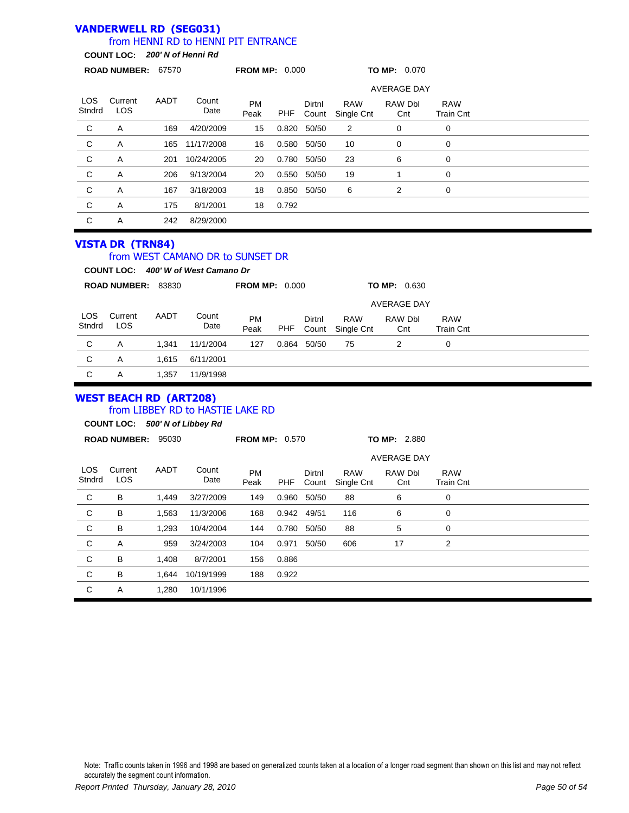#### **VANDERWELL RD (SEG031)** LOS **Stndrd** Current LOS PM Peak Dirtnl Count RAW Single Cnt **ROAD NUMBER:** 67570 **FROM MP:** 0.000 **TO MP:** 0.070 **COUNT LOC:** *200' N of Henni Rd* from HENNI RD to HENNI PIT ENTRANCE AADT Count Date RAW Dbl **Cnt** RAW Train Cnt AVERAGE DAY PHF C A 169 4/20/2009 15 0.820 50/50 2 0 0 C A 165 11/17/2008 16 0.580 50/50 10 0 0 C A 201 10/24/2005 20 0.780 50/50 23 6 0 C A 206 9/13/2004 20 0.550 50/50 19 1 0 C A 167 3/18/2003 18 0.850 50/50 6 2 0 C A 175 8/1/2001 18 0.792 C A 242 8/29/2000 **VISTA DR (TRN84)**

### from WEST CAMANO DR to SUNSET DR

**COUNT LOC:** *400' W of West Camano Dr*

|               | <b>ROAD NUMBER:</b> | 83830 |               | <b>FROM MP: 0.000</b> |       |                 |                          | <b>TO MP: 0.630</b> |                                |  |  |
|---------------|---------------------|-------|---------------|-----------------------|-------|-----------------|--------------------------|---------------------|--------------------------------|--|--|
|               |                     |       |               |                       |       |                 |                          | <b>AVERAGE DAY</b>  |                                |  |  |
| LOS<br>Stndrd | Current<br>LOS      | AADT  | Count<br>Date | <b>PM</b><br>Peak     | PHF   | Dirtnl<br>Count | <b>RAW</b><br>Single Cnt | RAW Dbl<br>Cnt      | <b>RAW</b><br><b>Train Cnt</b> |  |  |
| C             | A                   | 1.341 | 11/1/2004     | 127                   | 0.864 | 50/50           | 75                       | 2                   | 0                              |  |  |
| C             | Α                   | 1.615 | 6/11/2001     |                       |       |                 |                          |                     |                                |  |  |
| C             | A                   | 1,357 | 11/9/1998     |                       |       |                 |                          |                     |                                |  |  |

#### **WEST BEACH RD (ART208)** from LIBBEY RD to HASTIE LAKE RD

**COUNT LOC:** *500' N of Libbey Rd*

|                | <b>ROAD NUMBER:</b>   | 95030 |               | <b>FROM MP: 0.570</b> |       |                 | TO MP: 2.880             |                       |                                |  |
|----------------|-----------------------|-------|---------------|-----------------------|-------|-----------------|--------------------------|-----------------------|--------------------------------|--|
|                |                       |       |               |                       |       |                 |                          | <b>AVERAGE DAY</b>    |                                |  |
| LOS.<br>Stndrd | Current<br><b>LOS</b> | AADT  | Count<br>Date | <b>PM</b><br>Peak     | PHF   | Dirtnl<br>Count | <b>RAW</b><br>Single Cnt | <b>RAW Dbl</b><br>Cnt | <b>RAW</b><br><b>Train Cnt</b> |  |
| C              | B                     | 1,449 | 3/27/2009     | 149                   | 0.960 | 50/50           | 88                       | 6                     | 0                              |  |
| $\mathsf{C}$   | B                     | 1,563 | 11/3/2006     | 168                   |       | 0.942 49/51     | 116                      | 6                     | 0                              |  |
| C              | B                     | 1,293 | 10/4/2004     | 144                   | 0.780 | 50/50           | 88                       | 5                     | 0                              |  |
| C              | Α                     | 959   | 3/24/2003     | 104                   | 0.971 | 50/50           | 606                      | 17                    | 2                              |  |
| C              | B                     | 1,408 | 8/7/2001      | 156                   | 0.886 |                 |                          |                       |                                |  |
| C              | B                     | 1,644 | 10/19/1999    | 188                   | 0.922 |                 |                          |                       |                                |  |
| C              | Α                     | 1,280 | 10/1/1996     |                       |       |                 |                          |                       |                                |  |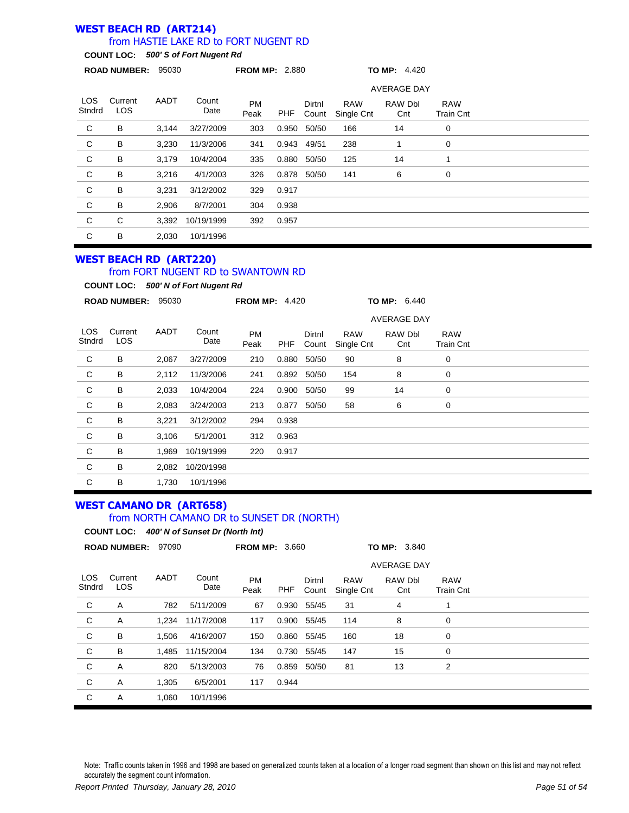#### **WEST BEACH RD (ART214)** from HASTIE LAKE RD to FORT NUGENT RD

**COUNT LOC:** *500' S of Fort Nugent Rd*

|                | ROAD NUMBER: 95030    |       |               | <b>FROM MP: 2.880</b> |       |                 |                          | <b>TO MP: 4.420</b> |                                |  |
|----------------|-----------------------|-------|---------------|-----------------------|-------|-----------------|--------------------------|---------------------|--------------------------------|--|
|                |                       |       |               |                       |       |                 |                          | <b>AVERAGE DAY</b>  |                                |  |
| LOS.<br>Stndrd | Current<br><b>LOS</b> | AADT  | Count<br>Date | <b>PM</b><br>Peak     | PHF   | Dirtnl<br>Count | <b>RAW</b><br>Single Cnt | RAW Dbl<br>Cnt      | <b>RAW</b><br><b>Train Cnt</b> |  |
| C              | B                     | 3.144 | 3/27/2009     | 303                   | 0.950 | 50/50           | 166                      | 14                  | 0                              |  |
| C              | В                     | 3,230 | 11/3/2006     | 341                   | 0.943 | 49/51           | 238                      |                     | 0                              |  |
| $\mathsf{C}$   | В                     | 3,179 | 10/4/2004     | 335                   | 0.880 | 50/50           | 125                      | 14                  |                                |  |
| C              | B                     | 3,216 | 4/1/2003      | 326                   | 0.878 | 50/50           | 141                      | 6                   | 0                              |  |
| C              | B                     | 3,231 | 3/12/2002     | 329                   | 0.917 |                 |                          |                     |                                |  |
| $\mathsf{C}$   | B                     | 2,906 | 8/7/2001      | 304                   | 0.938 |                 |                          |                     |                                |  |
| C              | C                     | 3,392 | 10/19/1999    | 392                   | 0.957 |                 |                          |                     |                                |  |
| C              | B                     | 2,030 | 10/1/1996     |                       |       |                 |                          |                     |                                |  |

### **WEST BEACH RD (ART220)**

### from FORT NUGENT RD to SWANTOWN RD

**COUNT LOC:** *500' N of Fort Nugent Rd*

|                | <b>ROAD NUMBER:</b> | 95030 |               | <b>FROM MP: 4.420</b> |       |                 |                          | TO MP: 6.440       |                                |  |
|----------------|---------------------|-------|---------------|-----------------------|-------|-----------------|--------------------------|--------------------|--------------------------------|--|
|                |                     |       |               |                       |       |                 |                          | <b>AVERAGE DAY</b> |                                |  |
| LOS.<br>Stndrd | Current<br>LOS.     | AADT  | Count<br>Date | <b>PM</b><br>Peak     | PHF   | Dirtnl<br>Count | <b>RAW</b><br>Single Cnt | RAW Dbl<br>Cnt     | <b>RAW</b><br><b>Train Cnt</b> |  |
| C              | B                   | 2,067 | 3/27/2009     | 210                   | 0.880 | 50/50           | 90                       | 8                  | 0                              |  |
| C              | B                   | 2,112 | 11/3/2006     | 241                   | 0.892 | 50/50           | 154                      | 8                  | 0                              |  |
| C              | B                   | 2,033 | 10/4/2004     | 224                   | 0.900 | 50/50           | 99                       | 14                 | 0                              |  |
| C              | B                   | 2,083 | 3/24/2003     | 213                   | 0.877 | 50/50           | 58                       | 6                  | 0                              |  |
| C              | B                   | 3,221 | 3/12/2002     | 294                   | 0.938 |                 |                          |                    |                                |  |
| $\mathsf{C}$   | B                   | 3,106 | 5/1/2001      | 312                   | 0.963 |                 |                          |                    |                                |  |
| C              | B                   | 1,969 | 10/19/1999    | 220                   | 0.917 |                 |                          |                    |                                |  |
| C              | B                   | 2,082 | 10/20/1998    |                       |       |                 |                          |                    |                                |  |
| C              | B                   | 1,730 | 10/1/1996     |                       |       |                 |                          |                    |                                |  |

### **WEST CAMANO DR (ART658)** from NORTH CAMANO DR to SUNSET DR (NORTH)

**COUNT LOC:** *400' N of Sunset Dr (North Int)*

|                | ROAD NUMBER: 97090 |       |               | <b>FROM MP: 3.660</b> |       |                 | TO MP: 3.840             |                    |                                |  |
|----------------|--------------------|-------|---------------|-----------------------|-------|-----------------|--------------------------|--------------------|--------------------------------|--|
|                |                    |       |               |                       |       |                 |                          | <b>AVERAGE DAY</b> |                                |  |
| LOS.<br>Stndrd | Current<br>LOS.    | AADT  | Count<br>Date | <b>PM</b><br>Peak     | PHF   | Dirtnl<br>Count | <b>RAW</b><br>Single Cnt | RAW Dbl<br>Cnt     | <b>RAW</b><br><b>Train Cnt</b> |  |
| C              | Α                  | 782   | 5/11/2009     | 67                    | 0.930 | 55/45           | 31                       | 4                  |                                |  |
| C              | A                  | 1.234 | 11/17/2008    | 117                   | 0.900 | 55/45           | 114                      | 8                  | 0                              |  |
| C              | В                  | 1,506 | 4/16/2007     | 150                   | 0.860 | 55/45           | 160                      | 18                 | 0                              |  |
| $\mathsf{C}$   | B                  | 1,485 | 11/15/2004    | 134                   |       | 0.730 55/45     | 147                      | 15                 | 0                              |  |
| C              | A                  | 820   | 5/13/2003     | 76                    | 0.859 | 50/50           | 81                       | 13                 | 2                              |  |
| C              | Α                  | 1,305 | 6/5/2001      | 117                   | 0.944 |                 |                          |                    |                                |  |
| C              | Α                  | 1,060 | 10/1/1996     |                       |       |                 |                          |                    |                                |  |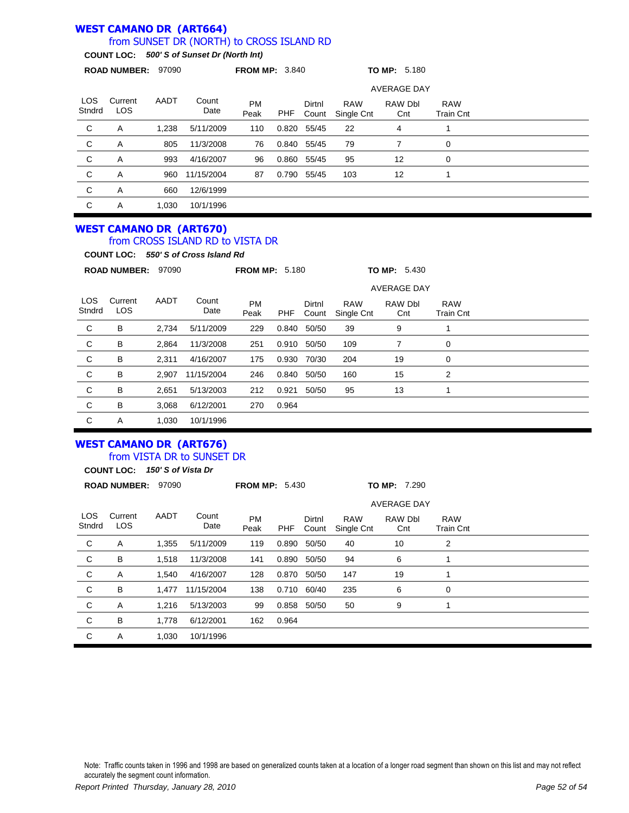#### **WEST CAMANO DR (ART664)** from SUNSET DR (NORTH) to CROSS ISLAND RD

### **COUNT LOC:** *500' S of Sunset Dr (North Int)*

|                      | <b>ROAD NUMBER:</b>   | 97090 |               | <b>FROM MP: 3.840</b> |       |                 |                          | <b>TO MP: 5.180</b> |                         |  |
|----------------------|-----------------------|-------|---------------|-----------------------|-------|-----------------|--------------------------|---------------------|-------------------------|--|
|                      |                       |       |               |                       |       |                 |                          | <b>AVERAGE DAY</b>  |                         |  |
| <b>LOS</b><br>Stndrd | Current<br><b>LOS</b> | AADT  | Count<br>Date | <b>PM</b><br>Peak     | PHF   | Dirtnl<br>Count | <b>RAW</b><br>Single Cnt | RAW Dbl<br>Cnt      | <b>RAW</b><br>Train Cnt |  |
| C                    | A                     | 1.238 | 5/11/2009     | 110                   | 0.820 | 55/45           | 22                       | 4                   | 1                       |  |
| C                    | A                     | 805   | 11/3/2008     | 76                    |       | 0.840 55/45     | 79                       | 7                   | 0                       |  |
| C                    | Α                     | 993   | 4/16/2007     | 96                    | 0.860 | 55/45           | 95                       | 12                  | 0                       |  |
| C                    | Α                     | 960   | 11/15/2004    | 87                    | 0.790 | 55/45           | 103                      | 12                  | 1                       |  |
| C                    | Α                     | 660   | 12/6/1999     |                       |       |                 |                          |                     |                         |  |
| C                    | Α                     | 1,030 | 10/1/1996     |                       |       |                 |                          |                     |                         |  |

#### **WEST CAMANO DR (ART670)** from CROSS ISLAND RD to VISTA DR

**COUNT LOC:** *550' S of Cross Island Rd*

|                      | <b>ROAD NUMBER:</b> | 97090 |               | <b>FROM MP: 5.180</b> |       |                 |                          | TO MP: 5.430       |                                |  |  |
|----------------------|---------------------|-------|---------------|-----------------------|-------|-----------------|--------------------------|--------------------|--------------------------------|--|--|
|                      |                     |       |               |                       |       |                 |                          | <b>AVERAGE DAY</b> |                                |  |  |
| <b>LOS</b><br>Stndrd | Current<br>LOS      | AADT  | Count<br>Date | <b>PM</b><br>Peak     | PHF   | Dirtnl<br>Count | <b>RAW</b><br>Single Cnt | RAW Dbl<br>Cnt     | <b>RAW</b><br><b>Train Cnt</b> |  |  |
| C                    | B                   | 2,734 | 5/11/2009     | 229                   | 0.840 | 50/50           | 39                       | 9                  |                                |  |  |
| C                    | В                   | 2,864 | 11/3/2008     | 251                   | 0.910 | 50/50           | 109                      | 7                  | 0                              |  |  |
| C                    | B                   | 2,311 | 4/16/2007     | 175                   | 0.930 | 70/30           | 204                      | 19                 | 0                              |  |  |
| C                    | В                   | 2,907 | 11/15/2004    | 246                   | 0.840 | 50/50           | 160                      | 15                 | 2                              |  |  |
| C                    | B                   | 2,651 | 5/13/2003     | 212                   | 0.921 | 50/50           | 95                       | 13                 |                                |  |  |
| C                    | В                   | 3,068 | 6/12/2001     | 270                   | 0.964 |                 |                          |                    |                                |  |  |
| C                    | Α                   | 1,030 | 10/1/1996     |                       |       |                 |                          |                    |                                |  |  |

# **WEST CAMANO DR (ART676)**

from VISTA DR to SUNSET DR

**COUNT LOC:** *150' S of Vista Dr*

|                | <b>ROAD NUMBER:</b>   | 97090 |               | TO MP: 7.290<br><b>FROM MP: 5.430</b> |             |                 |                          |                    |                                |  |  |
|----------------|-----------------------|-------|---------------|---------------------------------------|-------------|-----------------|--------------------------|--------------------|--------------------------------|--|--|
|                |                       |       |               |                                       |             |                 |                          | <b>AVERAGE DAY</b> |                                |  |  |
| LOS.<br>Stndrd | Current<br><b>LOS</b> | AADT  | Count<br>Date | <b>PM</b><br>Peak                     | PHF         | Dirtnl<br>Count | <b>RAW</b><br>Single Cnt | RAW Dbl<br>Cnt     | <b>RAW</b><br><b>Train Cnt</b> |  |  |
| C              | Α                     | 1,355 | 5/11/2009     | 119                                   | 0.890       | 50/50           | 40                       | 10                 | 2                              |  |  |
| C              | В                     | 1,518 | 11/3/2008     | 141                                   | 0.890       | 50/50           | 94                       | 6                  |                                |  |  |
| C              | Α                     | 1.540 | 4/16/2007     | 128                                   | 0.870       | 50/50           | 147                      | 19                 |                                |  |  |
| C              | В                     | 1,477 | 11/15/2004    | 138                                   | 0.710 60/40 |                 | 235                      | 6                  | 0                              |  |  |
| C              | Α                     | 1,216 | 5/13/2003     | 99                                    | 0.858       | 50/50           | 50                       | 9                  |                                |  |  |
| C              | В                     | 1,778 | 6/12/2001     | 162                                   | 0.964       |                 |                          |                    |                                |  |  |
| C              | Α                     | 1,030 | 10/1/1996     |                                       |             |                 |                          |                    |                                |  |  |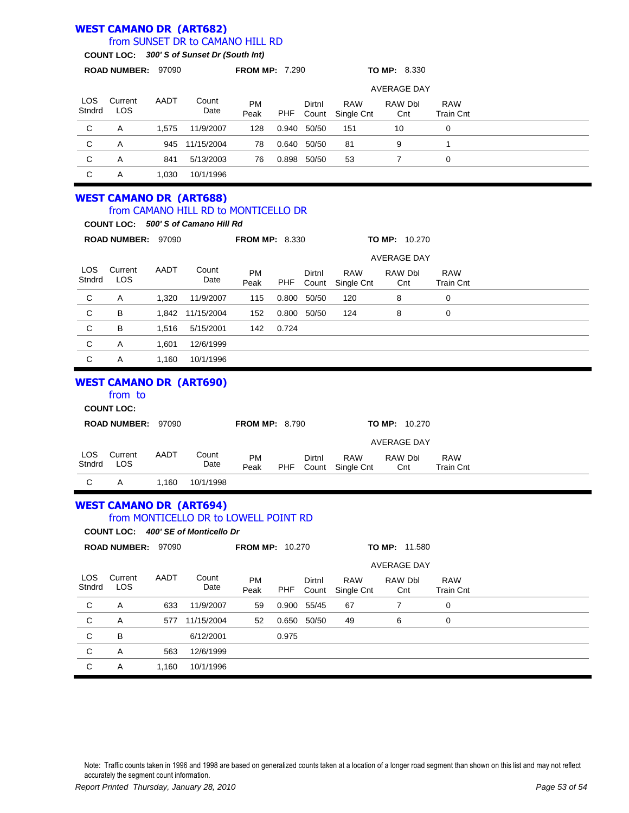#### **WEST CAMANO DR (ART682)** LOS Current PM Dirtnl RAW **ROAD NUMBER:** 97090 **FROM MP:** 7.290 **TO MP:** 8.330 **COUNT LOC:** *300' S of Sunset Dr (South Int)* from SUNSET DR to CAMANO HILL RD AADT Count RAW Dbl RAW AVERAGE DAY

| Stndrd | LOS                     |       | Date           | .<br>Peak | <b>PHF</b> | -----       | .<br>Count Single Cnt | .<br>Cnt | .<br><b>Train Cnt</b> |  |
|--------|-------------------------|-------|----------------|-----------|------------|-------------|-----------------------|----------|-----------------------|--|
| C      | A                       | 1.575 | 11/9/2007      | 128       |            | 0.940 50/50 | 151                   | 10       |                       |  |
| С      | A                       |       | 945 11/15/2004 | 78        |            | 0.640 50/50 | -81                   |          |                       |  |
| С      | А                       | 841   | 5/13/2003      | 76        |            | 0.898 50/50 | 53                    |          |                       |  |
|        | $\overline{\mathsf{A}}$ | 1.030 | 10/1/1996      |           |            |             |                       |          |                       |  |

#### **WEST CAMANO DR (ART688)** from CAMANO HILL RD to MONTICELLO DR

|                | <b>COUNT LOC:</b>   |       | 500' S of Camano Hill Rd |                       |       |                 |                          |                      |                                |  |
|----------------|---------------------|-------|--------------------------|-----------------------|-------|-----------------|--------------------------|----------------------|--------------------------------|--|
|                | <b>ROAD NUMBER:</b> | 97090 |                          | <b>FROM MP: 8.330</b> |       |                 |                          | <b>TO MP: 10.270</b> |                                |  |
|                |                     |       |                          |                       |       |                 |                          | <b>AVERAGE DAY</b>   |                                |  |
| LOS.<br>Stndrd | Current<br>LOS      | AADT  | Count<br>Date            | <b>PM</b><br>Peak     | PHF   | Dirtnl<br>Count | <b>RAW</b><br>Single Cnt | RAW Dbl<br>Cnt       | <b>RAW</b><br><b>Train Cnt</b> |  |
| C              | Α                   | 1,320 | 11/9/2007                | 115                   | 0.800 | 50/50           | 120                      | 8                    | 0                              |  |
| $\mathbf{C}$   | В                   | 1,842 | 11/15/2004               | 152                   | 0.800 | 50/50           | 124                      | 8                    | 0                              |  |
| $\mathbf C$    | B                   | 1,516 | 5/15/2001                | 142                   | 0.724 |                 |                          |                      |                                |  |
| C              | Α                   | 1.601 | 12/6/1999                |                       |       |                 |                          |                      |                                |  |
| C              | Α                   | 1,160 | 10/1/1996                |                       |       |                 |                          |                      |                                |  |

### **WEST CAMANO DR (ART690)**

|               | from to<br><b>COUNT LOC:</b> |       |               |                       |            |                 |                          |                |                      |                                |  |
|---------------|------------------------------|-------|---------------|-----------------------|------------|-----------------|--------------------------|----------------|----------------------|--------------------------------|--|
|               | <b>ROAD NUMBER:</b>          | 97090 |               | <b>FROM MP: 8.790</b> |            |                 |                          |                | <b>TO MP: 10.270</b> |                                |  |
|               |                              |       |               |                       |            |                 |                          |                | <b>AVERAGE DAY</b>   |                                |  |
| LOS<br>Stndrd | Current<br>LOS               | AADT  | Count<br>Date | <b>PM</b><br>Peak     | <b>PHF</b> | Dirtnl<br>Count | <b>RAW</b><br>Single Cnt | RAW Dbl<br>Cnt |                      | <b>RAW</b><br><b>Train Cnt</b> |  |
| C             | A                            | 1.160 | 10/1/1998     |                       |            |                 |                          |                |                      |                                |  |

#### **WEST CAMANO DR (ART694)** from MONTICELLO DR to LOWELL POINT RD

LOS **Stndrd** Current LOS PM Peak Dirtnl Count RAW Single Cnt **ROAD NUMBER:** 97090 **FROM MP:** 10.270 **TO MP:** 11.580 **COUNT LOC:** *400' SE of Monticello Dr* AADT Count Date RAW Dbl **Cnt** RAW Train Cnt AVERAGE DAY PHF C A 633 11/9/2007 59 0.900 55/45 67 7 0 C A 577 11/15/2004 52 0.650 50/50 49 6 0 C B 6/12/2001 0.975 C A 563 12/6/1999 C A 1,160 10/1/1996